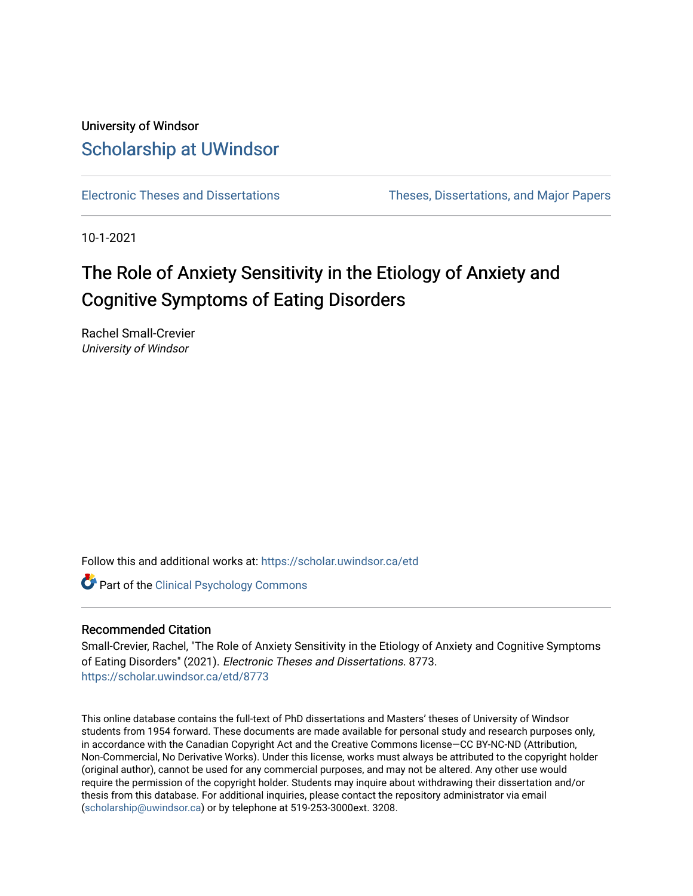# University of Windsor [Scholarship at UWindsor](https://scholar.uwindsor.ca/)

[Electronic Theses and Dissertations](https://scholar.uwindsor.ca/etd) [Theses, Dissertations, and Major Papers](https://scholar.uwindsor.ca/theses-dissertations-major-papers) 

10-1-2021

# The Role of Anxiety Sensitivity in the Etiology of Anxiety and Cognitive Symptoms of Eating Disorders

Rachel Small-Crevier University of Windsor

Follow this and additional works at: [https://scholar.uwindsor.ca/etd](https://scholar.uwindsor.ca/etd?utm_source=scholar.uwindsor.ca%2Fetd%2F8773&utm_medium=PDF&utm_campaign=PDFCoverPages) 

**Part of the Clinical Psychology Commons** 

#### Recommended Citation

Small-Crevier, Rachel, "The Role of Anxiety Sensitivity in the Etiology of Anxiety and Cognitive Symptoms of Eating Disorders" (2021). Electronic Theses and Dissertations. 8773. [https://scholar.uwindsor.ca/etd/8773](https://scholar.uwindsor.ca/etd/8773?utm_source=scholar.uwindsor.ca%2Fetd%2F8773&utm_medium=PDF&utm_campaign=PDFCoverPages) 

This online database contains the full-text of PhD dissertations and Masters' theses of University of Windsor students from 1954 forward. These documents are made available for personal study and research purposes only, in accordance with the Canadian Copyright Act and the Creative Commons license—CC BY-NC-ND (Attribution, Non-Commercial, No Derivative Works). Under this license, works must always be attributed to the copyright holder (original author), cannot be used for any commercial purposes, and may not be altered. Any other use would require the permission of the copyright holder. Students may inquire about withdrawing their dissertation and/or thesis from this database. For additional inquiries, please contact the repository administrator via email [\(scholarship@uwindsor.ca\)](mailto:scholarship@uwindsor.ca) or by telephone at 519-253-3000ext. 3208.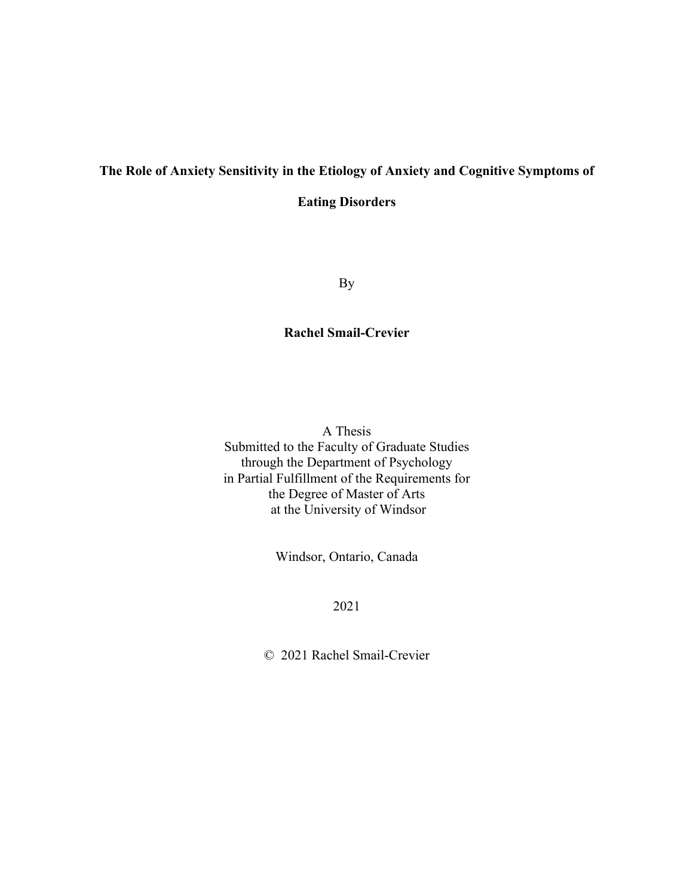# **The Role of Anxiety Sensitivity in the Etiology of Anxiety and Cognitive Symptoms of**

**Eating Disorders**

By

### **Rachel Smail-Crevier**

A Thesis Submitted to the Faculty of Graduate Studies through the Department of Psychology in Partial Fulfillment of the Requirements for the Degree of Master of Arts at the University of Windsor

Windsor, Ontario, Canada

2021

© 2021 Rachel Smail-Crevier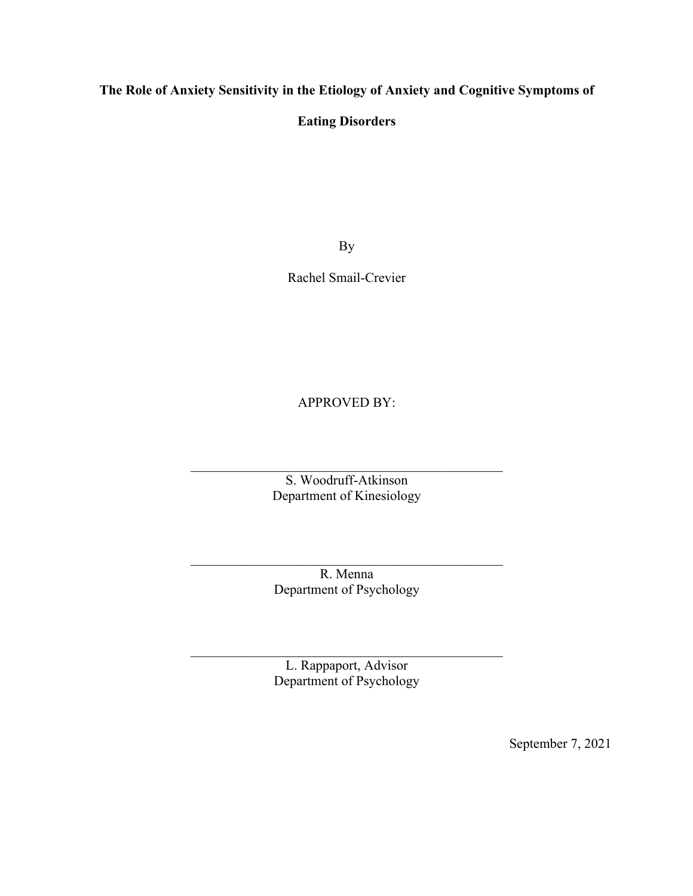### **The Role of Anxiety Sensitivity in the Etiology of Anxiety and Cognitive Symptoms of**

### **Eating Disorders**

By

Rachel Smail-Crevier

APPROVED BY:

S. Woodruff-Atkinson Department of Kinesiology

R. Menna Department of Psychology

L. Rappaport, Advisor Department of Psychology

September 7, 2021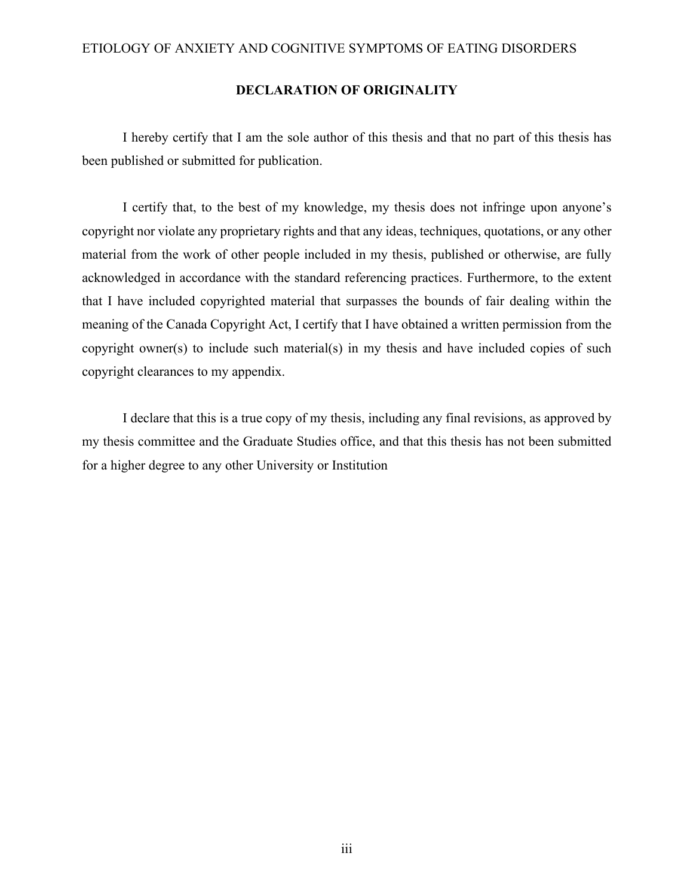### **DECLARATION OF ORIGINALITY**

I hereby certify that I am the sole author of this thesis and that no part of this thesis has been published or submitted for publication.

I certify that, to the best of my knowledge, my thesis does not infringe upon anyone's copyright nor violate any proprietary rights and that any ideas, techniques, quotations, or any other material from the work of other people included in my thesis, published or otherwise, are fully acknowledged in accordance with the standard referencing practices. Furthermore, to the extent that I have included copyrighted material that surpasses the bounds of fair dealing within the meaning of the Canada Copyright Act, I certify that I have obtained a written permission from the copyright owner(s) to include such material(s) in my thesis and have included copies of such copyright clearances to my appendix.

I declare that this is a true copy of my thesis, including any final revisions, as approved by my thesis committee and the Graduate Studies office, and that this thesis has not been submitted for a higher degree to any other University or Institution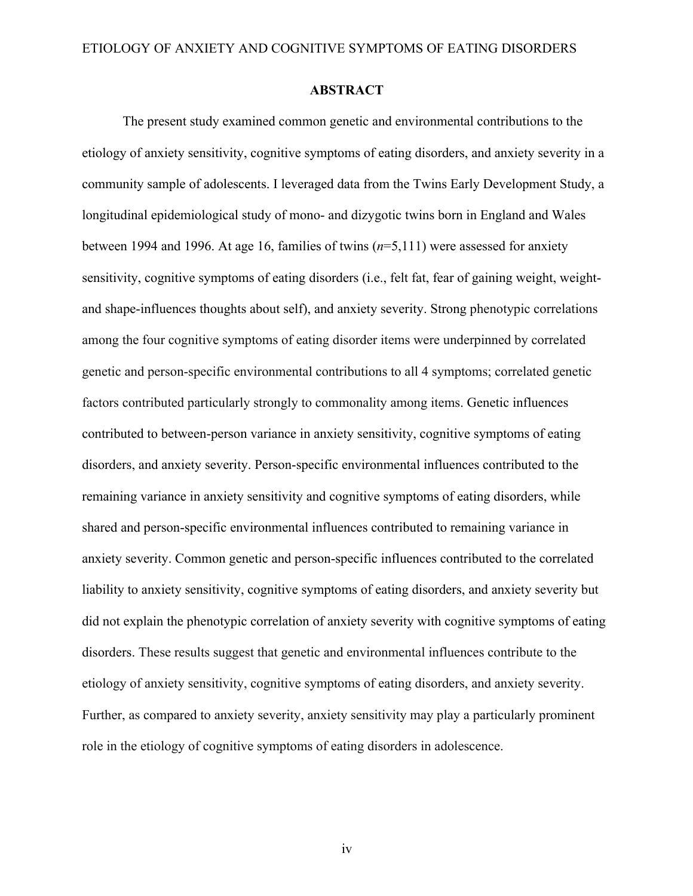#### **ABSTRACT**

The present study examined common genetic and environmental contributions to the etiology of anxiety sensitivity, cognitive symptoms of eating disorders, and anxiety severity in a community sample of adolescents. I leveraged data from the Twins Early Development Study, a longitudinal epidemiological study of mono- and dizygotic twins born in England and Wales between 1994 and 1996. At age 16, families of twins (*n*=5,111) were assessed for anxiety sensitivity, cognitive symptoms of eating disorders (i.e., felt fat, fear of gaining weight, weightand shape-influences thoughts about self), and anxiety severity. Strong phenotypic correlations among the four cognitive symptoms of eating disorder items were underpinned by correlated genetic and person-specific environmental contributions to all 4 symptoms; correlated genetic factors contributed particularly strongly to commonality among items. Genetic influences contributed to between-person variance in anxiety sensitivity, cognitive symptoms of eating disorders, and anxiety severity. Person-specific environmental influences contributed to the remaining variance in anxiety sensitivity and cognitive symptoms of eating disorders, while shared and person-specific environmental influences contributed to remaining variance in anxiety severity. Common genetic and person-specific influences contributed to the correlated liability to anxiety sensitivity, cognitive symptoms of eating disorders, and anxiety severity but did not explain the phenotypic correlation of anxiety severity with cognitive symptoms of eating disorders. These results suggest that genetic and environmental influences contribute to the etiology of anxiety sensitivity, cognitive symptoms of eating disorders, and anxiety severity. Further, as compared to anxiety severity, anxiety sensitivity may play a particularly prominent role in the etiology of cognitive symptoms of eating disorders in adolescence.

iv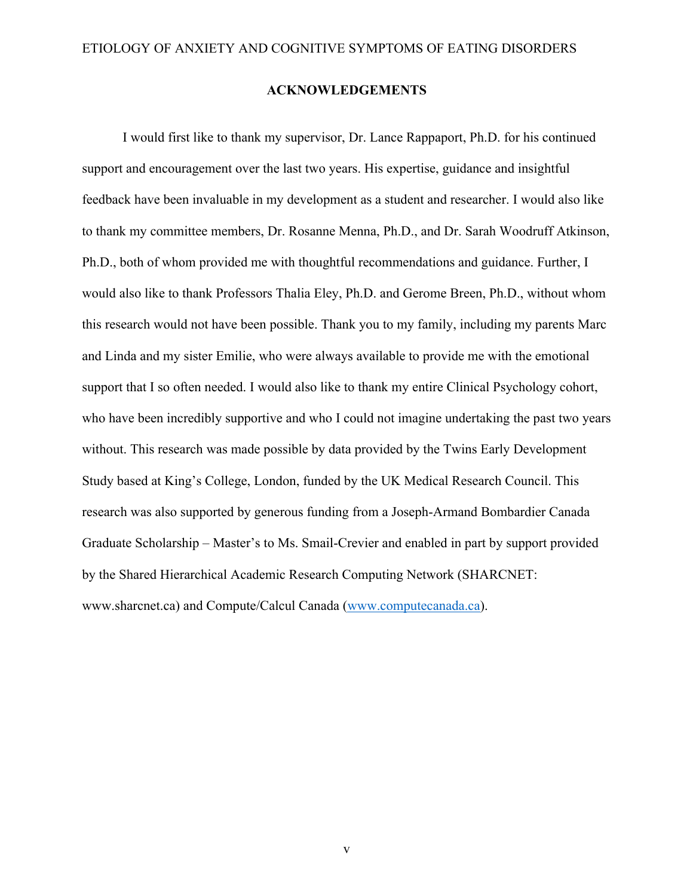#### **ACKNOWLEDGEMENTS**

I would first like to thank my supervisor, Dr. Lance Rappaport, Ph.D. for his continued support and encouragement over the last two years. His expertise, guidance and insightful feedback have been invaluable in my development as a student and researcher. I would also like to thank my committee members, Dr. Rosanne Menna, Ph.D., and Dr. Sarah Woodruff Atkinson, Ph.D., both of whom provided me with thoughtful recommendations and guidance. Further, I would also like to thank Professors Thalia Eley, Ph.D. and Gerome Breen, Ph.D., without whom this research would not have been possible. Thank you to my family, including my parents Marc and Linda and my sister Emilie, who were always available to provide me with the emotional support that I so often needed. I would also like to thank my entire Clinical Psychology cohort, who have been incredibly supportive and who I could not imagine undertaking the past two years without. This research was made possible by data provided by the Twins Early Development Study based at King's College, London, funded by the UK Medical Research Council. This research was also supported by generous funding from a Joseph-Armand Bombardier Canada Graduate Scholarship – Master's to Ms. Smail-Crevier and enabled in part by support provided by the Shared Hierarchical Academic Research Computing Network (SHARCNET: www.sharcnet.ca) and Compute/Calcul Canada (www.computecanada.ca).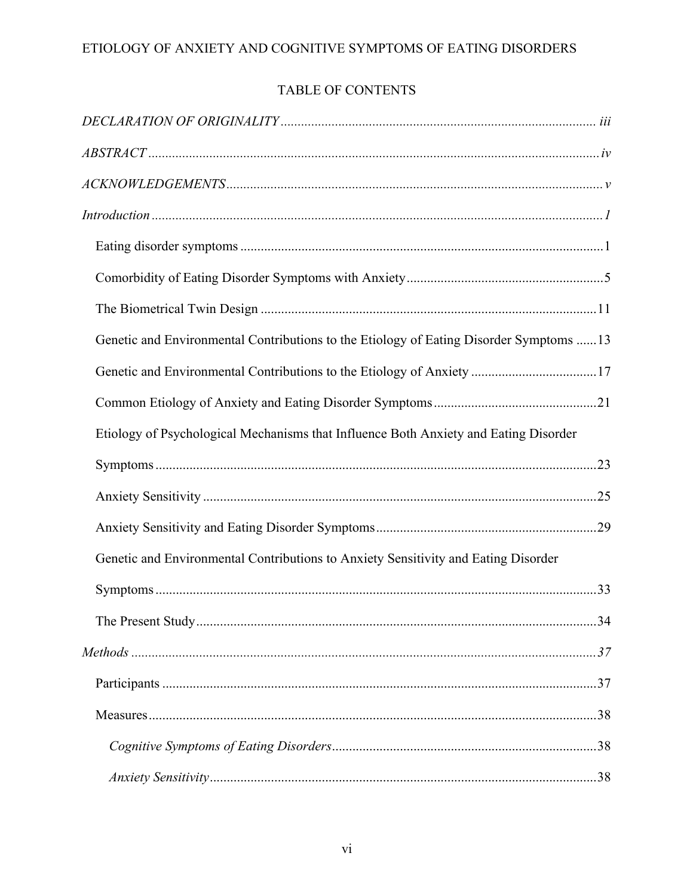# TABLE OF CONTENTS

| Introduction 1                                                                          |
|-----------------------------------------------------------------------------------------|
|                                                                                         |
|                                                                                         |
|                                                                                         |
| Genetic and Environmental Contributions to the Etiology of Eating Disorder Symptoms  13 |
| Genetic and Environmental Contributions to the Etiology of Anxiety 17                   |
|                                                                                         |
| Etiology of Psychological Mechanisms that Influence Both Anxiety and Eating Disorder    |
|                                                                                         |
|                                                                                         |
|                                                                                         |
| Genetic and Environmental Contributions to Anxiety Sensitivity and Eating Disorder      |
|                                                                                         |
|                                                                                         |
|                                                                                         |
|                                                                                         |
|                                                                                         |
|                                                                                         |
|                                                                                         |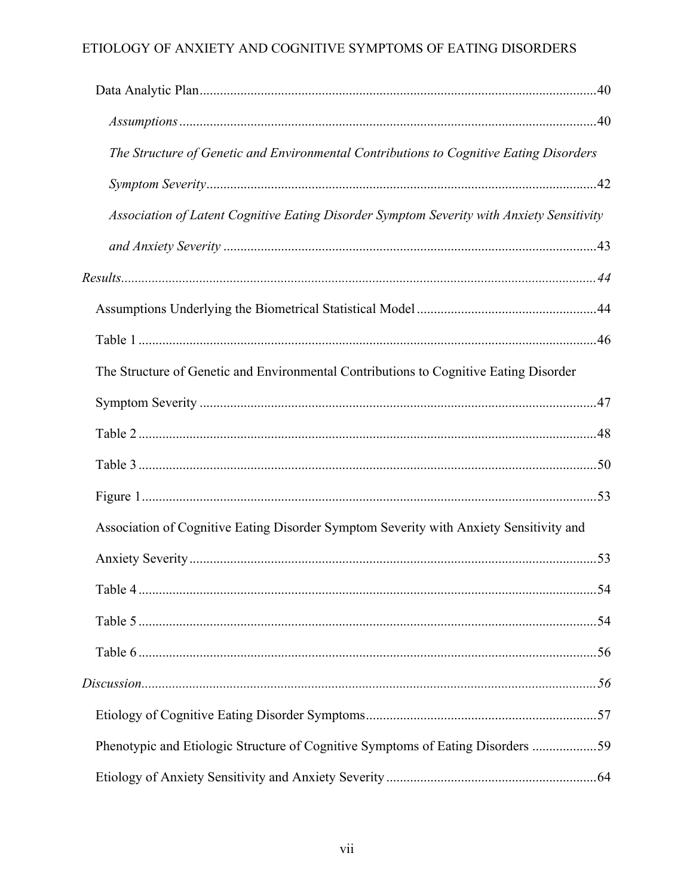| The Structure of Genetic and Environmental Contributions to Cognitive Eating Disorders    |  |
|-------------------------------------------------------------------------------------------|--|
|                                                                                           |  |
| Association of Latent Cognitive Eating Disorder Symptom Severity with Anxiety Sensitivity |  |
|                                                                                           |  |
|                                                                                           |  |
|                                                                                           |  |
|                                                                                           |  |
| The Structure of Genetic and Environmental Contributions to Cognitive Eating Disorder     |  |
|                                                                                           |  |
|                                                                                           |  |
|                                                                                           |  |
|                                                                                           |  |
| Association of Cognitive Eating Disorder Symptom Severity with Anxiety Sensitivity and    |  |
|                                                                                           |  |
|                                                                                           |  |
|                                                                                           |  |
|                                                                                           |  |
|                                                                                           |  |
|                                                                                           |  |
| Phenotypic and Etiologic Structure of Cognitive Symptoms of Eating Disorders 59           |  |
|                                                                                           |  |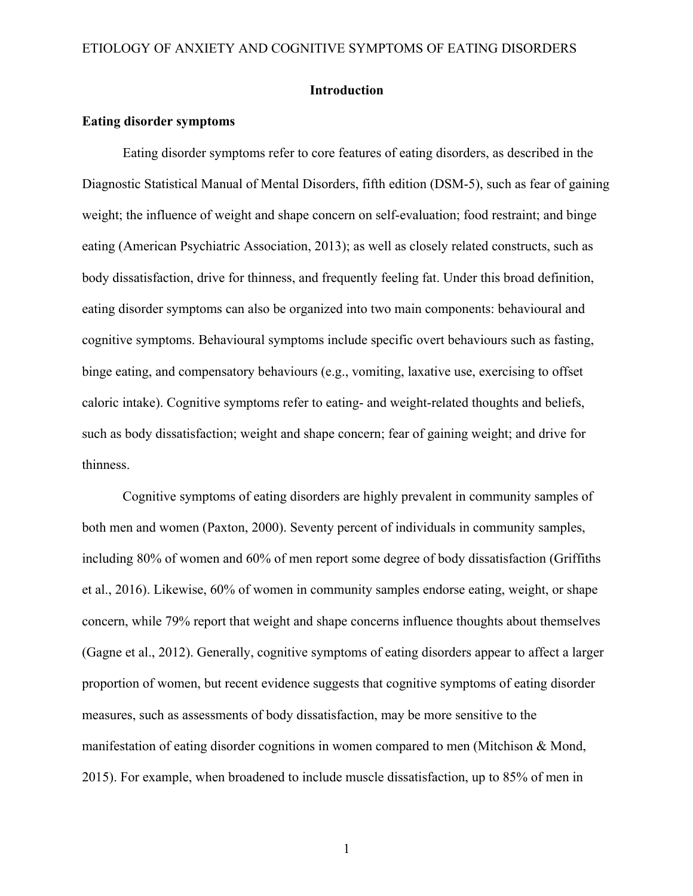### **Introduction**

#### **Eating disorder symptoms**

Eating disorder symptoms refer to core features of eating disorders, as described in the Diagnostic Statistical Manual of Mental Disorders, fifth edition (DSM-5), such as fear of gaining weight; the influence of weight and shape concern on self-evaluation; food restraint; and binge eating (American Psychiatric Association, 2013); as well as closely related constructs, such as body dissatisfaction, drive for thinness, and frequently feeling fat. Under this broad definition, eating disorder symptoms can also be organized into two main components: behavioural and cognitive symptoms. Behavioural symptoms include specific overt behaviours such as fasting, binge eating, and compensatory behaviours (e.g., vomiting, laxative use, exercising to offset caloric intake). Cognitive symptoms refer to eating- and weight-related thoughts and beliefs, such as body dissatisfaction; weight and shape concern; fear of gaining weight; and drive for thinness.

Cognitive symptoms of eating disorders are highly prevalent in community samples of both men and women (Paxton, 2000). Seventy percent of individuals in community samples, including 80% of women and 60% of men report some degree of body dissatisfaction (Griffiths et al., 2016). Likewise, 60% of women in community samples endorse eating, weight, or shape concern, while 79% report that weight and shape concerns influence thoughts about themselves (Gagne et al., 2012). Generally, cognitive symptoms of eating disorders appear to affect a larger proportion of women, but recent evidence suggests that cognitive symptoms of eating disorder measures, such as assessments of body dissatisfaction, may be more sensitive to the manifestation of eating disorder cognitions in women compared to men (Mitchison & Mond, 2015). For example, when broadened to include muscle dissatisfaction, up to 85% of men in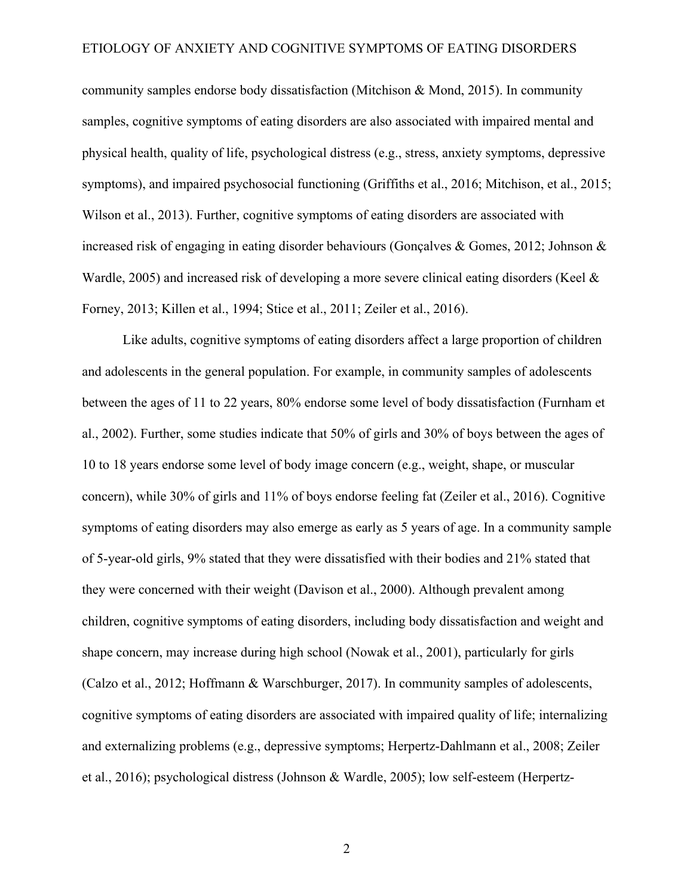community samples endorse body dissatisfaction (Mitchison & Mond, 2015). In community samples, cognitive symptoms of eating disorders are also associated with impaired mental and physical health, quality of life, psychological distress (e.g., stress, anxiety symptoms, depressive symptoms), and impaired psychosocial functioning (Griffiths et al., 2016; Mitchison, et al., 2015; Wilson et al., 2013). Further, cognitive symptoms of eating disorders are associated with increased risk of engaging in eating disorder behaviours (Gonçalves & Gomes, 2012; Johnson & Wardle, 2005) and increased risk of developing a more severe clinical eating disorders (Keel & Forney, 2013; Killen et al., 1994; Stice et al., 2011; Zeiler et al., 2016).

Like adults, cognitive symptoms of eating disorders affect a large proportion of children and adolescents in the general population. For example, in community samples of adolescents between the ages of 11 to 22 years, 80% endorse some level of body dissatisfaction (Furnham et al., 2002). Further, some studies indicate that 50% of girls and 30% of boys between the ages of 10 to 18 years endorse some level of body image concern (e.g., weight, shape, or muscular concern), while 30% of girls and 11% of boys endorse feeling fat (Zeiler et al., 2016). Cognitive symptoms of eating disorders may also emerge as early as 5 years of age. In a community sample of 5-year-old girls, 9% stated that they were dissatisfied with their bodies and 21% stated that they were concerned with their weight (Davison et al., 2000). Although prevalent among children, cognitive symptoms of eating disorders, including body dissatisfaction and weight and shape concern, may increase during high school (Nowak et al., 2001), particularly for girls (Calzo et al., 2012; Hoffmann & Warschburger, 2017). In community samples of adolescents, cognitive symptoms of eating disorders are associated with impaired quality of life; internalizing and externalizing problems (e.g., depressive symptoms; Herpertz-Dahlmann et al., 2008; Zeiler et al., 2016); psychological distress (Johnson & Wardle, 2005); low self-esteem (Herpertz-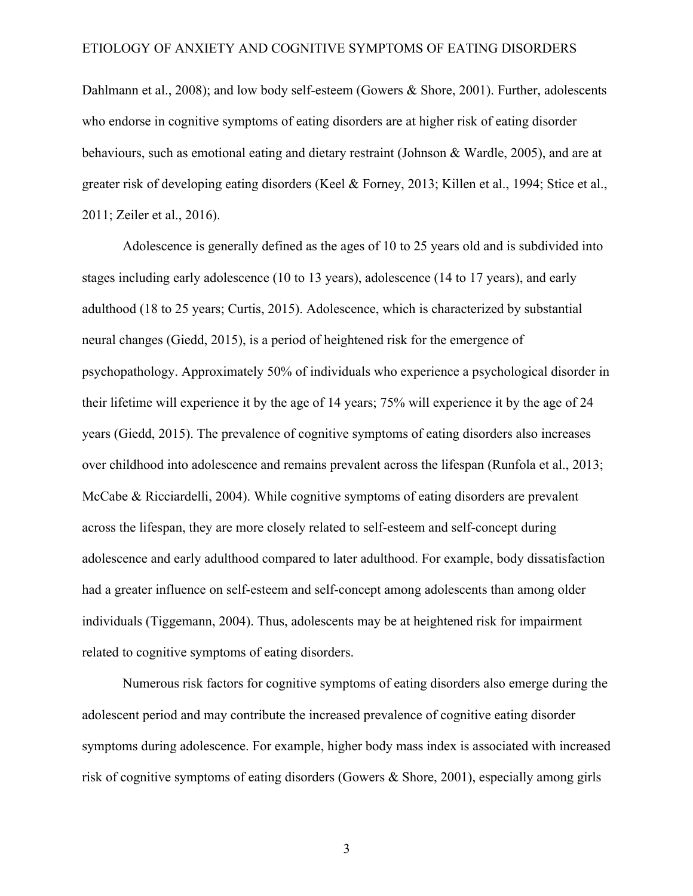Dahlmann et al., 2008); and low body self-esteem (Gowers & Shore, 2001). Further, adolescents who endorse in cognitive symptoms of eating disorders are at higher risk of eating disorder behaviours, such as emotional eating and dietary restraint (Johnson & Wardle, 2005), and are at greater risk of developing eating disorders (Keel & Forney, 2013; Killen et al., 1994; Stice et al., 2011; Zeiler et al., 2016).

Adolescence is generally defined as the ages of 10 to 25 years old and is subdivided into stages including early adolescence (10 to 13 years), adolescence (14 to 17 years), and early adulthood (18 to 25 years; Curtis, 2015). Adolescence, which is characterized by substantial neural changes (Giedd, 2015), is a period of heightened risk for the emergence of psychopathology. Approximately 50% of individuals who experience a psychological disorder in their lifetime will experience it by the age of 14 years; 75% will experience it by the age of 24 years (Giedd, 2015). The prevalence of cognitive symptoms of eating disorders also increases over childhood into adolescence and remains prevalent across the lifespan (Runfola et al., 2013; McCabe & Ricciardelli, 2004). While cognitive symptoms of eating disorders are prevalent across the lifespan, they are more closely related to self-esteem and self-concept during adolescence and early adulthood compared to later adulthood. For example, body dissatisfaction had a greater influence on self-esteem and self-concept among adolescents than among older individuals (Tiggemann, 2004). Thus, adolescents may be at heightened risk for impairment related to cognitive symptoms of eating disorders.

Numerous risk factors for cognitive symptoms of eating disorders also emerge during the adolescent period and may contribute the increased prevalence of cognitive eating disorder symptoms during adolescence. For example, higher body mass index is associated with increased risk of cognitive symptoms of eating disorders (Gowers & Shore, 2001), especially among girls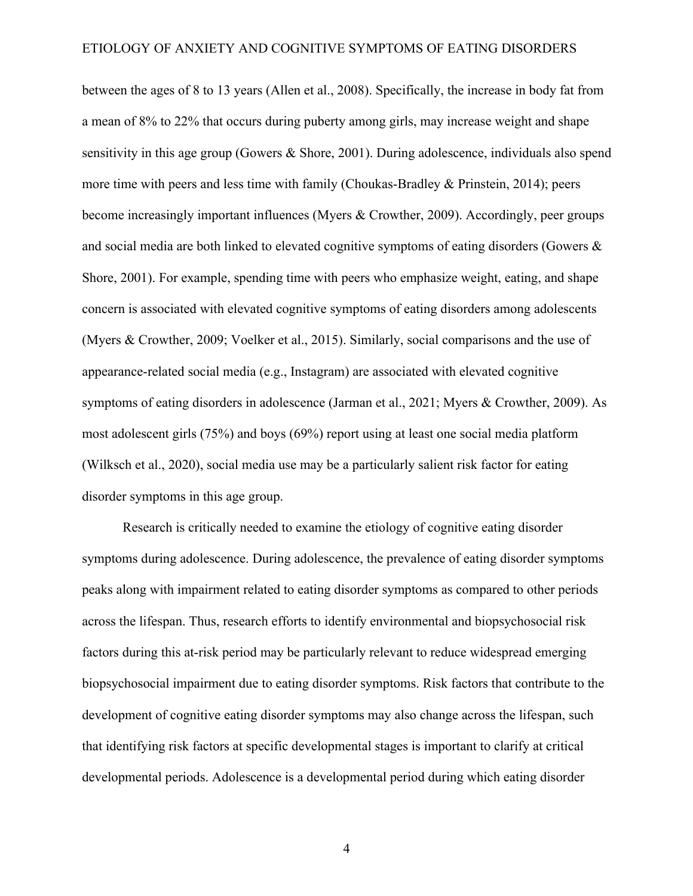between the ages of 8 to 13 years (Allen et al., 2008). Specifically, the increase in body fat from a mean of 8% to 22% that occurs during puberty among girls, may increase weight and shape sensitivity in this age group (Gowers & Shore, 2001). During adolescence, individuals also spend more time with peers and less time with family (Choukas-Bradley & Prinstein, 2014); peers become increasingly important influences (Myers & Crowther, 2009). Accordingly, peer groups and social media are both linked to elevated cognitive symptoms of eating disorders (Gowers & Shore, 2001). For example, spending time with peers who emphasize weight, eating, and shape concern is associated with elevated cognitive symptoms of eating disorders among adolescents (Myers & Crowther, 2009; Voelker et al., 2015). Similarly, social comparisons and the use of appearance-related social media (e.g., Instagram) are associated with elevated cognitive symptoms of eating disorders in adolescence (Jarman et al., 2021; Myers & Crowther, 2009). As most adolescent girls (75%) and boys (69%) report using at least one social media platform (Wilksch et al., 2020), social media use may be a particularly salient risk factor for eating disorder symptoms in this age group.

Research is critically needed to examine the etiology of cognitive eating disorder symptoms during adolescence. During adolescence, the prevalence of eating disorder symptoms peaks along with impairment related to eating disorder symptoms as compared to other periods across the lifespan. Thus, research efforts to identify environmental and biopsychosocial risk factors during this at-risk period may be particularly relevant to reduce widespread emerging biopsychosocial impairment due to eating disorder symptoms. Risk factors that contribute to the development of cognitive eating disorder symptoms may also change across the lifespan, such that identifying risk factors at specific developmental stages is important to clarify at critical developmental periods. Adolescence is a developmental period during which eating disorder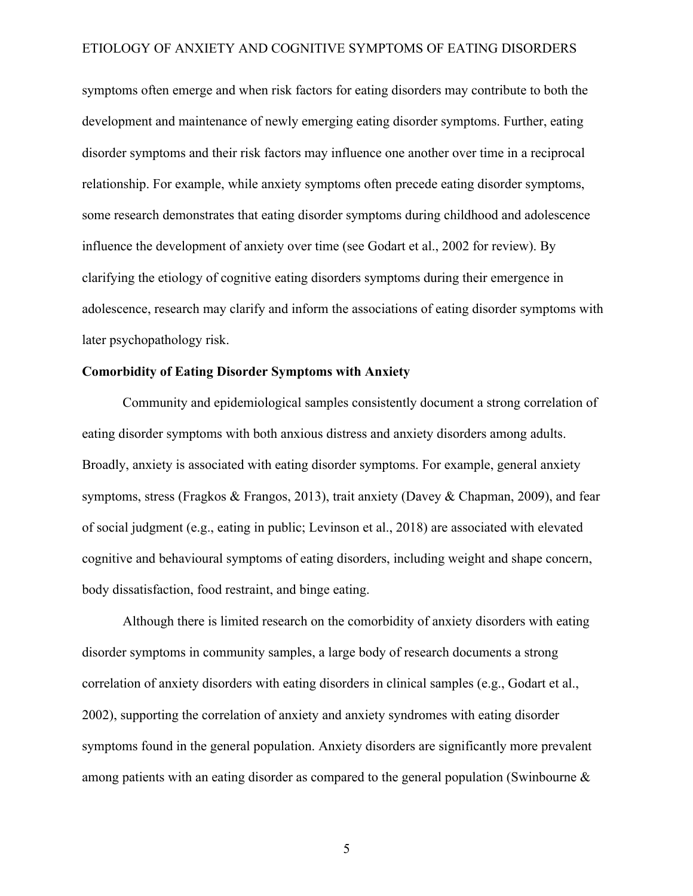symptoms often emerge and when risk factors for eating disorders may contribute to both the development and maintenance of newly emerging eating disorder symptoms. Further, eating disorder symptoms and their risk factors may influence one another over time in a reciprocal relationship. For example, while anxiety symptoms often precede eating disorder symptoms, some research demonstrates that eating disorder symptoms during childhood and adolescence influence the development of anxiety over time (see Godart et al., 2002 for review). By clarifying the etiology of cognitive eating disorders symptoms during their emergence in adolescence, research may clarify and inform the associations of eating disorder symptoms with later psychopathology risk.

#### **Comorbidity of Eating Disorder Symptoms with Anxiety**

Community and epidemiological samples consistently document a strong correlation of eating disorder symptoms with both anxious distress and anxiety disorders among adults. Broadly, anxiety is associated with eating disorder symptoms. For example, general anxiety symptoms, stress (Fragkos & Frangos, 2013), trait anxiety (Davey & Chapman, 2009), and fear of social judgment (e.g., eating in public; Levinson et al., 2018) are associated with elevated cognitive and behavioural symptoms of eating disorders, including weight and shape concern, body dissatisfaction, food restraint, and binge eating.

Although there is limited research on the comorbidity of anxiety disorders with eating disorder symptoms in community samples, a large body of research documents a strong correlation of anxiety disorders with eating disorders in clinical samples (e.g., Godart et al., 2002), supporting the correlation of anxiety and anxiety syndromes with eating disorder symptoms found in the general population. Anxiety disorders are significantly more prevalent among patients with an eating disorder as compared to the general population (Swinbourne &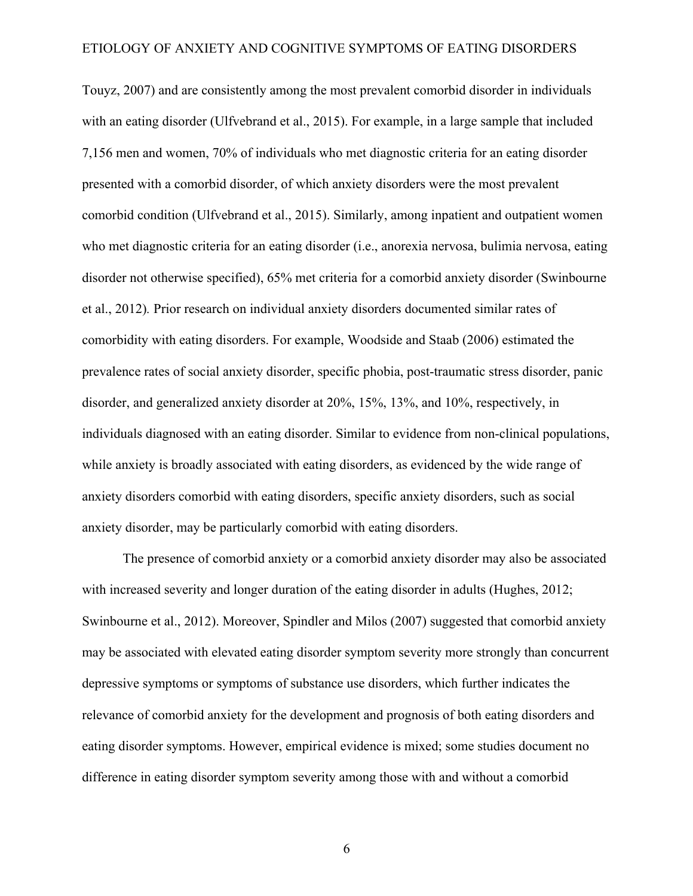Touyz, 2007) and are consistently among the most prevalent comorbid disorder in individuals with an eating disorder (Ulfvebrand et al., 2015). For example, in a large sample that included 7,156 men and women, 70% of individuals who met diagnostic criteria for an eating disorder presented with a comorbid disorder, of which anxiety disorders were the most prevalent comorbid condition (Ulfvebrand et al., 2015). Similarly, among inpatient and outpatient women who met diagnostic criteria for an eating disorder (i.e., anorexia nervosa, bulimia nervosa, eating disorder not otherwise specified), 65% met criteria for a comorbid anxiety disorder (Swinbourne et al., 2012)*.* Prior research on individual anxiety disorders documented similar rates of comorbidity with eating disorders. For example, Woodside and Staab (2006) estimated the prevalence rates of social anxiety disorder, specific phobia, post-traumatic stress disorder, panic disorder, and generalized anxiety disorder at 20%, 15%, 13%, and 10%, respectively, in individuals diagnosed with an eating disorder. Similar to evidence from non-clinical populations, while anxiety is broadly associated with eating disorders, as evidenced by the wide range of anxiety disorders comorbid with eating disorders, specific anxiety disorders, such as social anxiety disorder, may be particularly comorbid with eating disorders.

The presence of comorbid anxiety or a comorbid anxiety disorder may also be associated with increased severity and longer duration of the eating disorder in adults (Hughes, 2012; Swinbourne et al., 2012). Moreover, Spindler and Milos (2007) suggested that comorbid anxiety may be associated with elevated eating disorder symptom severity more strongly than concurrent depressive symptoms or symptoms of substance use disorders, which further indicates the relevance of comorbid anxiety for the development and prognosis of both eating disorders and eating disorder symptoms. However, empirical evidence is mixed; some studies document no difference in eating disorder symptom severity among those with and without a comorbid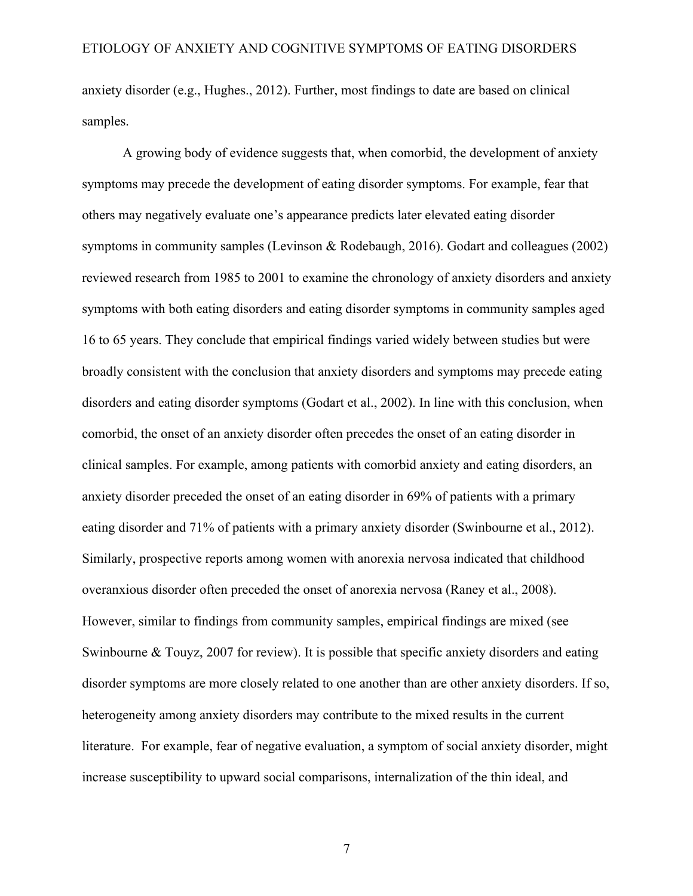anxiety disorder (e.g., Hughes., 2012). Further, most findings to date are based on clinical samples.

A growing body of evidence suggests that, when comorbid, the development of anxiety symptoms may precede the development of eating disorder symptoms. For example, fear that others may negatively evaluate one's appearance predicts later elevated eating disorder symptoms in community samples (Levinson & Rodebaugh, 2016). Godart and colleagues (2002) reviewed research from 1985 to 2001 to examine the chronology of anxiety disorders and anxiety symptoms with both eating disorders and eating disorder symptoms in community samples aged 16 to 65 years. They conclude that empirical findings varied widely between studies but were broadly consistent with the conclusion that anxiety disorders and symptoms may precede eating disorders and eating disorder symptoms (Godart et al., 2002). In line with this conclusion, when comorbid, the onset of an anxiety disorder often precedes the onset of an eating disorder in clinical samples. For example, among patients with comorbid anxiety and eating disorders, an anxiety disorder preceded the onset of an eating disorder in 69% of patients with a primary eating disorder and 71% of patients with a primary anxiety disorder (Swinbourne et al., 2012). Similarly, prospective reports among women with anorexia nervosa indicated that childhood overanxious disorder often preceded the onset of anorexia nervosa (Raney et al., 2008). However, similar to findings from community samples, empirical findings are mixed (see Swinbourne & Touyz, 2007 for review). It is possible that specific anxiety disorders and eating disorder symptoms are more closely related to one another than are other anxiety disorders. If so, heterogeneity among anxiety disorders may contribute to the mixed results in the current literature. For example, fear of negative evaluation, a symptom of social anxiety disorder, might increase susceptibility to upward social comparisons, internalization of the thin ideal, and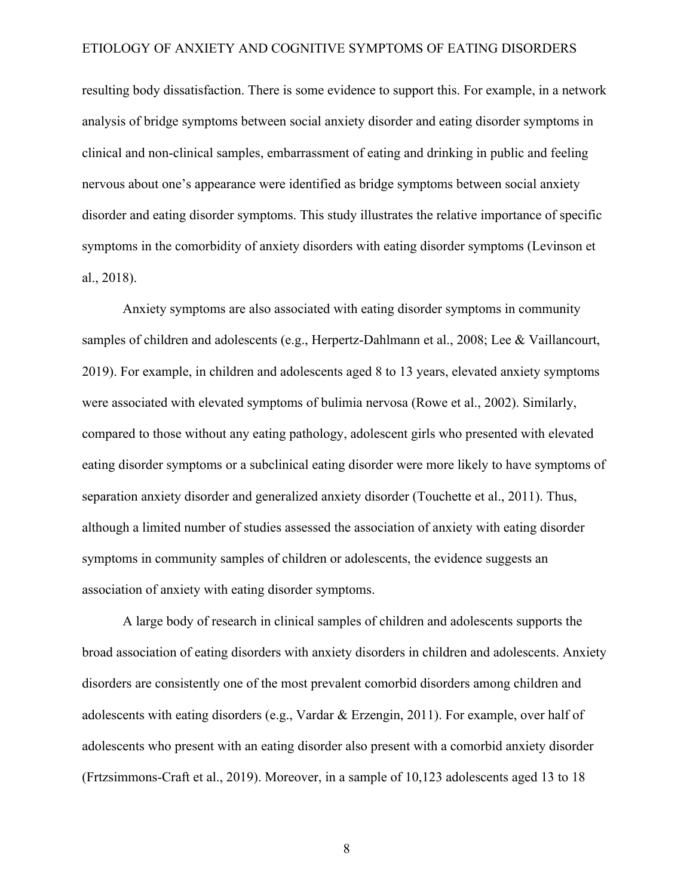resulting body dissatisfaction. There is some evidence to support this. For example, in a network analysis of bridge symptoms between social anxiety disorder and eating disorder symptoms in clinical and non-clinical samples, embarrassment of eating and drinking in public and feeling nervous about one's appearance were identified as bridge symptoms between social anxiety disorder and eating disorder symptoms. This study illustrates the relative importance of specific symptoms in the comorbidity of anxiety disorders with eating disorder symptoms (Levinson et al., 2018).

Anxiety symptoms are also associated with eating disorder symptoms in community samples of children and adolescents (e.g., Herpertz-Dahlmann et al., 2008; Lee & Vaillancourt, 2019). For example, in children and adolescents aged 8 to 13 years, elevated anxiety symptoms were associated with elevated symptoms of bulimia nervosa (Rowe et al., 2002). Similarly, compared to those without any eating pathology, adolescent girls who presented with elevated eating disorder symptoms or a subclinical eating disorder were more likely to have symptoms of separation anxiety disorder and generalized anxiety disorder (Touchette et al., 2011). Thus, although a limited number of studies assessed the association of anxiety with eating disorder symptoms in community samples of children or adolescents, the evidence suggests an association of anxiety with eating disorder symptoms.

A large body of research in clinical samples of children and adolescents supports the broad association of eating disorders with anxiety disorders in children and adolescents. Anxiety disorders are consistently one of the most prevalent comorbid disorders among children and adolescents with eating disorders (e.g., Vardar & Erzengin, 2011). For example, over half of adolescents who present with an eating disorder also present with a comorbid anxiety disorder (Frtzsimmons-Craft et al., 2019). Moreover, in a sample of 10,123 adolescents aged 13 to 18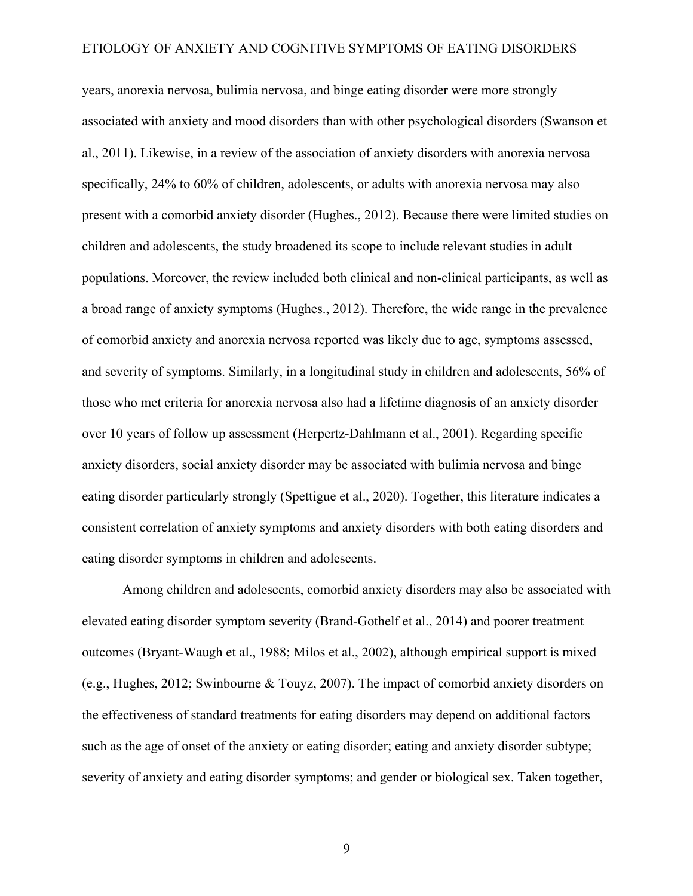years, anorexia nervosa, bulimia nervosa, and binge eating disorder were more strongly associated with anxiety and mood disorders than with other psychological disorders (Swanson et al., 2011). Likewise, in a review of the association of anxiety disorders with anorexia nervosa specifically, 24% to 60% of children, adolescents, or adults with anorexia nervosa may also present with a comorbid anxiety disorder (Hughes., 2012). Because there were limited studies on children and adolescents, the study broadened its scope to include relevant studies in adult populations. Moreover, the review included both clinical and non-clinical participants, as well as a broad range of anxiety symptoms (Hughes., 2012). Therefore, the wide range in the prevalence of comorbid anxiety and anorexia nervosa reported was likely due to age, symptoms assessed, and severity of symptoms. Similarly, in a longitudinal study in children and adolescents, 56% of those who met criteria for anorexia nervosa also had a lifetime diagnosis of an anxiety disorder over 10 years of follow up assessment (Herpertz-Dahlmann et al., 2001). Regarding specific anxiety disorders, social anxiety disorder may be associated with bulimia nervosa and binge eating disorder particularly strongly (Spettigue et al., 2020). Together, this literature indicates a consistent correlation of anxiety symptoms and anxiety disorders with both eating disorders and eating disorder symptoms in children and adolescents.

Among children and adolescents, comorbid anxiety disorders may also be associated with elevated eating disorder symptom severity (Brand-Gothelf et al., 2014) and poorer treatment outcomes (Bryant‐Waugh et al., 1988; Milos et al., 2002), although empirical support is mixed (e.g., Hughes, 2012; Swinbourne & Touyz, 2007). The impact of comorbid anxiety disorders on the effectiveness of standard treatments for eating disorders may depend on additional factors such as the age of onset of the anxiety or eating disorder; eating and anxiety disorder subtype; severity of anxiety and eating disorder symptoms; and gender or biological sex. Taken together,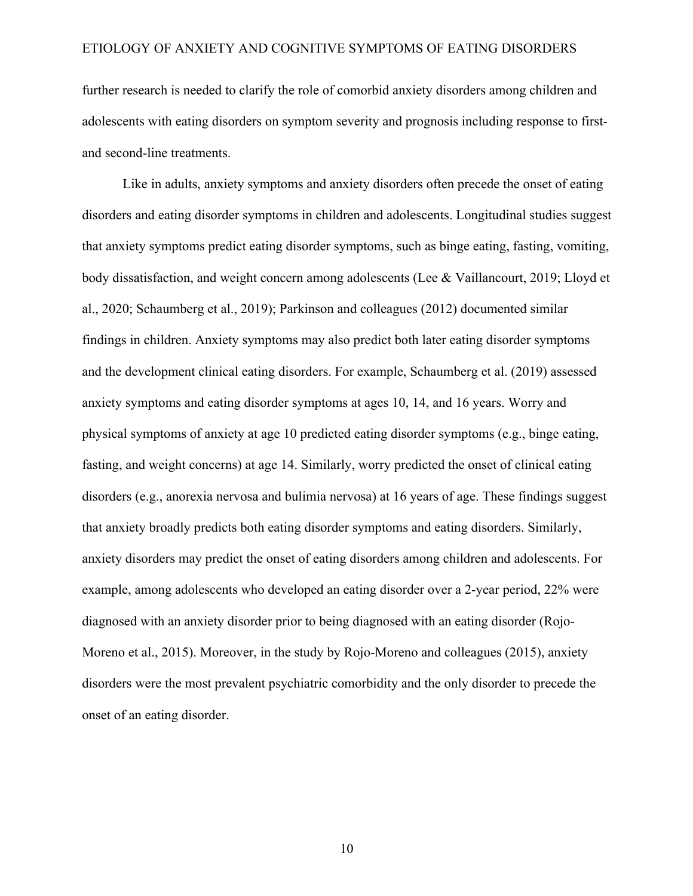further research is needed to clarify the role of comorbid anxiety disorders among children and adolescents with eating disorders on symptom severity and prognosis including response to firstand second-line treatments.

Like in adults, anxiety symptoms and anxiety disorders often precede the onset of eating disorders and eating disorder symptoms in children and adolescents. Longitudinal studies suggest that anxiety symptoms predict eating disorder symptoms, such as binge eating, fasting, vomiting, body dissatisfaction, and weight concern among adolescents (Lee & Vaillancourt, 2019; Lloyd et al., 2020; Schaumberg et al., 2019); Parkinson and colleagues (2012) documented similar findings in children. Anxiety symptoms may also predict both later eating disorder symptoms and the development clinical eating disorders. For example, Schaumberg et al. (2019) assessed anxiety symptoms and eating disorder symptoms at ages 10, 14, and 16 years. Worry and physical symptoms of anxiety at age 10 predicted eating disorder symptoms (e.g., binge eating, fasting, and weight concerns) at age 14. Similarly, worry predicted the onset of clinical eating disorders (e.g., anorexia nervosa and bulimia nervosa) at 16 years of age. These findings suggest that anxiety broadly predicts both eating disorder symptoms and eating disorders. Similarly, anxiety disorders may predict the onset of eating disorders among children and adolescents. For example, among adolescents who developed an eating disorder over a 2-year period, 22% were diagnosed with an anxiety disorder prior to being diagnosed with an eating disorder (Rojo-Moreno et al., 2015). Moreover, in the study by Rojo-Moreno and colleagues (2015), anxiety disorders were the most prevalent psychiatric comorbidity and the only disorder to precede the onset of an eating disorder.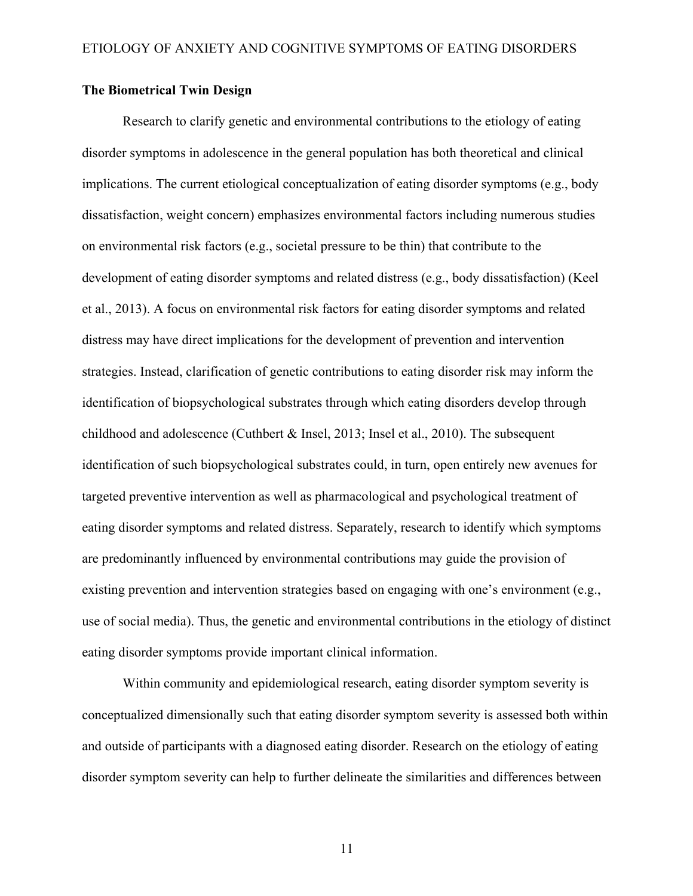### **The Biometrical Twin Design**

Research to clarify genetic and environmental contributions to the etiology of eating disorder symptoms in adolescence in the general population has both theoretical and clinical implications. The current etiological conceptualization of eating disorder symptoms (e.g., body dissatisfaction, weight concern) emphasizes environmental factors including numerous studies on environmental risk factors (e.g., societal pressure to be thin) that contribute to the development of eating disorder symptoms and related distress (e.g., body dissatisfaction) (Keel et al., 2013). A focus on environmental risk factors for eating disorder symptoms and related distress may have direct implications for the development of prevention and intervention strategies. Instead, clarification of genetic contributions to eating disorder risk may inform the identification of biopsychological substrates through which eating disorders develop through childhood and adolescence (Cuthbert & Insel, 2013; Insel et al., 2010). The subsequent identification of such biopsychological substrates could, in turn, open entirely new avenues for targeted preventive intervention as well as pharmacological and psychological treatment of eating disorder symptoms and related distress. Separately, research to identify which symptoms are predominantly influenced by environmental contributions may guide the provision of existing prevention and intervention strategies based on engaging with one's environment (e.g., use of social media). Thus, the genetic and environmental contributions in the etiology of distinct eating disorder symptoms provide important clinical information.

Within community and epidemiological research, eating disorder symptom severity is conceptualized dimensionally such that eating disorder symptom severity is assessed both within and outside of participants with a diagnosed eating disorder. Research on the etiology of eating disorder symptom severity can help to further delineate the similarities and differences between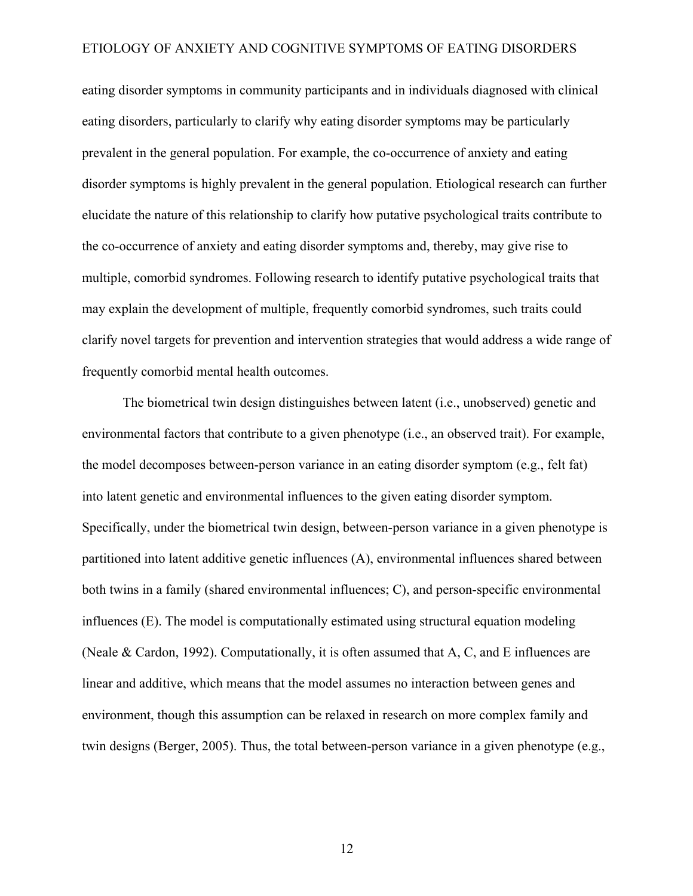eating disorder symptoms in community participants and in individuals diagnosed with clinical eating disorders, particularly to clarify why eating disorder symptoms may be particularly prevalent in the general population. For example, the co-occurrence of anxiety and eating disorder symptoms is highly prevalent in the general population. Etiological research can further elucidate the nature of this relationship to clarify how putative psychological traits contribute to the co-occurrence of anxiety and eating disorder symptoms and, thereby, may give rise to multiple, comorbid syndromes. Following research to identify putative psychological traits that may explain the development of multiple, frequently comorbid syndromes, such traits could clarify novel targets for prevention and intervention strategies that would address a wide range of frequently comorbid mental health outcomes.

The biometrical twin design distinguishes between latent (i.e., unobserved) genetic and environmental factors that contribute to a given phenotype (i.e., an observed trait). For example, the model decomposes between-person variance in an eating disorder symptom (e.g., felt fat) into latent genetic and environmental influences to the given eating disorder symptom. Specifically, under the biometrical twin design, between-person variance in a given phenotype is partitioned into latent additive genetic influences (A), environmental influences shared between both twins in a family (shared environmental influences; C), and person-specific environmental influences (E). The model is computationally estimated using structural equation modeling (Neale & Cardon, 1992). Computationally, it is often assumed that A, C, and E influences are linear and additive, which means that the model assumes no interaction between genes and environment, though this assumption can be relaxed in research on more complex family and twin designs (Berger, 2005). Thus, the total between-person variance in a given phenotype (e.g.,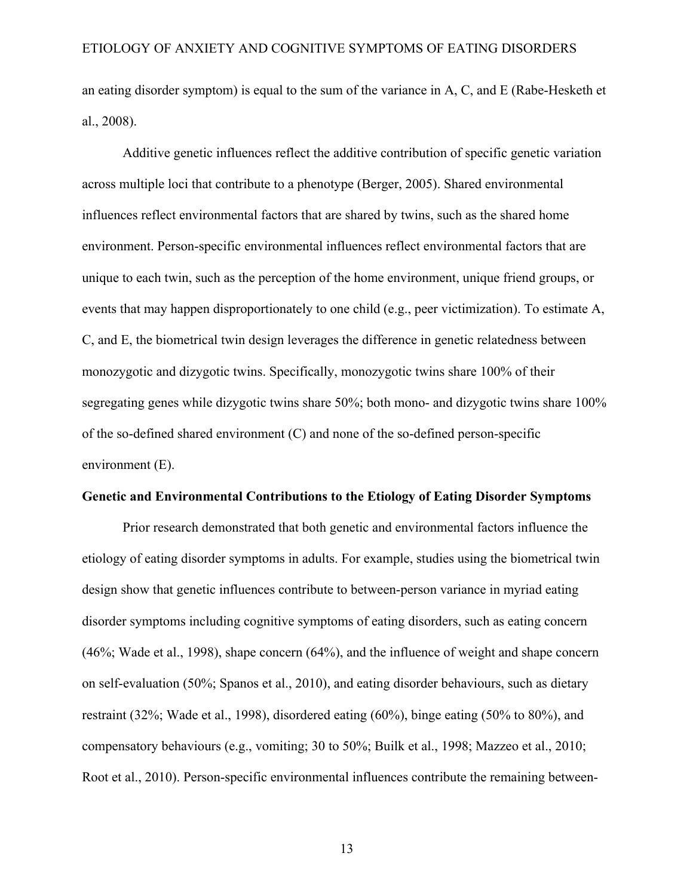an eating disorder symptom) is equal to the sum of the variance in A, C, and E (Rabe-Hesketh et al., 2008).

Additive genetic influences reflect the additive contribution of specific genetic variation across multiple loci that contribute to a phenotype (Berger, 2005). Shared environmental influences reflect environmental factors that are shared by twins, such as the shared home environment. Person-specific environmental influences reflect environmental factors that are unique to each twin, such as the perception of the home environment, unique friend groups, or events that may happen disproportionately to one child (e.g., peer victimization). To estimate A, C, and E, the biometrical twin design leverages the difference in genetic relatedness between monozygotic and dizygotic twins. Specifically, monozygotic twins share 100% of their segregating genes while dizygotic twins share 50%; both mono- and dizygotic twins share 100% of the so-defined shared environment (C) and none of the so-defined person-specific environment (E).

#### **Genetic and Environmental Contributions to the Etiology of Eating Disorder Symptoms**

Prior research demonstrated that both genetic and environmental factors influence the etiology of eating disorder symptoms in adults. For example, studies using the biometrical twin design show that genetic influences contribute to between-person variance in myriad eating disorder symptoms including cognitive symptoms of eating disorders, such as eating concern (46%; Wade et al., 1998), shape concern (64%), and the influence of weight and shape concern on self-evaluation (50%; Spanos et al., 2010), and eating disorder behaviours, such as dietary restraint (32%; Wade et al., 1998), disordered eating (60%), binge eating (50% to 80%), and compensatory behaviours (e.g., vomiting; 30 to 50%; Builk et al., 1998; Mazzeo et al., 2010; Root et al., 2010). Person-specific environmental influences contribute the remaining between-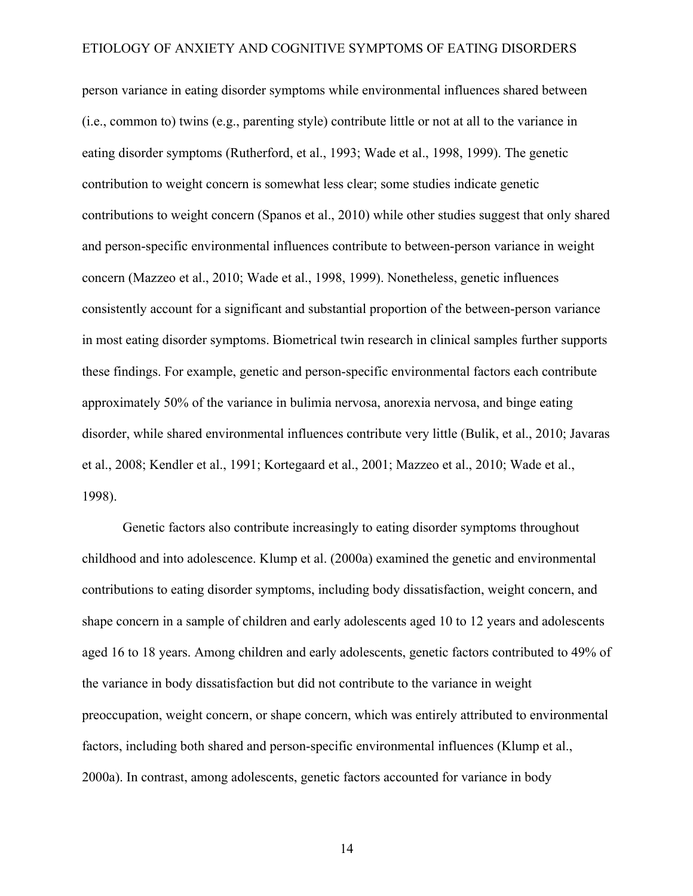person variance in eating disorder symptoms while environmental influences shared between (i.e., common to) twins (e.g., parenting style) contribute little or not at all to the variance in eating disorder symptoms (Rutherford, et al., 1993; Wade et al., 1998, 1999). The genetic contribution to weight concern is somewhat less clear; some studies indicate genetic contributions to weight concern (Spanos et al., 2010) while other studies suggest that only shared and person-specific environmental influences contribute to between-person variance in weight concern (Mazzeo et al., 2010; Wade et al., 1998, 1999). Nonetheless, genetic influences consistently account for a significant and substantial proportion of the between-person variance in most eating disorder symptoms. Biometrical twin research in clinical samples further supports these findings. For example, genetic and person-specific environmental factors each contribute approximately 50% of the variance in bulimia nervosa, anorexia nervosa, and binge eating disorder, while shared environmental influences contribute very little (Bulik, et al., 2010; Javaras et al., 2008; Kendler et al., 1991; Kortegaard et al., 2001; Mazzeo et al., 2010; Wade et al., 1998).

Genetic factors also contribute increasingly to eating disorder symptoms throughout childhood and into adolescence. Klump et al. (2000a) examined the genetic and environmental contributions to eating disorder symptoms, including body dissatisfaction, weight concern, and shape concern in a sample of children and early adolescents aged 10 to 12 years and adolescents aged 16 to 18 years. Among children and early adolescents, genetic factors contributed to 49% of the variance in body dissatisfaction but did not contribute to the variance in weight preoccupation, weight concern, or shape concern, which was entirely attributed to environmental factors, including both shared and person-specific environmental influences (Klump et al., 2000a). In contrast, among adolescents, genetic factors accounted for variance in body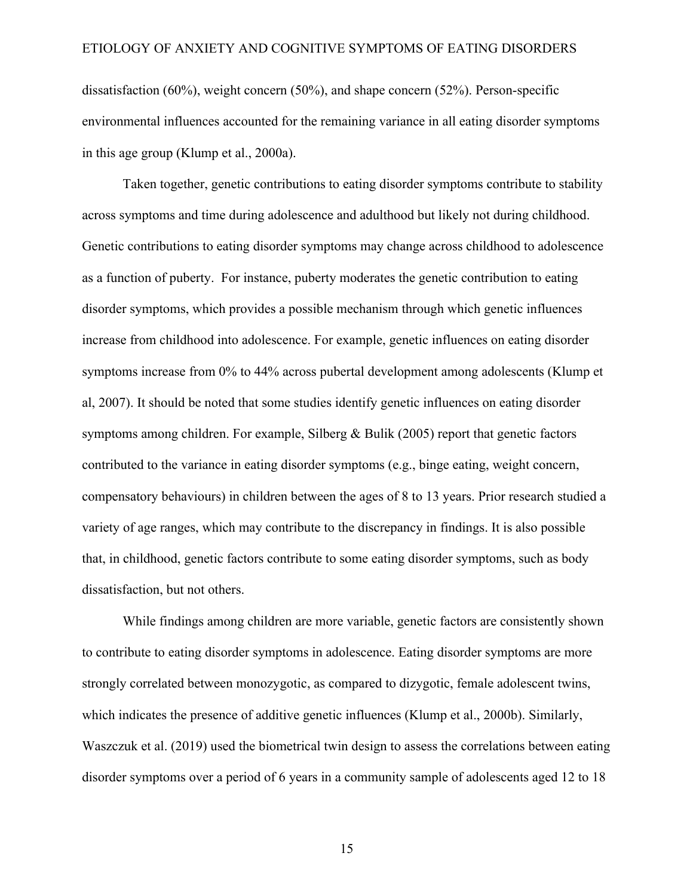dissatisfaction (60%), weight concern (50%), and shape concern (52%). Person-specific environmental influences accounted for the remaining variance in all eating disorder symptoms in this age group (Klump et al., 2000a).

Taken together, genetic contributions to eating disorder symptoms contribute to stability across symptoms and time during adolescence and adulthood but likely not during childhood. Genetic contributions to eating disorder symptoms may change across childhood to adolescence as a function of puberty. For instance, puberty moderates the genetic contribution to eating disorder symptoms, which provides a possible mechanism through which genetic influences increase from childhood into adolescence. For example, genetic influences on eating disorder symptoms increase from 0% to 44% across pubertal development among adolescents (Klump et al, 2007). It should be noted that some studies identify genetic influences on eating disorder symptoms among children. For example, Silberg  $\&$  Bulik (2005) report that genetic factors contributed to the variance in eating disorder symptoms (e.g., binge eating, weight concern, compensatory behaviours) in children between the ages of 8 to 13 years. Prior research studied a variety of age ranges, which may contribute to the discrepancy in findings. It is also possible that, in childhood, genetic factors contribute to some eating disorder symptoms, such as body dissatisfaction, but not others.

While findings among children are more variable, genetic factors are consistently shown to contribute to eating disorder symptoms in adolescence. Eating disorder symptoms are more strongly correlated between monozygotic, as compared to dizygotic, female adolescent twins, which indicates the presence of additive genetic influences (Klump et al., 2000b). Similarly, Waszczuk et al. (2019) used the biometrical twin design to assess the correlations between eating disorder symptoms over a period of 6 years in a community sample of adolescents aged 12 to 18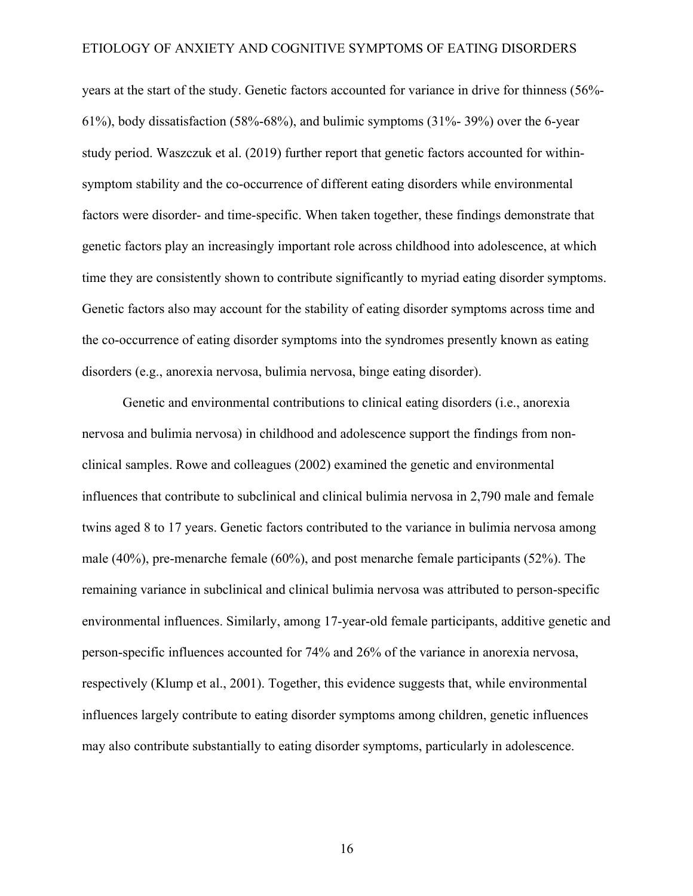years at the start of the study. Genetic factors accounted for variance in drive for thinness (56%- 61%), body dissatisfaction (58%-68%), and bulimic symptoms (31%- 39%) over the 6-year study period. Waszczuk et al. (2019) further report that genetic factors accounted for withinsymptom stability and the co-occurrence of different eating disorders while environmental factors were disorder- and time-specific. When taken together, these findings demonstrate that genetic factors play an increasingly important role across childhood into adolescence, at which time they are consistently shown to contribute significantly to myriad eating disorder symptoms. Genetic factors also may account for the stability of eating disorder symptoms across time and the co-occurrence of eating disorder symptoms into the syndromes presently known as eating disorders (e.g., anorexia nervosa, bulimia nervosa, binge eating disorder).

Genetic and environmental contributions to clinical eating disorders (i.e., anorexia nervosa and bulimia nervosa) in childhood and adolescence support the findings from nonclinical samples. Rowe and colleagues (2002) examined the genetic and environmental influences that contribute to subclinical and clinical bulimia nervosa in 2,790 male and female twins aged 8 to 17 years. Genetic factors contributed to the variance in bulimia nervosa among male (40%), pre-menarche female (60%), and post menarche female participants (52%). The remaining variance in subclinical and clinical bulimia nervosa was attributed to person-specific environmental influences. Similarly, among 17-year-old female participants, additive genetic and person-specific influences accounted for 74% and 26% of the variance in anorexia nervosa, respectively (Klump et al., 2001). Together, this evidence suggests that, while environmental influences largely contribute to eating disorder symptoms among children, genetic influences may also contribute substantially to eating disorder symptoms, particularly in adolescence.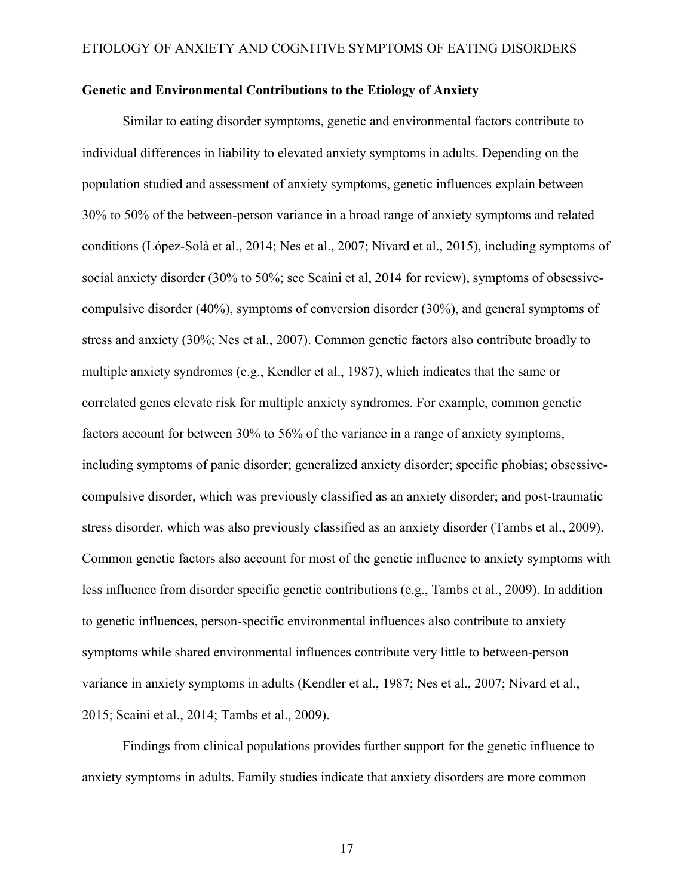### **Genetic and Environmental Contributions to the Etiology of Anxiety**

Similar to eating disorder symptoms, genetic and environmental factors contribute to individual differences in liability to elevated anxiety symptoms in adults. Depending on the population studied and assessment of anxiety symptoms, genetic influences explain between 30% to 50% of the between-person variance in a broad range of anxiety symptoms and related conditions (López-Solà et al., 2014; Nes et al., 2007; Nivard et al., 2015), including symptoms of social anxiety disorder (30% to 50%; see Scaini et al, 2014 for review), symptoms of obsessivecompulsive disorder (40%), symptoms of conversion disorder (30%), and general symptoms of stress and anxiety (30%; Nes et al., 2007). Common genetic factors also contribute broadly to multiple anxiety syndromes (e.g., Kendler et al., 1987), which indicates that the same or correlated genes elevate risk for multiple anxiety syndromes. For example, common genetic factors account for between 30% to 56% of the variance in a range of anxiety symptoms, including symptoms of panic disorder; generalized anxiety disorder; specific phobias; obsessivecompulsive disorder, which was previously classified as an anxiety disorder; and post-traumatic stress disorder, which was also previously classified as an anxiety disorder (Tambs et al., 2009). Common genetic factors also account for most of the genetic influence to anxiety symptoms with less influence from disorder specific genetic contributions (e.g., Tambs et al., 2009). In addition to genetic influences, person-specific environmental influences also contribute to anxiety symptoms while shared environmental influences contribute very little to between-person variance in anxiety symptoms in adults (Kendler et al., 1987; Nes et al., 2007; Nivard et al., 2015; Scaini et al., 2014; Tambs et al., 2009).

Findings from clinical populations provides further support for the genetic influence to anxiety symptoms in adults. Family studies indicate that anxiety disorders are more common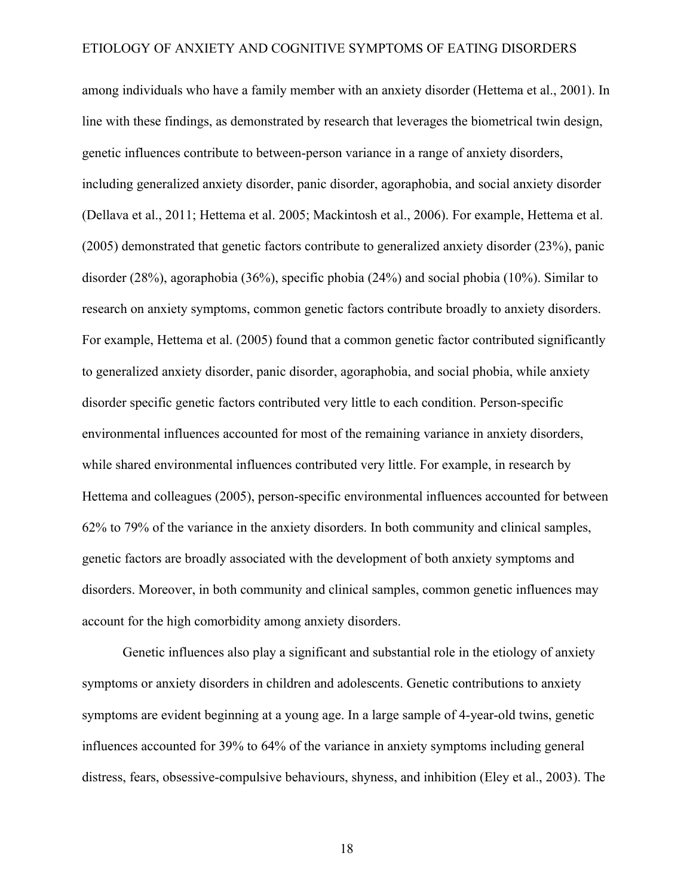among individuals who have a family member with an anxiety disorder (Hettema et al., 2001). In line with these findings, as demonstrated by research that leverages the biometrical twin design, genetic influences contribute to between-person variance in a range of anxiety disorders, including generalized anxiety disorder, panic disorder, agoraphobia, and social anxiety disorder (Dellava et al., 2011; Hettema et al. 2005; Mackintosh et al., 2006). For example, Hettema et al. (2005) demonstrated that genetic factors contribute to generalized anxiety disorder (23%), panic disorder (28%), agoraphobia (36%), specific phobia (24%) and social phobia (10%). Similar to research on anxiety symptoms, common genetic factors contribute broadly to anxiety disorders. For example, Hettema et al. (2005) found that a common genetic factor contributed significantly to generalized anxiety disorder, panic disorder, agoraphobia, and social phobia, while anxiety disorder specific genetic factors contributed very little to each condition. Person-specific environmental influences accounted for most of the remaining variance in anxiety disorders, while shared environmental influences contributed very little. For example, in research by Hettema and colleagues (2005), person-specific environmental influences accounted for between 62% to 79% of the variance in the anxiety disorders. In both community and clinical samples, genetic factors are broadly associated with the development of both anxiety symptoms and disorders. Moreover, in both community and clinical samples, common genetic influences may account for the high comorbidity among anxiety disorders.

Genetic influences also play a significant and substantial role in the etiology of anxiety symptoms or anxiety disorders in children and adolescents. Genetic contributions to anxiety symptoms are evident beginning at a young age. In a large sample of 4-year-old twins, genetic influences accounted for 39% to 64% of the variance in anxiety symptoms including general distress, fears, obsessive-compulsive behaviours, shyness, and inhibition (Eley et al., 2003). The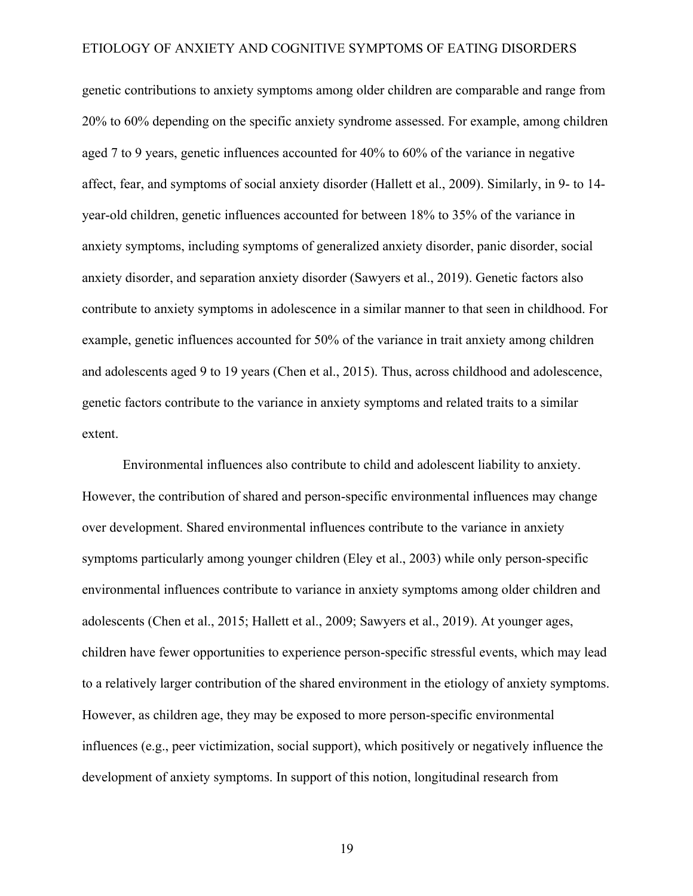genetic contributions to anxiety symptoms among older children are comparable and range from 20% to 60% depending on the specific anxiety syndrome assessed. For example, among children aged 7 to 9 years, genetic influences accounted for 40% to 60% of the variance in negative affect, fear, and symptoms of social anxiety disorder (Hallett et al., 2009). Similarly, in 9- to 14 year-old children, genetic influences accounted for between 18% to 35% of the variance in anxiety symptoms, including symptoms of generalized anxiety disorder, panic disorder, social anxiety disorder, and separation anxiety disorder (Sawyers et al., 2019). Genetic factors also contribute to anxiety symptoms in adolescence in a similar manner to that seen in childhood. For example, genetic influences accounted for 50% of the variance in trait anxiety among children and adolescents aged 9 to 19 years (Chen et al., 2015). Thus, across childhood and adolescence, genetic factors contribute to the variance in anxiety symptoms and related traits to a similar extent.

Environmental influences also contribute to child and adolescent liability to anxiety. However, the contribution of shared and person-specific environmental influences may change over development. Shared environmental influences contribute to the variance in anxiety symptoms particularly among younger children (Eley et al., 2003) while only person-specific environmental influences contribute to variance in anxiety symptoms among older children and adolescents (Chen et al., 2015; Hallett et al., 2009; Sawyers et al., 2019). At younger ages, children have fewer opportunities to experience person-specific stressful events, which may lead to a relatively larger contribution of the shared environment in the etiology of anxiety symptoms. However, as children age, they may be exposed to more person-specific environmental influences (e.g., peer victimization, social support), which positively or negatively influence the development of anxiety symptoms. In support of this notion, longitudinal research from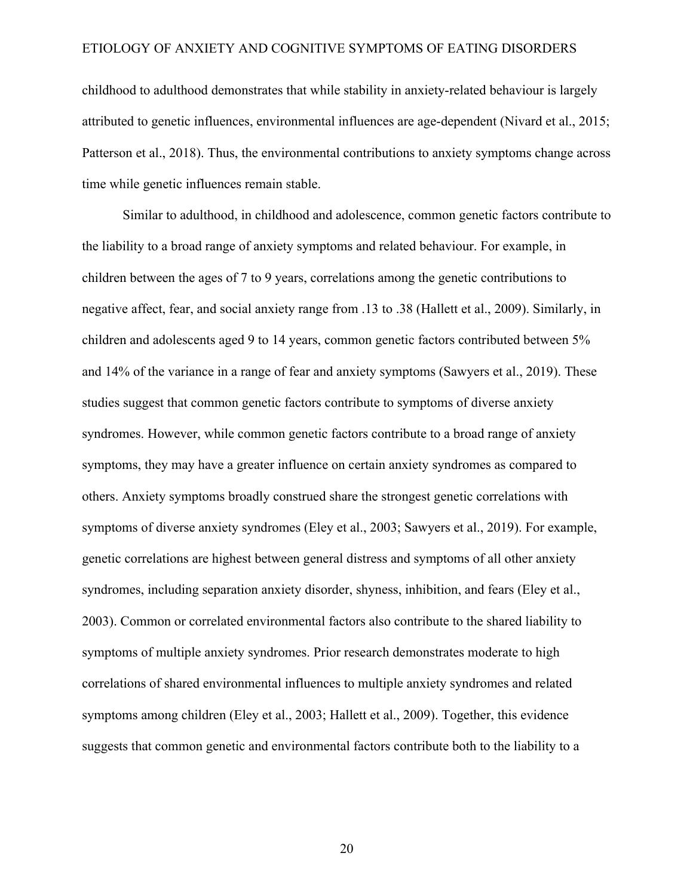childhood to adulthood demonstrates that while stability in anxiety-related behaviour is largely attributed to genetic influences, environmental influences are age-dependent (Nivard et al., 2015; Patterson et al., 2018). Thus, the environmental contributions to anxiety symptoms change across time while genetic influences remain stable.

Similar to adulthood, in childhood and adolescence, common genetic factors contribute to the liability to a broad range of anxiety symptoms and related behaviour. For example, in children between the ages of 7 to 9 years, correlations among the genetic contributions to negative affect, fear, and social anxiety range from .13 to .38 (Hallett et al., 2009). Similarly, in children and adolescents aged 9 to 14 years, common genetic factors contributed between 5% and 14% of the variance in a range of fear and anxiety symptoms (Sawyers et al., 2019). These studies suggest that common genetic factors contribute to symptoms of diverse anxiety syndromes. However, while common genetic factors contribute to a broad range of anxiety symptoms, they may have a greater influence on certain anxiety syndromes as compared to others. Anxiety symptoms broadly construed share the strongest genetic correlations with symptoms of diverse anxiety syndromes (Eley et al., 2003; Sawyers et al., 2019). For example, genetic correlations are highest between general distress and symptoms of all other anxiety syndromes, including separation anxiety disorder, shyness, inhibition, and fears (Eley et al., 2003). Common or correlated environmental factors also contribute to the shared liability to symptoms of multiple anxiety syndromes. Prior research demonstrates moderate to high correlations of shared environmental influences to multiple anxiety syndromes and related symptoms among children (Eley et al., 2003; Hallett et al., 2009). Together, this evidence suggests that common genetic and environmental factors contribute both to the liability to a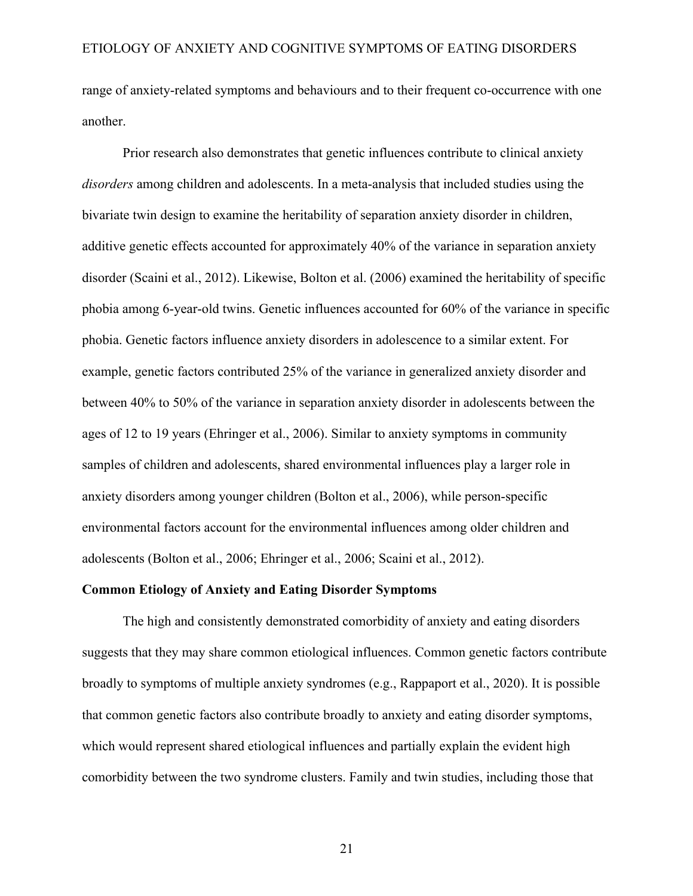range of anxiety-related symptoms and behaviours and to their frequent co-occurrence with one another.

Prior research also demonstrates that genetic influences contribute to clinical anxiety *disorders* among children and adolescents. In a meta-analysis that included studies using the bivariate twin design to examine the heritability of separation anxiety disorder in children, additive genetic effects accounted for approximately 40% of the variance in separation anxiety disorder (Scaini et al., 2012). Likewise, Bolton et al. (2006) examined the heritability of specific phobia among 6-year-old twins. Genetic influences accounted for 60% of the variance in specific phobia. Genetic factors influence anxiety disorders in adolescence to a similar extent. For example, genetic factors contributed 25% of the variance in generalized anxiety disorder and between 40% to 50% of the variance in separation anxiety disorder in adolescents between the ages of 12 to 19 years (Ehringer et al., 2006). Similar to anxiety symptoms in community samples of children and adolescents, shared environmental influences play a larger role in anxiety disorders among younger children (Bolton et al., 2006), while person-specific environmental factors account for the environmental influences among older children and adolescents (Bolton et al., 2006; Ehringer et al., 2006; Scaini et al., 2012).

### **Common Etiology of Anxiety and Eating Disorder Symptoms**

The high and consistently demonstrated comorbidity of anxiety and eating disorders suggests that they may share common etiological influences. Common genetic factors contribute broadly to symptoms of multiple anxiety syndromes (e.g., Rappaport et al., 2020). It is possible that common genetic factors also contribute broadly to anxiety and eating disorder symptoms, which would represent shared etiological influences and partially explain the evident high comorbidity between the two syndrome clusters. Family and twin studies, including those that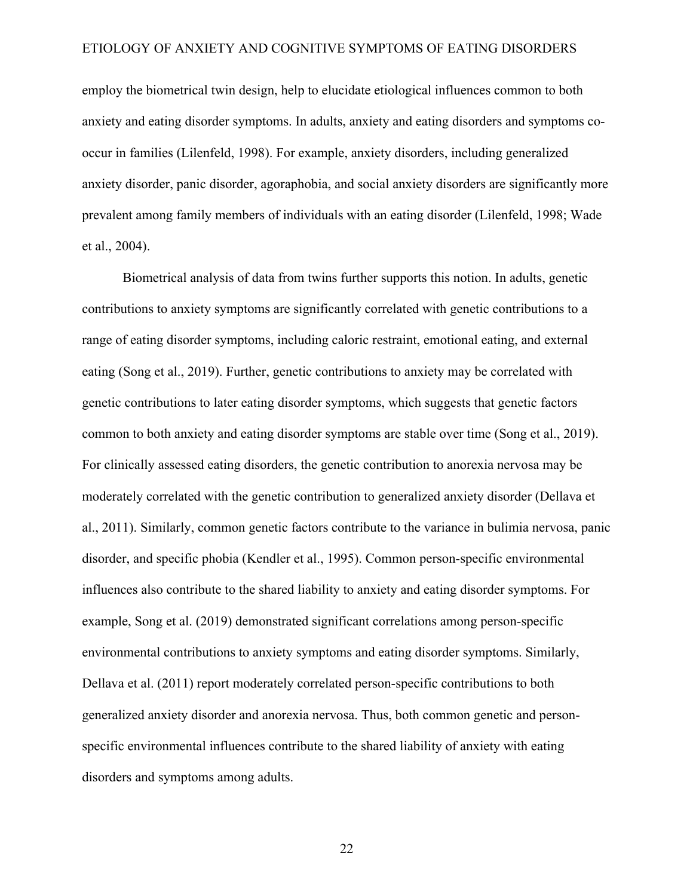employ the biometrical twin design, help to elucidate etiological influences common to both anxiety and eating disorder symptoms. In adults, anxiety and eating disorders and symptoms cooccur in families (Lilenfeld, 1998). For example, anxiety disorders, including generalized anxiety disorder, panic disorder, agoraphobia, and social anxiety disorders are significantly more prevalent among family members of individuals with an eating disorder (Lilenfeld, 1998; Wade et al., 2004).

Biometrical analysis of data from twins further supports this notion. In adults, genetic contributions to anxiety symptoms are significantly correlated with genetic contributions to a range of eating disorder symptoms, including caloric restraint, emotional eating, and external eating (Song et al., 2019). Further, genetic contributions to anxiety may be correlated with genetic contributions to later eating disorder symptoms, which suggests that genetic factors common to both anxiety and eating disorder symptoms are stable over time (Song et al., 2019). For clinically assessed eating disorders, the genetic contribution to anorexia nervosa may be moderately correlated with the genetic contribution to generalized anxiety disorder (Dellava et al., 2011). Similarly, common genetic factors contribute to the variance in bulimia nervosa, panic disorder, and specific phobia (Kendler et al., 1995). Common person-specific environmental influences also contribute to the shared liability to anxiety and eating disorder symptoms. For example, Song et al. (2019) demonstrated significant correlations among person-specific environmental contributions to anxiety symptoms and eating disorder symptoms. Similarly, Dellava et al. (2011) report moderately correlated person-specific contributions to both generalized anxiety disorder and anorexia nervosa. Thus, both common genetic and personspecific environmental influences contribute to the shared liability of anxiety with eating disorders and symptoms among adults.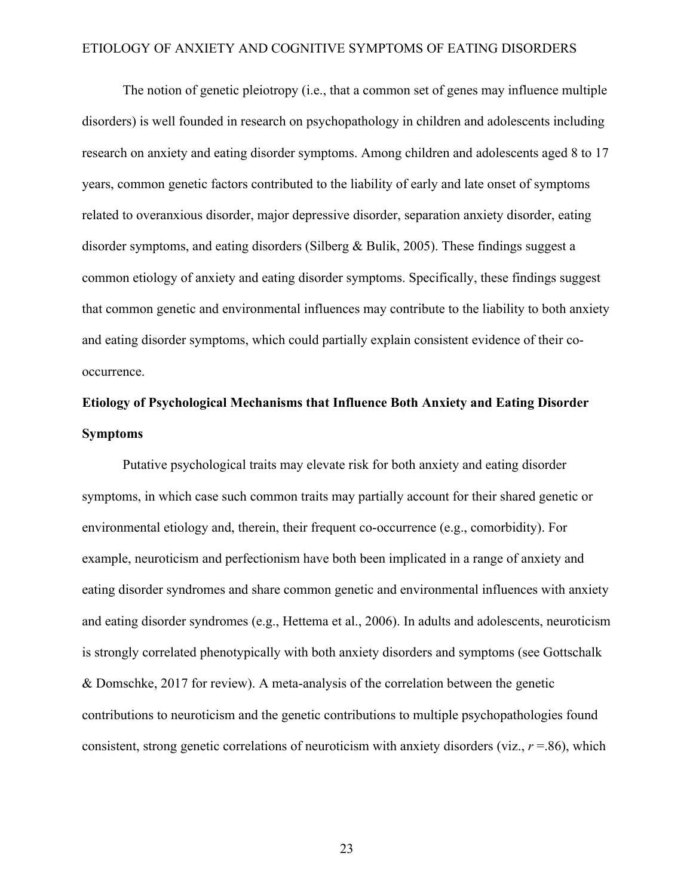The notion of genetic pleiotropy (i.e., that a common set of genes may influence multiple disorders) is well founded in research on psychopathology in children and adolescents including research on anxiety and eating disorder symptoms. Among children and adolescents aged 8 to 17 years, common genetic factors contributed to the liability of early and late onset of symptoms related to overanxious disorder, major depressive disorder, separation anxiety disorder, eating disorder symptoms, and eating disorders (Silberg & Bulik, 2005). These findings suggest a common etiology of anxiety and eating disorder symptoms. Specifically, these findings suggest that common genetic and environmental influences may contribute to the liability to both anxiety and eating disorder symptoms, which could partially explain consistent evidence of their cooccurrence.

# **Etiology of Psychological Mechanisms that Influence Both Anxiety and Eating Disorder Symptoms**

Putative psychological traits may elevate risk for both anxiety and eating disorder symptoms, in which case such common traits may partially account for their shared genetic or environmental etiology and, therein, their frequent co-occurrence (e.g., comorbidity). For example, neuroticism and perfectionism have both been implicated in a range of anxiety and eating disorder syndromes and share common genetic and environmental influences with anxiety and eating disorder syndromes (e.g., Hettema et al., 2006). In adults and adolescents, neuroticism is strongly correlated phenotypically with both anxiety disorders and symptoms (see Gottschalk & Domschke, 2017 for review). A meta-analysis of the correlation between the genetic contributions to neuroticism and the genetic contributions to multiple psychopathologies found consistent, strong genetic correlations of neuroticism with anxiety disorders (viz.,  $r = .86$ ), which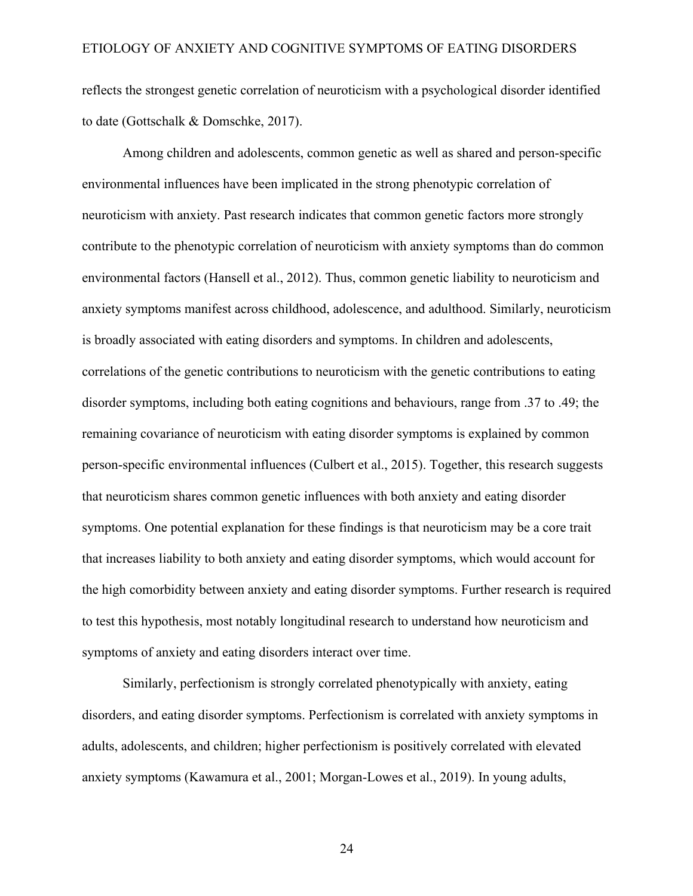reflects the strongest genetic correlation of neuroticism with a psychological disorder identified to date (Gottschalk & Domschke, 2017).

Among children and adolescents, common genetic as well as shared and person-specific environmental influences have been implicated in the strong phenotypic correlation of neuroticism with anxiety. Past research indicates that common genetic factors more strongly contribute to the phenotypic correlation of neuroticism with anxiety symptoms than do common environmental factors (Hansell et al., 2012). Thus, common genetic liability to neuroticism and anxiety symptoms manifest across childhood, adolescence, and adulthood. Similarly, neuroticism is broadly associated with eating disorders and symptoms. In children and adolescents, correlations of the genetic contributions to neuroticism with the genetic contributions to eating disorder symptoms, including both eating cognitions and behaviours, range from .37 to .49; the remaining covariance of neuroticism with eating disorder symptoms is explained by common person-specific environmental influences (Culbert et al., 2015). Together, this research suggests that neuroticism shares common genetic influences with both anxiety and eating disorder symptoms. One potential explanation for these findings is that neuroticism may be a core trait that increases liability to both anxiety and eating disorder symptoms, which would account for the high comorbidity between anxiety and eating disorder symptoms. Further research is required to test this hypothesis, most notably longitudinal research to understand how neuroticism and symptoms of anxiety and eating disorders interact over time.

Similarly, perfectionism is strongly correlated phenotypically with anxiety, eating disorders, and eating disorder symptoms. Perfectionism is correlated with anxiety symptoms in adults, adolescents, and children; higher perfectionism is positively correlated with elevated anxiety symptoms (Kawamura et al., 2001; Morgan-Lowes et al., 2019). In young adults,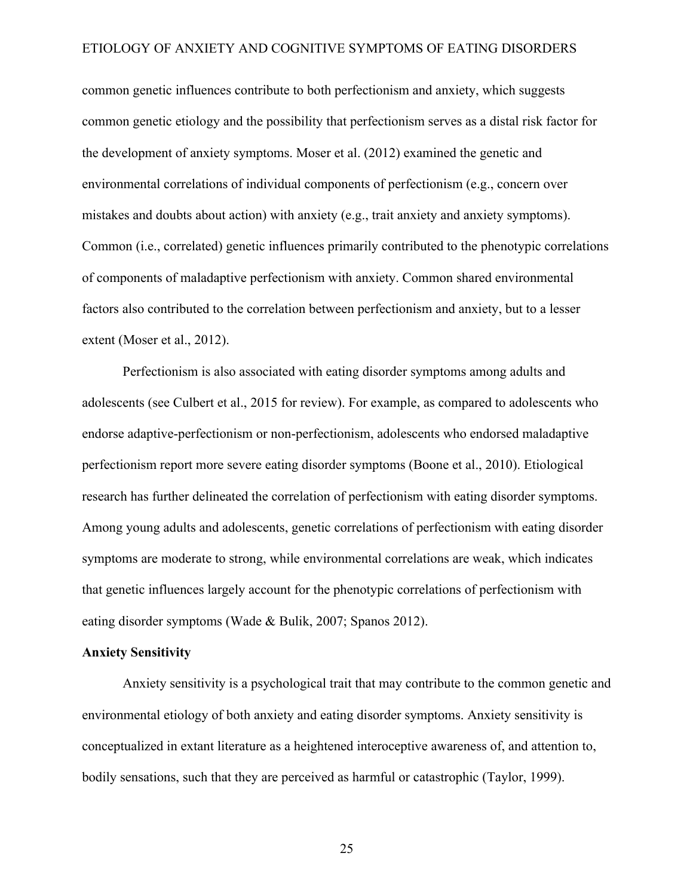common genetic influences contribute to both perfectionism and anxiety, which suggests common genetic etiology and the possibility that perfectionism serves as a distal risk factor for the development of anxiety symptoms. Moser et al. (2012) examined the genetic and environmental correlations of individual components of perfectionism (e.g., concern over mistakes and doubts about action) with anxiety (e.g., trait anxiety and anxiety symptoms). Common (i.e., correlated) genetic influences primarily contributed to the phenotypic correlations of components of maladaptive perfectionism with anxiety. Common shared environmental factors also contributed to the correlation between perfectionism and anxiety, but to a lesser extent (Moser et al., 2012).

Perfectionism is also associated with eating disorder symptoms among adults and adolescents (see Culbert et al., 2015 for review). For example, as compared to adolescents who endorse adaptive-perfectionism or non-perfectionism, adolescents who endorsed maladaptive perfectionism report more severe eating disorder symptoms (Boone et al., 2010). Etiological research has further delineated the correlation of perfectionism with eating disorder symptoms. Among young adults and adolescents, genetic correlations of perfectionism with eating disorder symptoms are moderate to strong, while environmental correlations are weak, which indicates that genetic influences largely account for the phenotypic correlations of perfectionism with eating disorder symptoms (Wade & Bulik, 2007; Spanos 2012).

#### **Anxiety Sensitivity**

Anxiety sensitivity is a psychological trait that may contribute to the common genetic and environmental etiology of both anxiety and eating disorder symptoms. Anxiety sensitivity is conceptualized in extant literature as a heightened interoceptive awareness of, and attention to, bodily sensations, such that they are perceived as harmful or catastrophic (Taylor, 1999).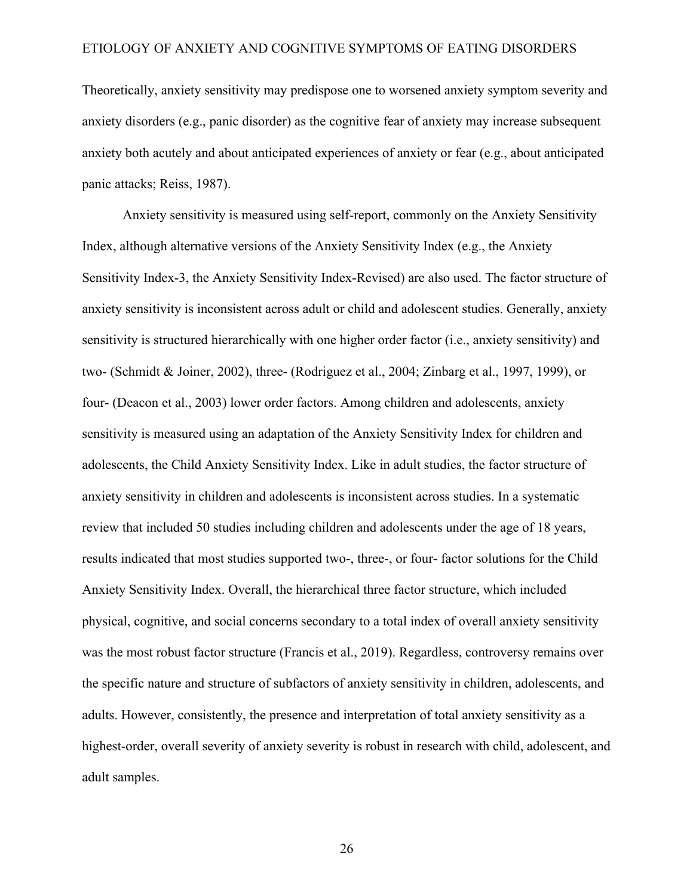Theoretically, anxiety sensitivity may predispose one to worsened anxiety symptom severity and anxiety disorders (e.g., panic disorder) as the cognitive fear of anxiety may increase subsequent anxiety both acutely and about anticipated experiences of anxiety or fear (e.g., about anticipated panic attacks; Reiss, 1987).

Anxiety sensitivity is measured using self-report, commonly on the Anxiety Sensitivity Index, although alternative versions of the Anxiety Sensitivity Index (e.g., the Anxiety Sensitivity Index-3, the Anxiety Sensitivity Index-Revised) are also used. The factor structure of anxiety sensitivity is inconsistent across adult or child and adolescent studies. Generally, anxiety sensitivity is structured hierarchically with one higher order factor (i.e., anxiety sensitivity) and two- (Schmidt & Joiner, 2002), three- (Rodriguez et al., 2004; Zinbarg et al., 1997, 1999), or four- (Deacon et al., 2003) lower order factors. Among children and adolescents, anxiety sensitivity is measured using an adaptation of the Anxiety Sensitivity Index for children and adolescents, the Child Anxiety Sensitivity Index. Like in adult studies, the factor structure of anxiety sensitivity in children and adolescents is inconsistent across studies. In a systematic review that included 50 studies including children and adolescents under the age of 18 years, results indicated that most studies supported two-, three-, or four- factor solutions for the Child Anxiety Sensitivity Index. Overall, the hierarchical three factor structure, which included physical, cognitive, and social concerns secondary to a total index of overall anxiety sensitivity was the most robust factor structure (Francis et al., 2019). Regardless, controversy remains over the specific nature and structure of subfactors of anxiety sensitivity in children, adolescents, and adults. However, consistently, the presence and interpretation of total anxiety sensitivity as a highest-order, overall severity of anxiety severity is robust in research with child, adolescent, and adult samples.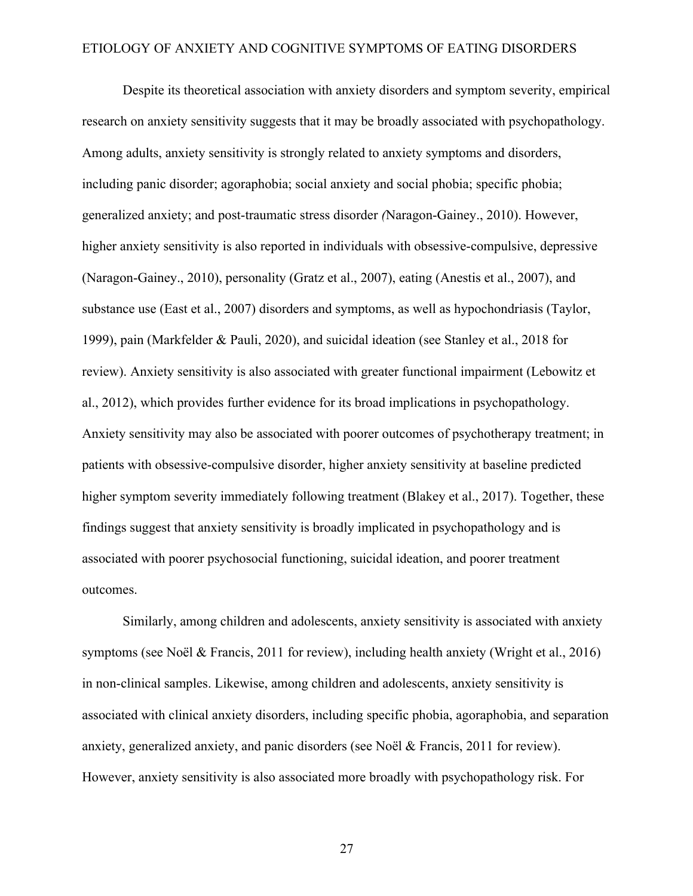Despite its theoretical association with anxiety disorders and symptom severity, empirical research on anxiety sensitivity suggests that it may be broadly associated with psychopathology. Among adults, anxiety sensitivity is strongly related to anxiety symptoms and disorders, including panic disorder; agoraphobia; social anxiety and social phobia; specific phobia; generalized anxiety; and post-traumatic stress disorder *(*Naragon-Gainey., 2010). However, higher anxiety sensitivity is also reported in individuals with obsessive-compulsive, depressive (Naragon-Gainey., 2010), personality (Gratz et al., 2007), eating (Anestis et al., 2007), and substance use (East et al., 2007) disorders and symptoms, as well as hypochondriasis (Taylor, 1999), pain (Markfelder & Pauli, 2020), and suicidal ideation (see Stanley et al., 2018 for review). Anxiety sensitivity is also associated with greater functional impairment (Lebowitz et al., 2012), which provides further evidence for its broad implications in psychopathology. Anxiety sensitivity may also be associated with poorer outcomes of psychotherapy treatment; in patients with obsessive-compulsive disorder, higher anxiety sensitivity at baseline predicted higher symptom severity immediately following treatment (Blakey et al., 2017). Together, these findings suggest that anxiety sensitivity is broadly implicated in psychopathology and is associated with poorer psychosocial functioning, suicidal ideation, and poorer treatment outcomes.

Similarly, among children and adolescents, anxiety sensitivity is associated with anxiety symptoms (see Noël & Francis, 2011 for review), including health anxiety (Wright et al., 2016) in non-clinical samples. Likewise, among children and adolescents, anxiety sensitivity is associated with clinical anxiety disorders, including specific phobia, agoraphobia, and separation anxiety, generalized anxiety, and panic disorders (see Noël & Francis, 2011 for review). However, anxiety sensitivity is also associated more broadly with psychopathology risk. For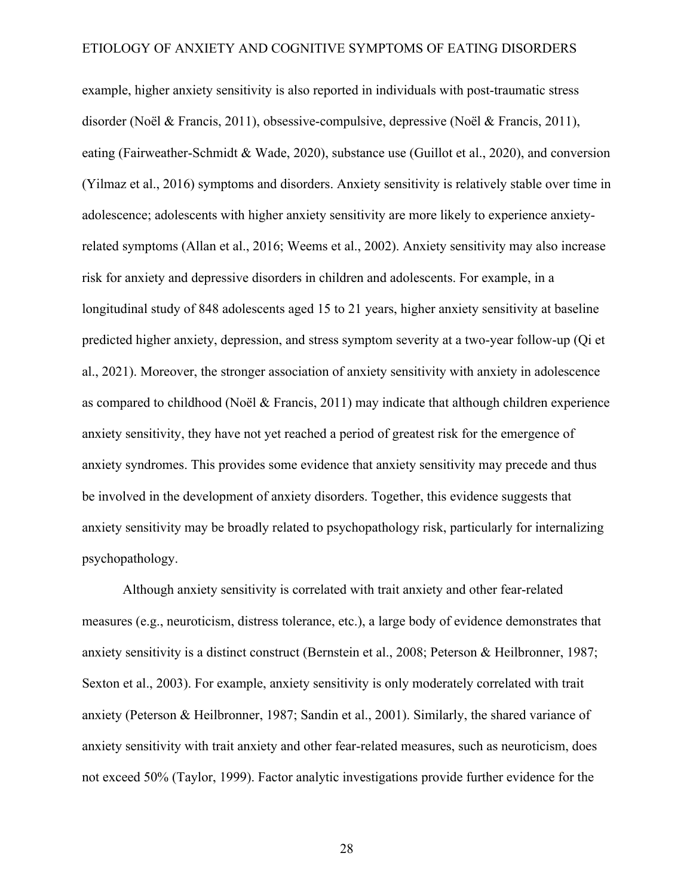example, higher anxiety sensitivity is also reported in individuals with post-traumatic stress disorder (Noël & Francis, 2011), obsessive-compulsive, depressive (Noël & Francis, 2011), eating (Fairweather-Schmidt & Wade, 2020), substance use (Guillot et al., 2020), and conversion (Yilmaz et al., 2016) symptoms and disorders. Anxiety sensitivity is relatively stable over time in adolescence; adolescents with higher anxiety sensitivity are more likely to experience anxietyrelated symptoms (Allan et al., 2016; Weems et al., 2002). Anxiety sensitivity may also increase risk for anxiety and depressive disorders in children and adolescents. For example, in a longitudinal study of 848 adolescents aged 15 to 21 years, higher anxiety sensitivity at baseline predicted higher anxiety, depression, and stress symptom severity at a two-year follow-up (Qi et al., 2021). Moreover, the stronger association of anxiety sensitivity with anxiety in adolescence as compared to childhood (Noël & Francis, 2011) may indicate that although children experience anxiety sensitivity, they have not yet reached a period of greatest risk for the emergence of anxiety syndromes. This provides some evidence that anxiety sensitivity may precede and thus be involved in the development of anxiety disorders. Together, this evidence suggests that anxiety sensitivity may be broadly related to psychopathology risk, particularly for internalizing psychopathology.

Although anxiety sensitivity is correlated with trait anxiety and other fear-related measures (e.g., neuroticism, distress tolerance, etc.), a large body of evidence demonstrates that anxiety sensitivity is a distinct construct (Bernstein et al., 2008; Peterson & Heilbronner, 1987; Sexton et al., 2003). For example, anxiety sensitivity is only moderately correlated with trait anxiety (Peterson & Heilbronner, 1987; Sandin et al., 2001). Similarly, the shared variance of anxiety sensitivity with trait anxiety and other fear-related measures, such as neuroticism, does not exceed 50% (Taylor, 1999). Factor analytic investigations provide further evidence for the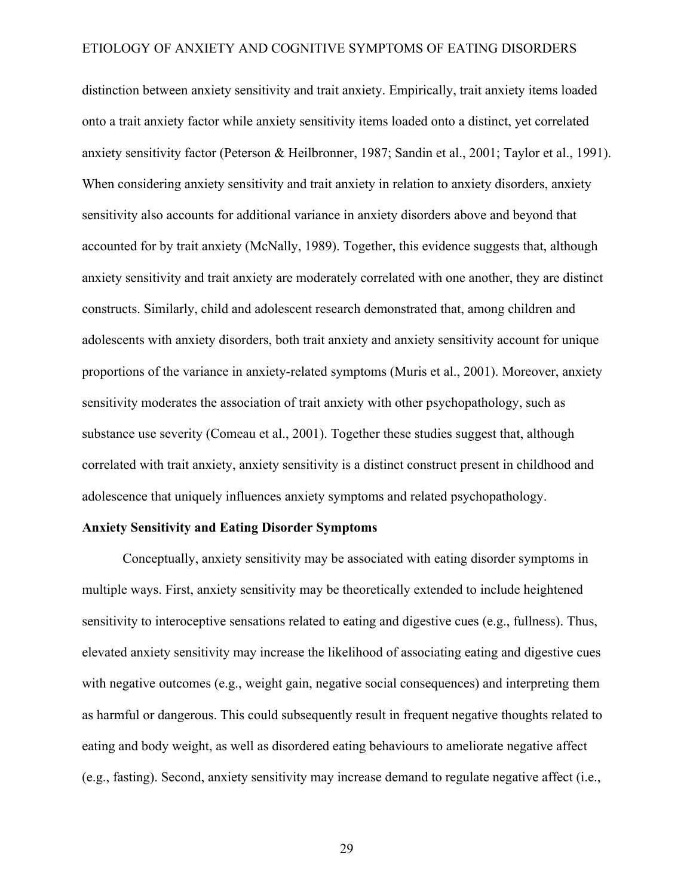distinction between anxiety sensitivity and trait anxiety. Empirically, trait anxiety items loaded onto a trait anxiety factor while anxiety sensitivity items loaded onto a distinct, yet correlated anxiety sensitivity factor (Peterson & Heilbronner, 1987; Sandin et al., 2001; Taylor et al., 1991). When considering anxiety sensitivity and trait anxiety in relation to anxiety disorders, anxiety sensitivity also accounts for additional variance in anxiety disorders above and beyond that accounted for by trait anxiety (McNally, 1989). Together, this evidence suggests that, although anxiety sensitivity and trait anxiety are moderately correlated with one another, they are distinct constructs. Similarly, child and adolescent research demonstrated that, among children and adolescents with anxiety disorders, both trait anxiety and anxiety sensitivity account for unique proportions of the variance in anxiety-related symptoms (Muris et al., 2001). Moreover, anxiety sensitivity moderates the association of trait anxiety with other psychopathology, such as substance use severity (Comeau et al., 2001). Together these studies suggest that, although correlated with trait anxiety, anxiety sensitivity is a distinct construct present in childhood and adolescence that uniquely influences anxiety symptoms and related psychopathology.

#### **Anxiety Sensitivity and Eating Disorder Symptoms**

Conceptually, anxiety sensitivity may be associated with eating disorder symptoms in multiple ways. First, anxiety sensitivity may be theoretically extended to include heightened sensitivity to interoceptive sensations related to eating and digestive cues (e.g., fullness). Thus, elevated anxiety sensitivity may increase the likelihood of associating eating and digestive cues with negative outcomes (e.g., weight gain, negative social consequences) and interpreting them as harmful or dangerous. This could subsequently result in frequent negative thoughts related to eating and body weight, as well as disordered eating behaviours to ameliorate negative affect (e.g., fasting). Second, anxiety sensitivity may increase demand to regulate negative affect (i.e.,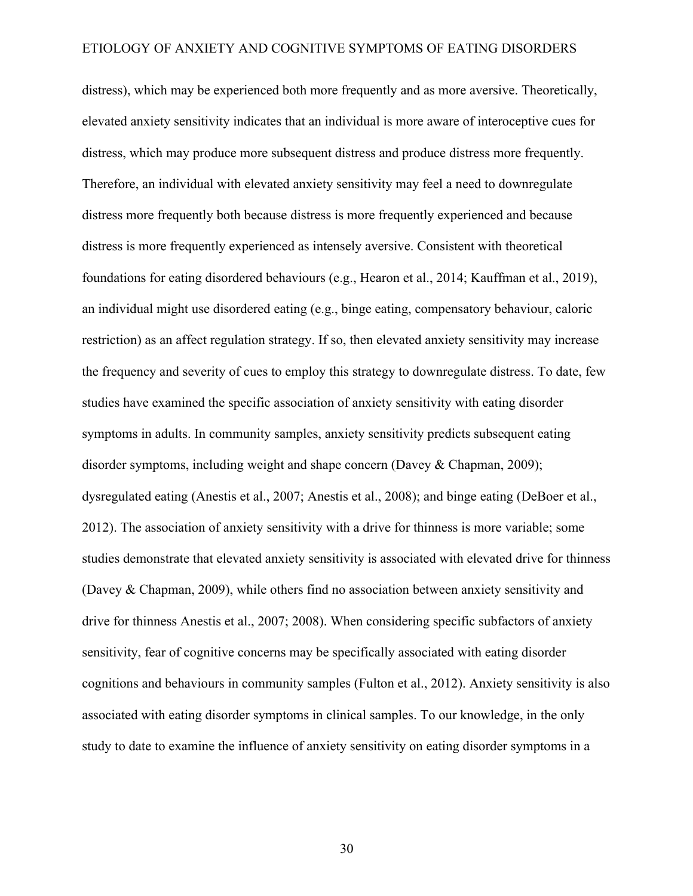distress), which may be experienced both more frequently and as more aversive. Theoretically, elevated anxiety sensitivity indicates that an individual is more aware of interoceptive cues for distress, which may produce more subsequent distress and produce distress more frequently. Therefore, an individual with elevated anxiety sensitivity may feel a need to downregulate distress more frequently both because distress is more frequently experienced and because distress is more frequently experienced as intensely aversive. Consistent with theoretical foundations for eating disordered behaviours (e.g., Hearon et al., 2014; Kauffman et al., 2019), an individual might use disordered eating (e.g., binge eating, compensatory behaviour, caloric restriction) as an affect regulation strategy. If so, then elevated anxiety sensitivity may increase the frequency and severity of cues to employ this strategy to downregulate distress. To date, few studies have examined the specific association of anxiety sensitivity with eating disorder symptoms in adults. In community samples, anxiety sensitivity predicts subsequent eating disorder symptoms, including weight and shape concern (Davey & Chapman, 2009); dysregulated eating (Anestis et al., 2007; Anestis et al., 2008); and binge eating (DeBoer et al., 2012). The association of anxiety sensitivity with a drive for thinness is more variable; some studies demonstrate that elevated anxiety sensitivity is associated with elevated drive for thinness (Davey & Chapman, 2009), while others find no association between anxiety sensitivity and drive for thinness Anestis et al., 2007; 2008). When considering specific subfactors of anxiety sensitivity, fear of cognitive concerns may be specifically associated with eating disorder cognitions and behaviours in community samples (Fulton et al., 2012). Anxiety sensitivity is also associated with eating disorder symptoms in clinical samples. To our knowledge, in the only study to date to examine the influence of anxiety sensitivity on eating disorder symptoms in a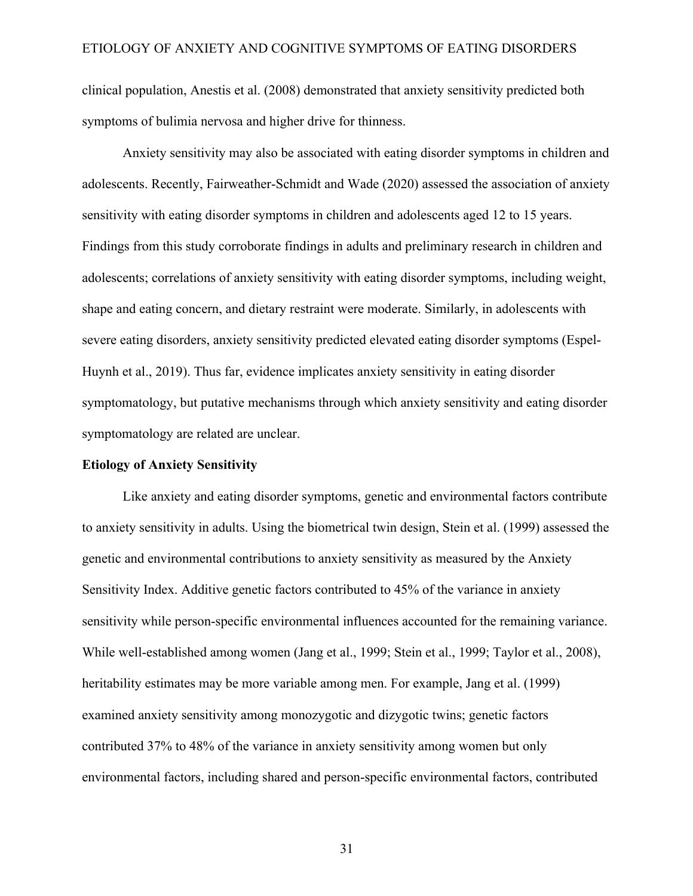clinical population, Anestis et al. (2008) demonstrated that anxiety sensitivity predicted both symptoms of bulimia nervosa and higher drive for thinness.

Anxiety sensitivity may also be associated with eating disorder symptoms in children and adolescents. Recently, Fairweather-Schmidt and Wade (2020) assessed the association of anxiety sensitivity with eating disorder symptoms in children and adolescents aged 12 to 15 years. Findings from this study corroborate findings in adults and preliminary research in children and adolescents; correlations of anxiety sensitivity with eating disorder symptoms, including weight, shape and eating concern, and dietary restraint were moderate. Similarly, in adolescents with severe eating disorders, anxiety sensitivity predicted elevated eating disorder symptoms (Espel-Huynh et al., 2019). Thus far, evidence implicates anxiety sensitivity in eating disorder symptomatology, but putative mechanisms through which anxiety sensitivity and eating disorder symptomatology are related are unclear.

### **Etiology of Anxiety Sensitivity**

Like anxiety and eating disorder symptoms, genetic and environmental factors contribute to anxiety sensitivity in adults. Using the biometrical twin design, Stein et al. (1999) assessed the genetic and environmental contributions to anxiety sensitivity as measured by the Anxiety Sensitivity Index. Additive genetic factors contributed to 45% of the variance in anxiety sensitivity while person-specific environmental influences accounted for the remaining variance. While well-established among women (Jang et al., 1999; Stein et al., 1999; Taylor et al., 2008), heritability estimates may be more variable among men. For example, Jang et al. (1999) examined anxiety sensitivity among monozygotic and dizygotic twins; genetic factors contributed 37% to 48% of the variance in anxiety sensitivity among women but only environmental factors, including shared and person-specific environmental factors, contributed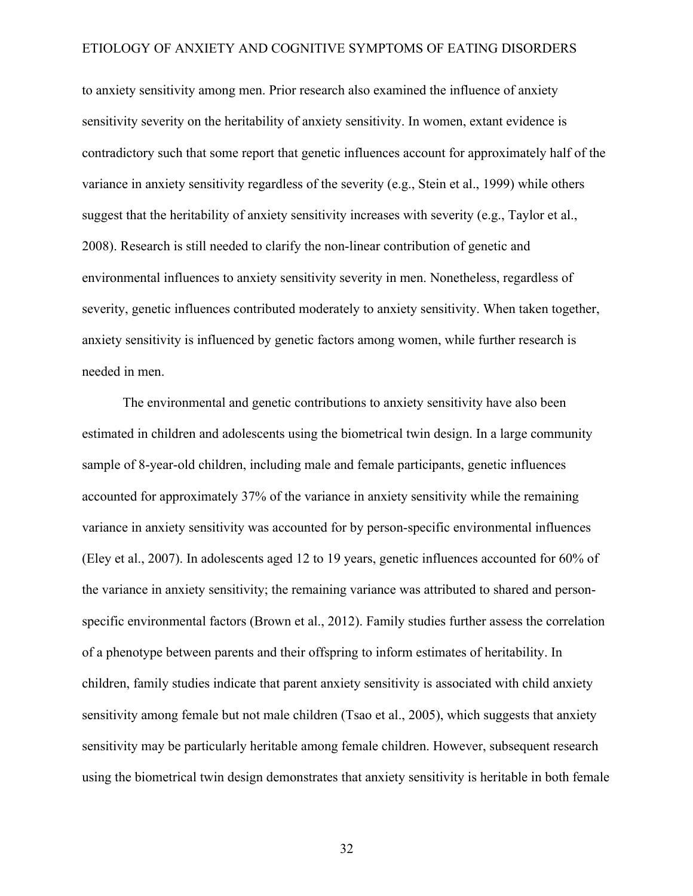to anxiety sensitivity among men. Prior research also examined the influence of anxiety sensitivity severity on the heritability of anxiety sensitivity. In women, extant evidence is contradictory such that some report that genetic influences account for approximately half of the variance in anxiety sensitivity regardless of the severity (e.g., Stein et al., 1999) while others suggest that the heritability of anxiety sensitivity increases with severity (e.g., Taylor et al., 2008). Research is still needed to clarify the non-linear contribution of genetic and environmental influences to anxiety sensitivity severity in men. Nonetheless, regardless of severity, genetic influences contributed moderately to anxiety sensitivity. When taken together, anxiety sensitivity is influenced by genetic factors among women, while further research is needed in men.

The environmental and genetic contributions to anxiety sensitivity have also been estimated in children and adolescents using the biometrical twin design. In a large community sample of 8-year-old children, including male and female participants, genetic influences accounted for approximately 37% of the variance in anxiety sensitivity while the remaining variance in anxiety sensitivity was accounted for by person-specific environmental influences (Eley et al., 2007). In adolescents aged 12 to 19 years, genetic influences accounted for 60% of the variance in anxiety sensitivity; the remaining variance was attributed to shared and personspecific environmental factors (Brown et al., 2012). Family studies further assess the correlation of a phenotype between parents and their offspring to inform estimates of heritability. In children, family studies indicate that parent anxiety sensitivity is associated with child anxiety sensitivity among female but not male children (Tsao et al., 2005), which suggests that anxiety sensitivity may be particularly heritable among female children. However, subsequent research using the biometrical twin design demonstrates that anxiety sensitivity is heritable in both female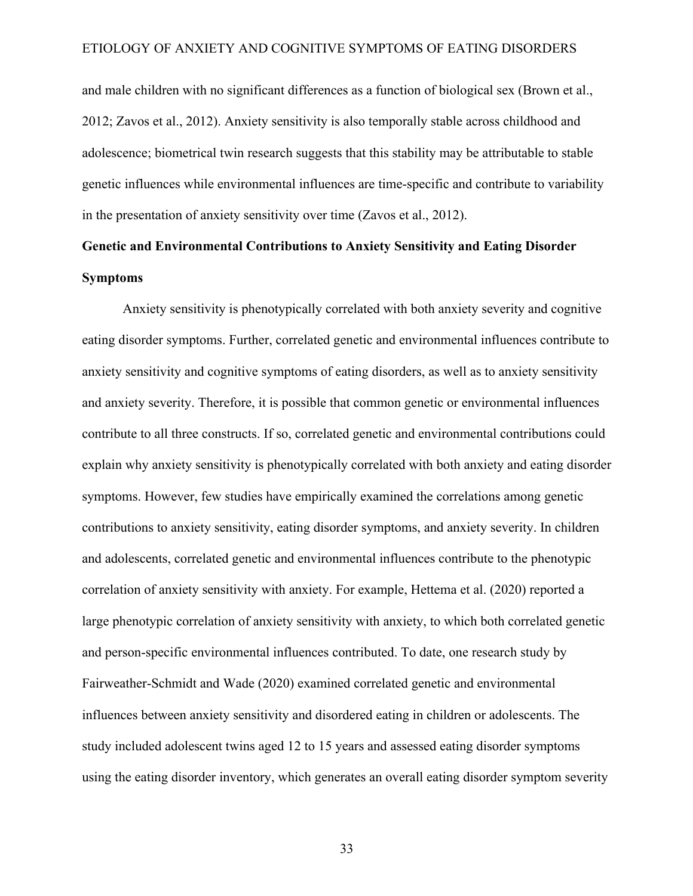and male children with no significant differences as a function of biological sex (Brown et al., 2012; Zavos et al., 2012). Anxiety sensitivity is also temporally stable across childhood and adolescence; biometrical twin research suggests that this stability may be attributable to stable genetic influences while environmental influences are time-specific and contribute to variability in the presentation of anxiety sensitivity over time (Zavos et al., 2012).

## **Genetic and Environmental Contributions to Anxiety Sensitivity and Eating Disorder Symptoms**

Anxiety sensitivity is phenotypically correlated with both anxiety severity and cognitive eating disorder symptoms. Further, correlated genetic and environmental influences contribute to anxiety sensitivity and cognitive symptoms of eating disorders, as well as to anxiety sensitivity and anxiety severity. Therefore, it is possible that common genetic or environmental influences contribute to all three constructs. If so, correlated genetic and environmental contributions could explain why anxiety sensitivity is phenotypically correlated with both anxiety and eating disorder symptoms. However, few studies have empirically examined the correlations among genetic contributions to anxiety sensitivity, eating disorder symptoms, and anxiety severity. In children and adolescents, correlated genetic and environmental influences contribute to the phenotypic correlation of anxiety sensitivity with anxiety. For example, Hettema et al. (2020) reported a large phenotypic correlation of anxiety sensitivity with anxiety, to which both correlated genetic and person-specific environmental influences contributed. To date, one research study by Fairweather-Schmidt and Wade (2020) examined correlated genetic and environmental influences between anxiety sensitivity and disordered eating in children or adolescents. The study included adolescent twins aged 12 to 15 years and assessed eating disorder symptoms using the eating disorder inventory, which generates an overall eating disorder symptom severity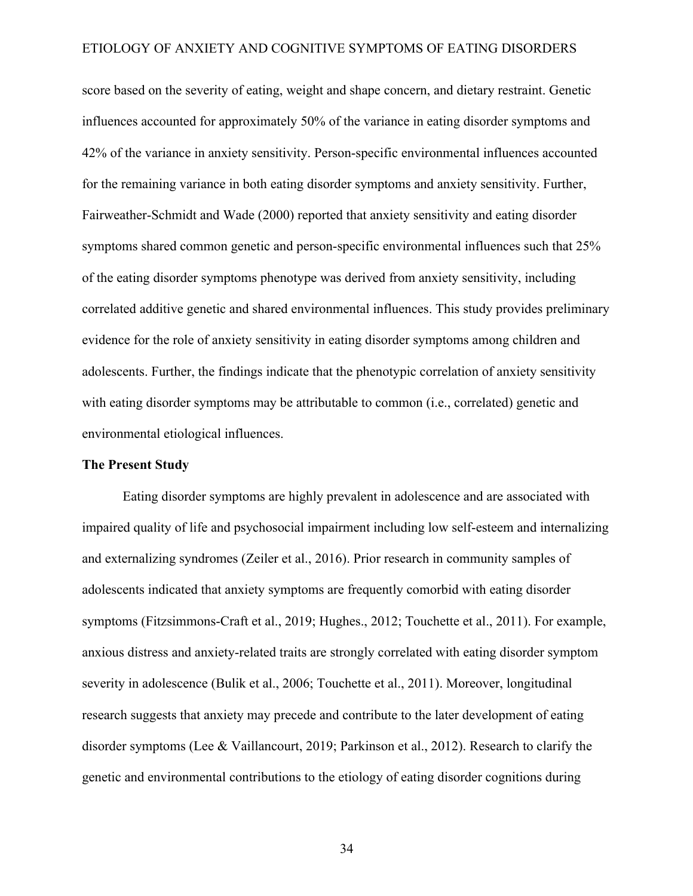score based on the severity of eating, weight and shape concern, and dietary restraint. Genetic influences accounted for approximately 50% of the variance in eating disorder symptoms and 42% of the variance in anxiety sensitivity. Person-specific environmental influences accounted for the remaining variance in both eating disorder symptoms and anxiety sensitivity. Further, Fairweather-Schmidt and Wade (2000) reported that anxiety sensitivity and eating disorder symptoms shared common genetic and person-specific environmental influences such that 25% of the eating disorder symptoms phenotype was derived from anxiety sensitivity, including correlated additive genetic and shared environmental influences. This study provides preliminary evidence for the role of anxiety sensitivity in eating disorder symptoms among children and adolescents. Further, the findings indicate that the phenotypic correlation of anxiety sensitivity with eating disorder symptoms may be attributable to common (i.e., correlated) genetic and environmental etiological influences.

### **The Present Study**

Eating disorder symptoms are highly prevalent in adolescence and are associated with impaired quality of life and psychosocial impairment including low self-esteem and internalizing and externalizing syndromes (Zeiler et al., 2016). Prior research in community samples of adolescents indicated that anxiety symptoms are frequently comorbid with eating disorder symptoms (Fitzsimmons-Craft et al., 2019; Hughes., 2012; Touchette et al., 2011). For example, anxious distress and anxiety-related traits are strongly correlated with eating disorder symptom severity in adolescence (Bulik et al., 2006; Touchette et al., 2011). Moreover, longitudinal research suggests that anxiety may precede and contribute to the later development of eating disorder symptoms (Lee & Vaillancourt, 2019; Parkinson et al., 2012). Research to clarify the genetic and environmental contributions to the etiology of eating disorder cognitions during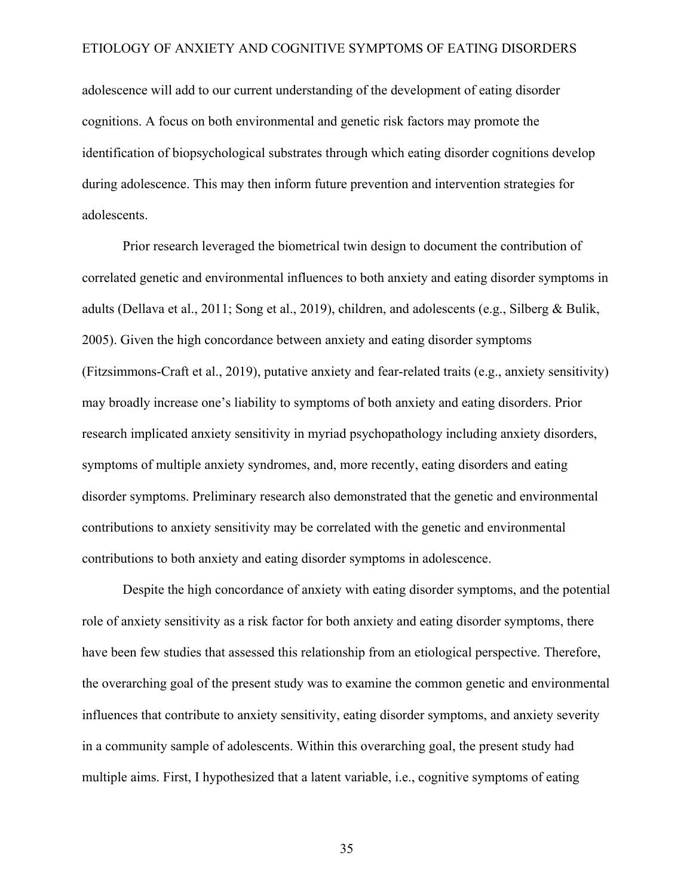adolescence will add to our current understanding of the development of eating disorder cognitions. A focus on both environmental and genetic risk factors may promote the identification of biopsychological substrates through which eating disorder cognitions develop during adolescence. This may then inform future prevention and intervention strategies for adolescents.

Prior research leveraged the biometrical twin design to document the contribution of correlated genetic and environmental influences to both anxiety and eating disorder symptoms in adults (Dellava et al., 2011; Song et al., 2019), children, and adolescents (e.g., Silberg & Bulik, 2005). Given the high concordance between anxiety and eating disorder symptoms (Fitzsimmons-Craft et al., 2019), putative anxiety and fear-related traits (e.g., anxiety sensitivity) may broadly increase one's liability to symptoms of both anxiety and eating disorders. Prior research implicated anxiety sensitivity in myriad psychopathology including anxiety disorders, symptoms of multiple anxiety syndromes, and, more recently, eating disorders and eating disorder symptoms. Preliminary research also demonstrated that the genetic and environmental contributions to anxiety sensitivity may be correlated with the genetic and environmental contributions to both anxiety and eating disorder symptoms in adolescence.

Despite the high concordance of anxiety with eating disorder symptoms, and the potential role of anxiety sensitivity as a risk factor for both anxiety and eating disorder symptoms, there have been few studies that assessed this relationship from an etiological perspective. Therefore, the overarching goal of the present study was to examine the common genetic and environmental influences that contribute to anxiety sensitivity, eating disorder symptoms, and anxiety severity in a community sample of adolescents. Within this overarching goal, the present study had multiple aims. First, I hypothesized that a latent variable, i.e., cognitive symptoms of eating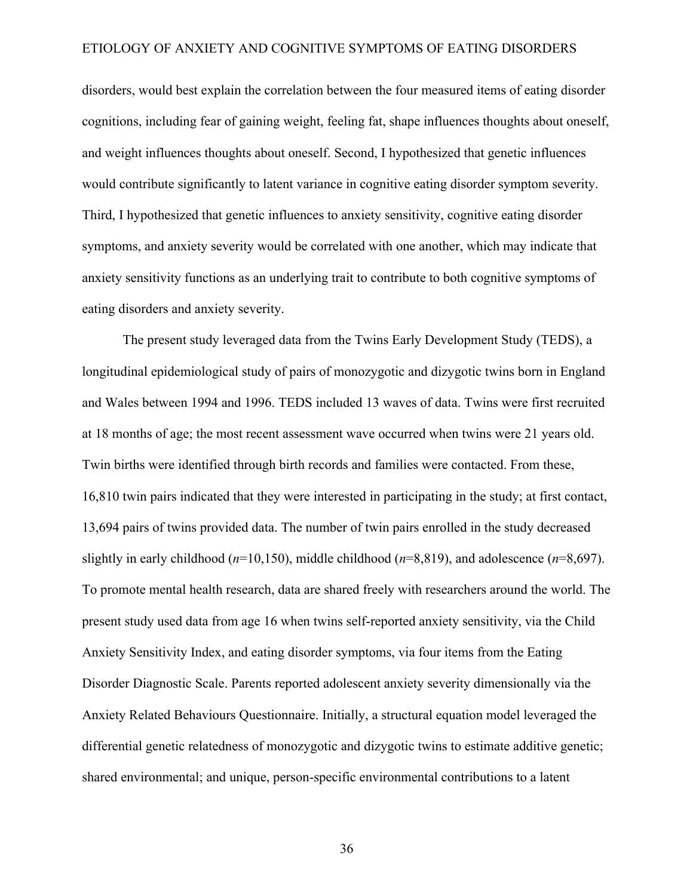disorders, would best explain the correlation between the four measured items of eating disorder cognitions, including fear of gaining weight, feeling fat, shape influences thoughts about oneself, and weight influences thoughts about oneself. Second, I hypothesized that genetic influences would contribute significantly to latent variance in cognitive eating disorder symptom severity. Third, I hypothesized that genetic influences to anxiety sensitivity, cognitive eating disorder symptoms, and anxiety severity would be correlated with one another, which may indicate that anxiety sensitivity functions as an underlying trait to contribute to both cognitive symptoms of eating disorders and anxiety severity.

The present study leveraged data from the Twins Early Development Study (TEDS), a longitudinal epidemiological study of pairs of monozygotic and dizygotic twins born in England and Wales between 1994 and 1996. TEDS included 13 waves of data. Twins were first recruited at 18 months of age; the most recent assessment wave occurred when twins were 21 years old. Twin births were identified through birth records and families were contacted. From these, 16,810 twin pairs indicated that they were interested in participating in the study; at first contact, 13,694 pairs of twins provided data. The number of twin pairs enrolled in the study decreased slightly in early childhood (*n*=10,150), middle childhood (*n*=8,819), and adolescence (*n*=8,697). To promote mental health research, data are shared freely with researchers around the world. The present study used data from age 16 when twins self-reported anxiety sensitivity, via the Child Anxiety Sensitivity Index, and eating disorder symptoms, via four items from the Eating Disorder Diagnostic Scale. Parents reported adolescent anxiety severity dimensionally via the Anxiety Related Behaviours Questionnaire. Initially, a structural equation model leveraged the differential genetic relatedness of monozygotic and dizygotic twins to estimate additive genetic; shared environmental; and unique, person-specific environmental contributions to a latent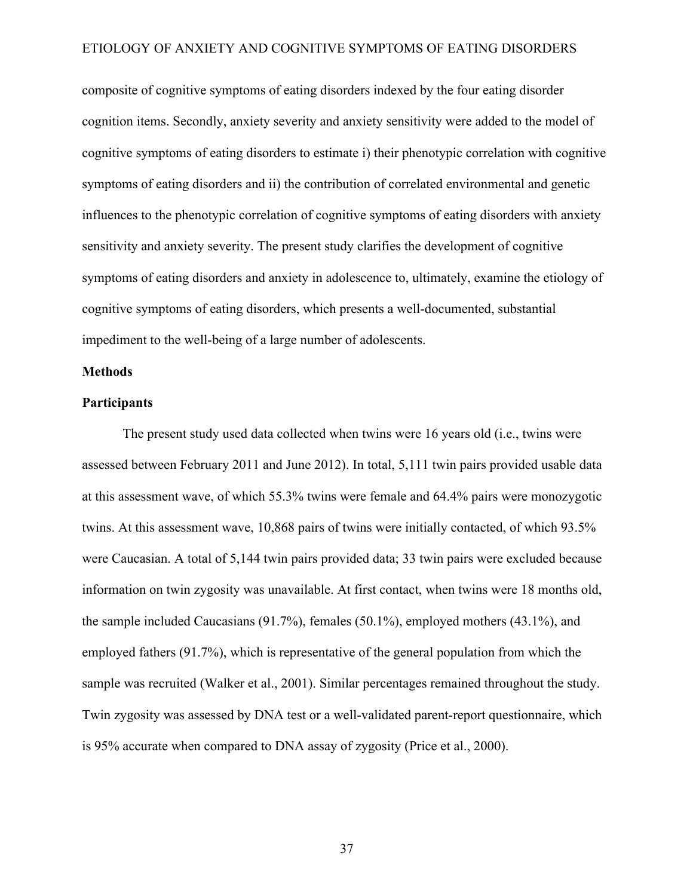composite of cognitive symptoms of eating disorders indexed by the four eating disorder cognition items. Secondly, anxiety severity and anxiety sensitivity were added to the model of cognitive symptoms of eating disorders to estimate i) their phenotypic correlation with cognitive symptoms of eating disorders and ii) the contribution of correlated environmental and genetic influences to the phenotypic correlation of cognitive symptoms of eating disorders with anxiety sensitivity and anxiety severity. The present study clarifies the development of cognitive symptoms of eating disorders and anxiety in adolescence to, ultimately, examine the etiology of cognitive symptoms of eating disorders, which presents a well-documented, substantial impediment to the well-being of a large number of adolescents.

### **Methods**

### **Participants**

The present study used data collected when twins were 16 years old (i.e., twins were assessed between February 2011 and June 2012). In total, 5,111 twin pairs provided usable data at this assessment wave, of which 55.3% twins were female and 64.4% pairs were monozygotic twins. At this assessment wave, 10,868 pairs of twins were initially contacted, of which 93.5% were Caucasian. A total of 5,144 twin pairs provided data; 33 twin pairs were excluded because information on twin zygosity was unavailable. At first contact, when twins were 18 months old, the sample included Caucasians (91.7%), females (50.1%), employed mothers (43.1%), and employed fathers (91.7%), which is representative of the general population from which the sample was recruited (Walker et al., 2001). Similar percentages remained throughout the study. Twin zygosity was assessed by DNA test or a well-validated parent-report questionnaire, which is 95% accurate when compared to DNA assay of zygosity (Price et al., 2000).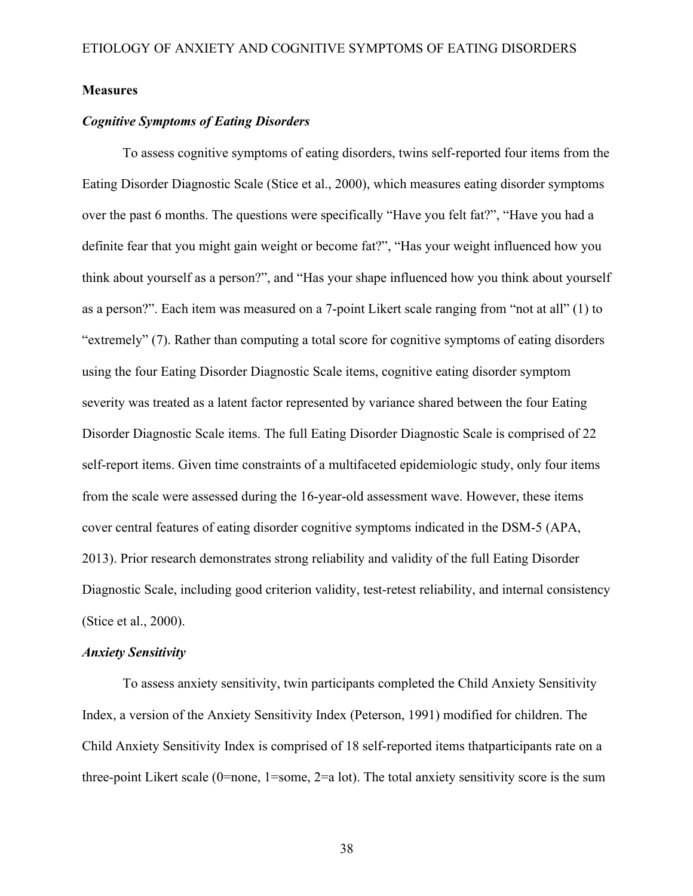### **Measures**

### *Cognitive Symptoms of Eating Disorders*

To assess cognitive symptoms of eating disorders, twins self-reported four items from the Eating Disorder Diagnostic Scale (Stice et al., 2000), which measures eating disorder symptoms over the past 6 months. The questions were specifically "Have you felt fat?", "Have you had a definite fear that you might gain weight or become fat?", "Has your weight influenced how you think about yourself as a person?", and "Has your shape influenced how you think about yourself as a person?". Each item was measured on a 7-point Likert scale ranging from "not at all" (1) to "extremely" (7). Rather than computing a total score for cognitive symptoms of eating disorders using the four Eating Disorder Diagnostic Scale items, cognitive eating disorder symptom severity was treated as a latent factor represented by variance shared between the four Eating Disorder Diagnostic Scale items. The full Eating Disorder Diagnostic Scale is comprised of 22 self-report items. Given time constraints of a multifaceted epidemiologic study, only four items from the scale were assessed during the 16-year-old assessment wave. However, these items cover central features of eating disorder cognitive symptoms indicated in the DSM-5 (APA, 2013). Prior research demonstrates strong reliability and validity of the full Eating Disorder Diagnostic Scale, including good criterion validity, test-retest reliability, and internal consistency (Stice et al., 2000).

### *Anxiety Sensitivity*

To assess anxiety sensitivity, twin participants completed the Child Anxiety Sensitivity Index, a version of the Anxiety Sensitivity Index (Peterson, 1991) modified for children. The Child Anxiety Sensitivity Index is comprised of 18 self-reported items thatparticipants rate on a three-point Likert scale (0=none, 1=some, 2=a lot). The total anxiety sensitivity score is the sum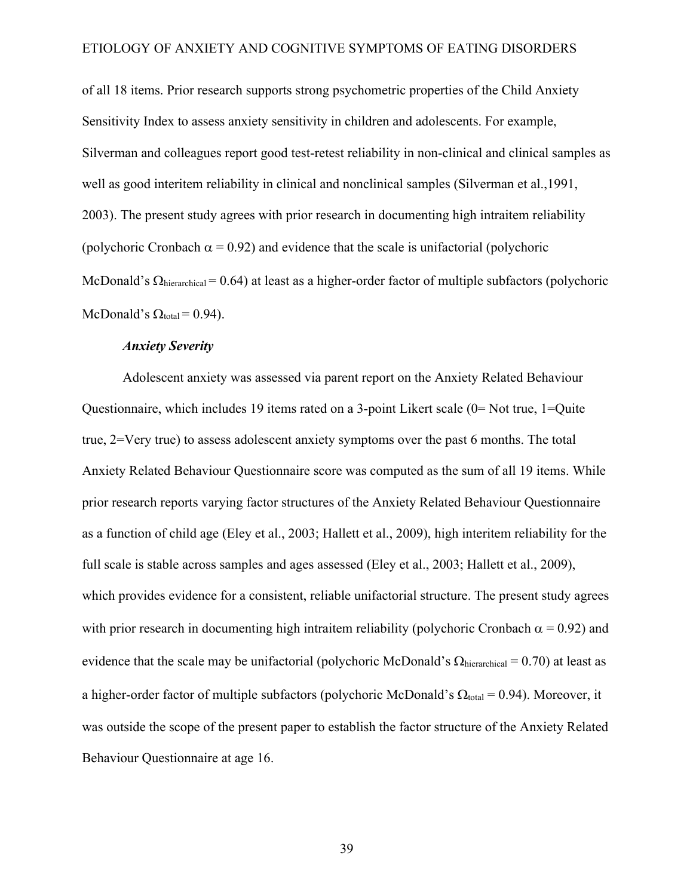of all 18 items. Prior research supports strong psychometric properties of the Child Anxiety Sensitivity Index to assess anxiety sensitivity in children and adolescents. For example, Silverman and colleagues report good test-retest reliability in non-clinical and clinical samples as well as good interitem reliability in clinical and nonclinical samples (Silverman et al.,1991, 2003). The present study agrees with prior research in documenting high intraitem reliability (polychoric Cronbach  $\alpha$  = 0.92) and evidence that the scale is unifactorial (polychoric McDonald's  $\Omega_{\text{hierarchical}} = 0.64$ ) at least as a higher-order factor of multiple subfactors (polychoric McDonald's  $\Omega_{\text{total}} = 0.94$ ).

### *Anxiety Severity*

Adolescent anxiety was assessed via parent report on the Anxiety Related Behaviour Questionnaire, which includes 19 items rated on a 3-point Likert scale (0= Not true, 1=Quite true, 2=Very true) to assess adolescent anxiety symptoms over the past 6 months. The total Anxiety Related Behaviour Questionnaire score was computed as the sum of all 19 items. While prior research reports varying factor structures of the Anxiety Related Behaviour Questionnaire as a function of child age (Eley et al., 2003; Hallett et al., 2009), high interitem reliability for the full scale is stable across samples and ages assessed (Eley et al., 2003; Hallett et al., 2009), which provides evidence for a consistent, reliable unifactorial structure. The present study agrees with prior research in documenting high intraitem reliability (polychoric Cronbach  $\alpha$  = 0.92) and evidence that the scale may be unifactorial (polychoric McDonald's  $\Omega_{\text{hierarchical}} = 0.70$ ) at least as a higher-order factor of multiple subfactors (polychoric McDonald's  $\Omega_{\text{total}} = 0.94$ ). Moreover, it was outside the scope of the present paper to establish the factor structure of the Anxiety Related Behaviour Questionnaire at age 16.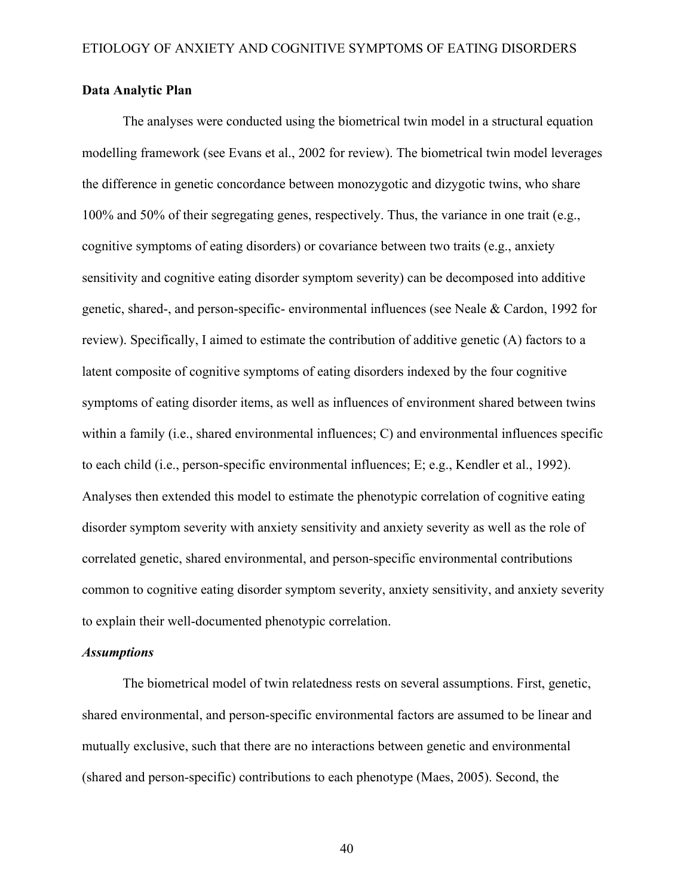### **Data Analytic Plan**

The analyses were conducted using the biometrical twin model in a structural equation modelling framework (see Evans et al., 2002 for review). The biometrical twin model leverages the difference in genetic concordance between monozygotic and dizygotic twins, who share 100% and 50% of their segregating genes, respectively. Thus, the variance in one trait (e.g., cognitive symptoms of eating disorders) or covariance between two traits (e.g., anxiety sensitivity and cognitive eating disorder symptom severity) can be decomposed into additive genetic, shared-, and person-specific- environmental influences (see Neale & Cardon, 1992 for review). Specifically, I aimed to estimate the contribution of additive genetic (A) factors to a latent composite of cognitive symptoms of eating disorders indexed by the four cognitive symptoms of eating disorder items, as well as influences of environment shared between twins within a family (i.e., shared environmental influences; C) and environmental influences specific to each child (i.e., person-specific environmental influences; E; e.g., Kendler et al., 1992). Analyses then extended this model to estimate the phenotypic correlation of cognitive eating disorder symptom severity with anxiety sensitivity and anxiety severity as well as the role of correlated genetic, shared environmental, and person-specific environmental contributions common to cognitive eating disorder symptom severity, anxiety sensitivity, and anxiety severity to explain their well-documented phenotypic correlation.

### *Assumptions*

The biometrical model of twin relatedness rests on several assumptions. First, genetic, shared environmental, and person-specific environmental factors are assumed to be linear and mutually exclusive, such that there are no interactions between genetic and environmental (shared and person-specific) contributions to each phenotype (Maes, 2005). Second, the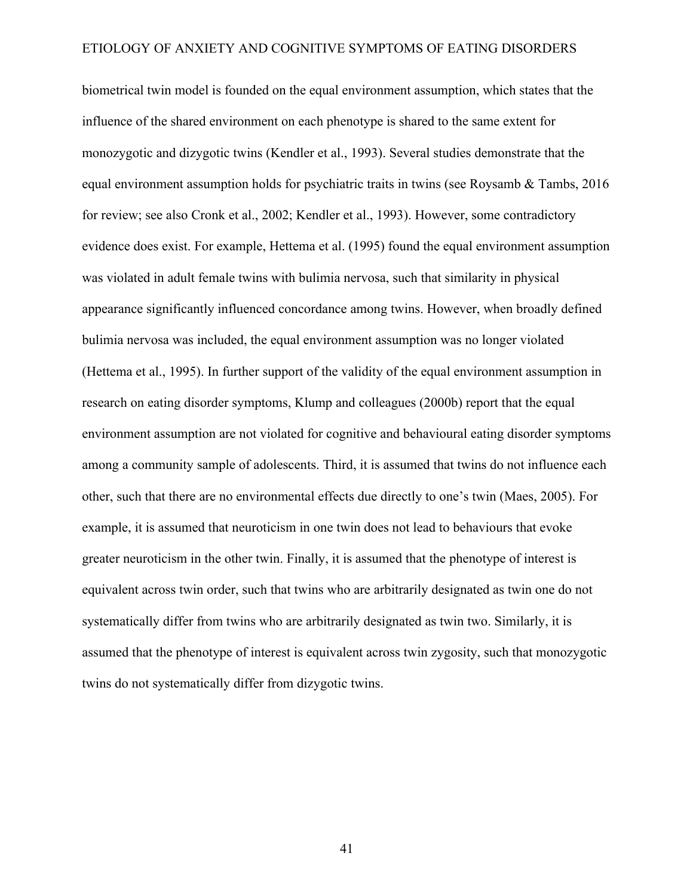biometrical twin model is founded on the equal environment assumption, which states that the influence of the shared environment on each phenotype is shared to the same extent for monozygotic and dizygotic twins (Kendler et al., 1993). Several studies demonstrate that the equal environment assumption holds for psychiatric traits in twins (see Roysamb & Tambs, 2016 for review; see also Cronk et al., 2002; Kendler et al., 1993). However, some contradictory evidence does exist. For example, Hettema et al. (1995) found the equal environment assumption was violated in adult female twins with bulimia nervosa, such that similarity in physical appearance significantly influenced concordance among twins. However, when broadly defined bulimia nervosa was included, the equal environment assumption was no longer violated (Hettema et al., 1995). In further support of the validity of the equal environment assumption in research on eating disorder symptoms, Klump and colleagues (2000b) report that the equal environment assumption are not violated for cognitive and behavioural eating disorder symptoms among a community sample of adolescents. Third, it is assumed that twins do not influence each other, such that there are no environmental effects due directly to one's twin (Maes, 2005). For example, it is assumed that neuroticism in one twin does not lead to behaviours that evoke greater neuroticism in the other twin. Finally, it is assumed that the phenotype of interest is equivalent across twin order, such that twins who are arbitrarily designated as twin one do not systematically differ from twins who are arbitrarily designated as twin two. Similarly, it is assumed that the phenotype of interest is equivalent across twin zygosity, such that monozygotic twins do not systematically differ from dizygotic twins.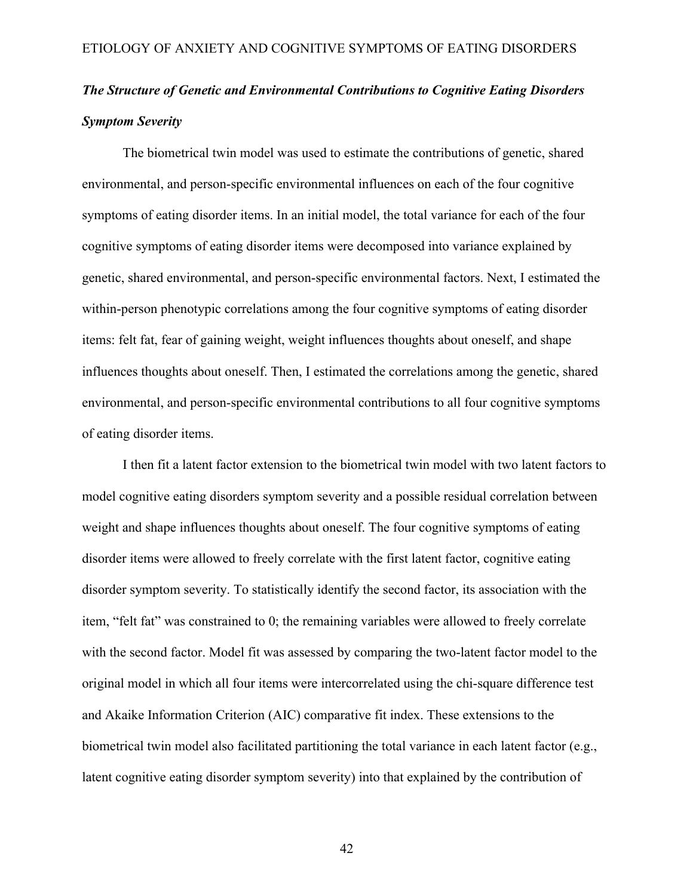## *The Structure of Genetic and Environmental Contributions to Cognitive Eating Disorders Symptom Severity*

The biometrical twin model was used to estimate the contributions of genetic, shared environmental, and person-specific environmental influences on each of the four cognitive symptoms of eating disorder items. In an initial model, the total variance for each of the four cognitive symptoms of eating disorder items were decomposed into variance explained by genetic, shared environmental, and person-specific environmental factors. Next, I estimated the within-person phenotypic correlations among the four cognitive symptoms of eating disorder items: felt fat, fear of gaining weight, weight influences thoughts about oneself, and shape influences thoughts about oneself. Then, I estimated the correlations among the genetic, shared environmental, and person-specific environmental contributions to all four cognitive symptoms of eating disorder items.

I then fit a latent factor extension to the biometrical twin model with two latent factors to model cognitive eating disorders symptom severity and a possible residual correlation between weight and shape influences thoughts about oneself. The four cognitive symptoms of eating disorder items were allowed to freely correlate with the first latent factor, cognitive eating disorder symptom severity. To statistically identify the second factor, its association with the item, "felt fat" was constrained to 0; the remaining variables were allowed to freely correlate with the second factor. Model fit was assessed by comparing the two-latent factor model to the original model in which all four items were intercorrelated using the chi-square difference test and Akaike Information Criterion (AIC) comparative fit index. These extensions to the biometrical twin model also facilitated partitioning the total variance in each latent factor (e.g., latent cognitive eating disorder symptom severity) into that explained by the contribution of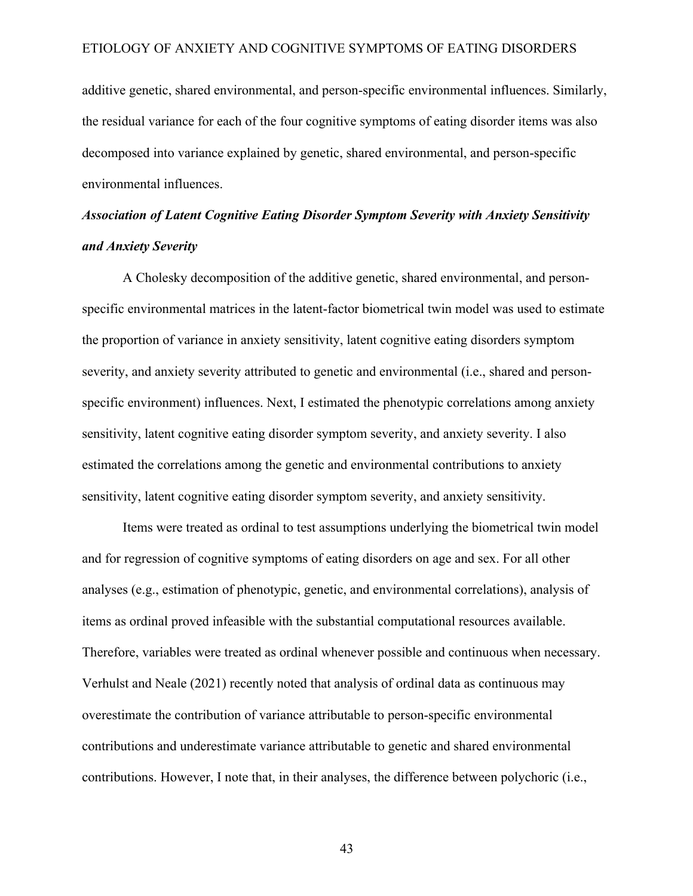additive genetic, shared environmental, and person-specific environmental influences. Similarly, the residual variance for each of the four cognitive symptoms of eating disorder items was also decomposed into variance explained by genetic, shared environmental, and person-specific environmental influences.

## *Association of Latent Cognitive Eating Disorder Symptom Severity with Anxiety Sensitivity and Anxiety Severity*

A Cholesky decomposition of the additive genetic, shared environmental, and personspecific environmental matrices in the latent-factor biometrical twin model was used to estimate the proportion of variance in anxiety sensitivity, latent cognitive eating disorders symptom severity, and anxiety severity attributed to genetic and environmental (i.e., shared and personspecific environment) influences. Next, I estimated the phenotypic correlations among anxiety sensitivity, latent cognitive eating disorder symptom severity, and anxiety severity. I also estimated the correlations among the genetic and environmental contributions to anxiety sensitivity, latent cognitive eating disorder symptom severity, and anxiety sensitivity.

Items were treated as ordinal to test assumptions underlying the biometrical twin model and for regression of cognitive symptoms of eating disorders on age and sex. For all other analyses (e.g., estimation of phenotypic, genetic, and environmental correlations), analysis of items as ordinal proved infeasible with the substantial computational resources available. Therefore, variables were treated as ordinal whenever possible and continuous when necessary. Verhulst and Neale (2021) recently noted that analysis of ordinal data as continuous may overestimate the contribution of variance attributable to person-specific environmental contributions and underestimate variance attributable to genetic and shared environmental contributions. However, I note that, in their analyses, the difference between polychoric (i.e.,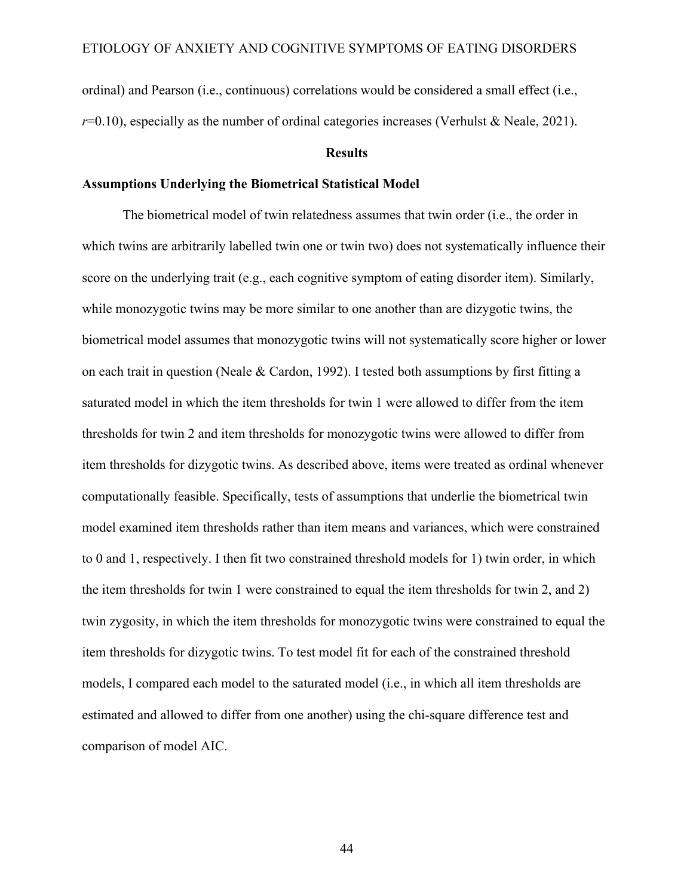ordinal) and Pearson (i.e., continuous) correlations would be considered a small effect (i.e.,  $r=0.10$ ), especially as the number of ordinal categories increases (Verhulst & Neale, 2021).

### **Results**

### **Assumptions Underlying the Biometrical Statistical Model**

The biometrical model of twin relatedness assumes that twin order (i.e., the order in which twins are arbitrarily labelled twin one or twin two) does not systematically influence their score on the underlying trait (e.g., each cognitive symptom of eating disorder item). Similarly, while monozygotic twins may be more similar to one another than are dizygotic twins, the biometrical model assumes that monozygotic twins will not systematically score higher or lower on each trait in question (Neale & Cardon, 1992). I tested both assumptions by first fitting a saturated model in which the item thresholds for twin 1 were allowed to differ from the item thresholds for twin 2 and item thresholds for monozygotic twins were allowed to differ from item thresholds for dizygotic twins. As described above, items were treated as ordinal whenever computationally feasible. Specifically, tests of assumptions that underlie the biometrical twin model examined item thresholds rather than item means and variances, which were constrained to 0 and 1, respectively. I then fit two constrained threshold models for 1) twin order, in which the item thresholds for twin 1 were constrained to equal the item thresholds for twin 2, and 2) twin zygosity, in which the item thresholds for monozygotic twins were constrained to equal the item thresholds for dizygotic twins. To test model fit for each of the constrained threshold models, I compared each model to the saturated model (i.e., in which all item thresholds are estimated and allowed to differ from one another) using the chi-square difference test and comparison of model AIC.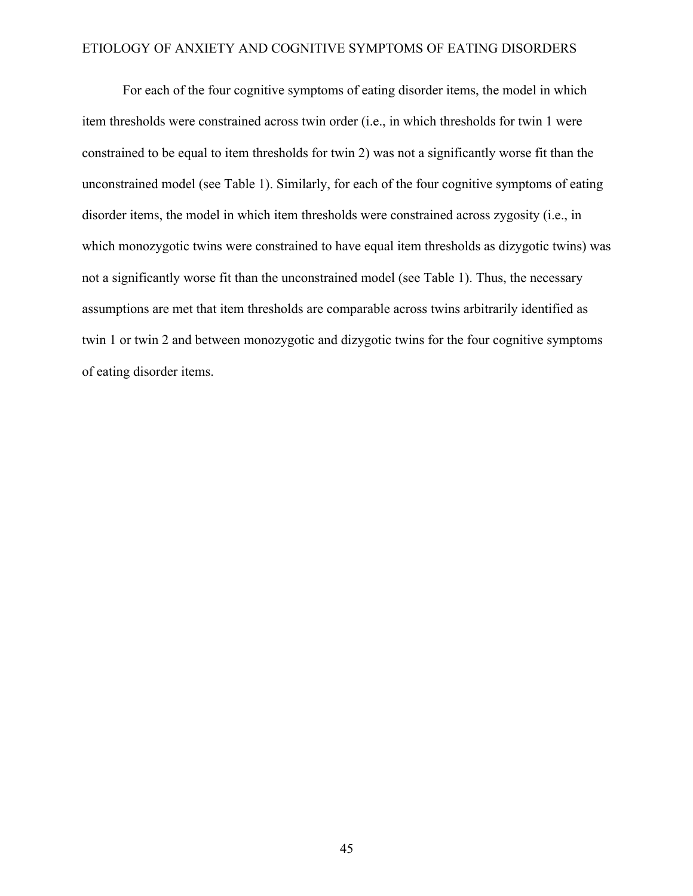For each of the four cognitive symptoms of eating disorder items, the model in which item thresholds were constrained across twin order (i.e., in which thresholds for twin 1 were constrained to be equal to item thresholds for twin 2) was not a significantly worse fit than the unconstrained model (see Table 1). Similarly, for each of the four cognitive symptoms of eating disorder items, the model in which item thresholds were constrained across zygosity (i.e., in which monozygotic twins were constrained to have equal item thresholds as dizygotic twins) was not a significantly worse fit than the unconstrained model (see Table 1). Thus, the necessary assumptions are met that item thresholds are comparable across twins arbitrarily identified as twin 1 or twin 2 and between monozygotic and dizygotic twins for the four cognitive symptoms of eating disorder items.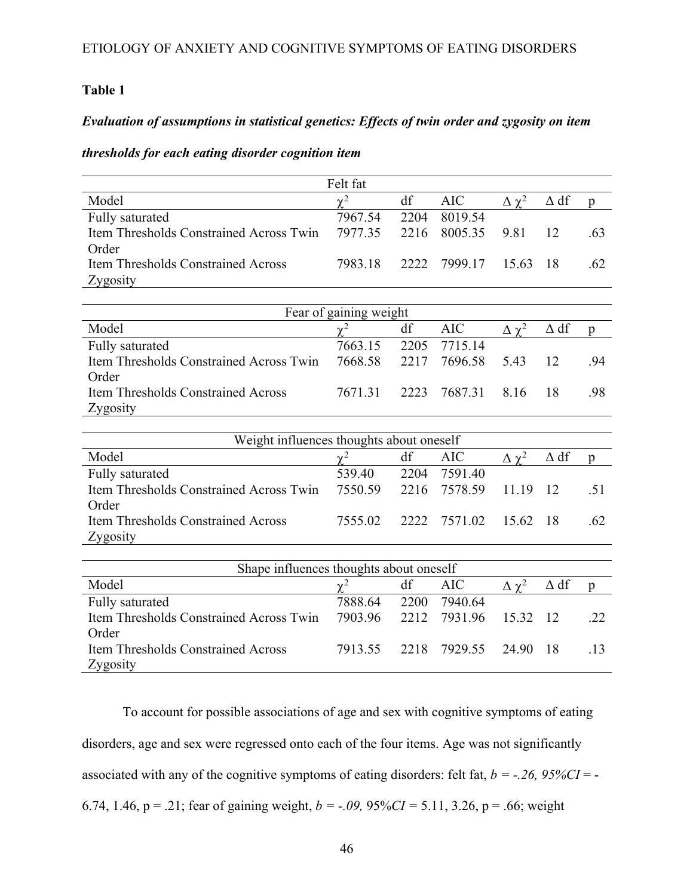### **Table 1**

### *Evaluation of assumptions in statistical genetics: Effects of twin order and zygosity on item*

### *thresholds for each eating disorder cognition item*

|                                           | Felt fat               |      |            |                 |             |              |
|-------------------------------------------|------------------------|------|------------|-----------------|-------------|--------------|
| Model                                     | $\chi^2$               | df   | <b>AIC</b> | $\Delta \chi^2$ | $\Delta$ df | p            |
| Fully saturated                           | 7967.54                | 2204 | 8019.54    |                 |             |              |
| Item Thresholds Constrained Across Twin   | 7977.35                | 2216 | 8005.35    | 9.81            | 12          | .63          |
| Order                                     |                        |      |            |                 |             |              |
| <b>Item Thresholds Constrained Across</b> | 7983.18                | 2222 | 7999.17    | 15.63           | 18          | .62          |
| Zygosity                                  |                        |      |            |                 |             |              |
|                                           |                        |      |            |                 |             |              |
|                                           | Fear of gaining weight |      |            |                 |             |              |
| Model                                     | $\chi^2$               | df   | <b>AIC</b> | $\Delta \chi^2$ | $\Delta df$ | p            |
| Fully saturated                           | 7663.15                | 2205 | 7715.14    |                 |             |              |
| Item Thresholds Constrained Across Twin   | 7668.58                | 2217 | 7696.58    | 5.43            | 12          | .94          |
| Order                                     |                        |      |            |                 |             |              |
| Item Thresholds Constrained Across        | 7671.31                | 2223 | 7687.31    | 8.16            | 18          | .98          |
| Zygosity                                  |                        |      |            |                 |             |              |
|                                           |                        |      |            |                 |             |              |
| Weight influences thoughts about oneself  |                        |      |            |                 |             |              |
| Model                                     | $\chi^2$               | df   | <b>AIC</b> | $\Delta \chi^2$ | $\Delta df$ | p            |
| Fully saturated                           | 539.40                 | 2204 | 7591.40    |                 |             |              |
| Item Thresholds Constrained Across Twin   | 7550.59                | 2216 | 7578.59    | 11.19           | 12          | .51          |
| Order                                     |                        |      |            |                 |             |              |
| <b>Item Thresholds Constrained Across</b> | 7555.02                | 2222 | 7571.02    | 15.62           | 18          | .62          |
| Zygosity                                  |                        |      |            |                 |             |              |
|                                           |                        |      |            |                 |             |              |
| Shape influences thoughts about oneself   |                        |      |            |                 |             |              |
| Model                                     | $\chi^2$               | df   | <b>AIC</b> | $\Delta \chi^2$ | $\Delta df$ | $\mathbf{p}$ |
| Fully saturated                           | 7888.64                | 2200 | 7940.64    |                 |             |              |
| Item Thresholds Constrained Across Twin   | 7903.96                | 2212 | 7931.96    | 15.32           | 12          | .22          |
| Order                                     |                        |      |            |                 |             |              |
| Item Thresholds Constrained Across        | 7913.55                | 2218 | 7929.55    | 24.90           | 18          | .13          |
| Zygosity                                  |                        |      |            |                 |             |              |

To account for possible associations of age and sex with cognitive symptoms of eating disorders, age and sex were regressed onto each of the four items. Age was not significantly associated with any of the cognitive symptoms of eating disorders: felt fat,  $b = -0.26$ ,  $95\%CI = -0.26$ 6.74, 1.46, p = .21; fear of gaining weight, *b = -.09,* 95%*CI =* 5.11, 3.26, p = .66; weight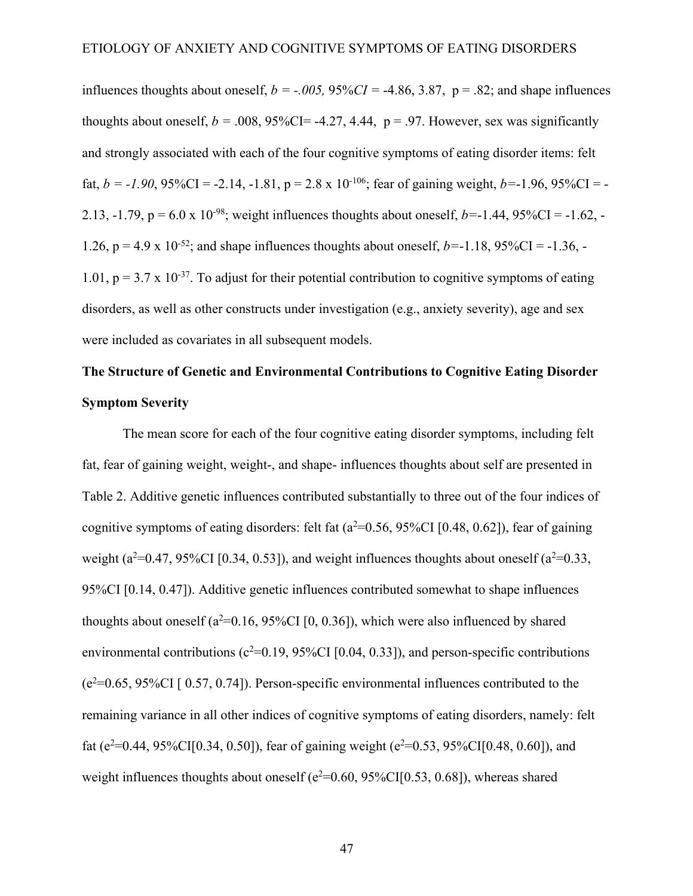influences thoughts about oneself,  $b = -0.005$ ,  $95\%CI = -4.86$ ,  $3.87$ ,  $p = .82$ ; and shape influences thoughts about oneself,  $b = .008, 95\%$ CI= -4.27, 4.44,  $p = .97$ . However, sex was significantly and strongly associated with each of the four cognitive symptoms of eating disorder items: felt fat,  $b = -1.90$ ,  $95\%CI = -2.14$ ,  $-1.81$ ,  $p = 2.8 \times 10^{-106}$ ; fear of gaining weight,  $b = -1.96$ ,  $95\%CI = -1.96$ 2.13, -1.79,  $p = 6.0 \times 10^{-98}$ ; weight influences thoughts about oneself,  $b = -1.44$ , 95%CI = -1.62, -1.26,  $p = 4.9 \times 10^{-52}$ ; and shape influences thoughts about oneself,  $b = -1.18$ ,  $95\%CI = -1.36$ . 1.01,  $p = 3.7 \times 10^{-37}$ . To adjust for their potential contribution to cognitive symptoms of eating disorders, as well as other constructs under investigation (e.g., anxiety severity), age and sex were included as covariates in all subsequent models.

# **The Structure of Genetic and Environmental Contributions to Cognitive Eating Disorder Symptom Severity**

The mean score for each of the four cognitive eating disorder symptoms, including felt fat, fear of gaining weight, weight-, and shape- influences thoughts about self are presented in Table 2. Additive genetic influences contributed substantially to three out of the four indices of cognitive symptoms of eating disorders: felt fat  $(a^2=0.56, 95\%CI$  [0.48, 0.62]), fear of gaining weight ( $a^2$ =0.47, 95%CI [0.34, 0.53]), and weight influences thoughts about oneself ( $a^2$ =0.33, 95%CI [0.14, 0.47]). Additive genetic influences contributed somewhat to shape influences thoughts about oneself ( $a^2$ =0.16, 95%CI [0, 0.36]), which were also influenced by shared environmental contributions ( $c^2$ =0.19, 95%CI [0.04, 0.33]), and person-specific contributions  $(e^{2}=0.65, 95\%$ CI [ 0.57, 0.74]). Person-specific environmental influences contributed to the remaining variance in all other indices of cognitive symptoms of eating disorders, namely: felt fat ( $e^2$ =0.44, 95%CI[0.34, 0.50]), fear of gaining weight ( $e^2$ =0.53, 95%CI[0.48, 0.60]), and weight influences thoughts about oneself ( $e^2$ =0.60, 95%CI[0.53, 0.68]), whereas shared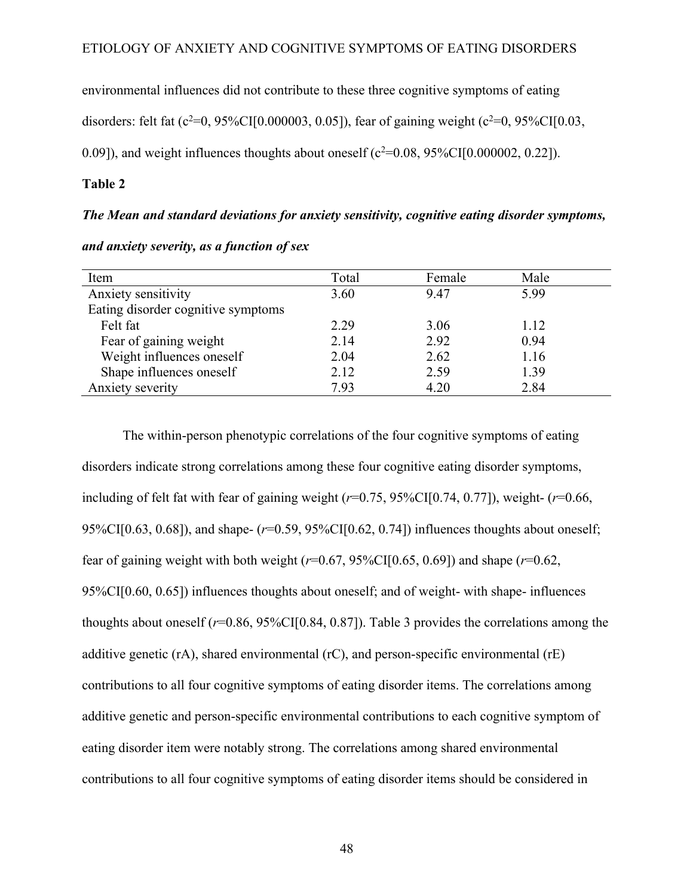environmental influences did not contribute to these three cognitive symptoms of eating disorders: felt fat  $(c^2=0, 95\% CI[0.000003, 0.05])$ , fear of gaining weight  $(c^2=0, 95\% CI[0.03, 0.05])$ 0.09]), and weight influences thoughts about oneself ( $c^2$ =0.08, 95%CI[0.000002, 0.22]).

### **Table 2**

### *The Mean and standard deviations for anxiety sensitivity, cognitive eating disorder symptoms,*

| Item                               | Total | Female | Male |  |
|------------------------------------|-------|--------|------|--|
| Anxiety sensitivity                | 3.60  | 9.47   | 5.99 |  |
| Eating disorder cognitive symptoms |       |        |      |  |
| Felt fat                           | 2.29  | 3.06   | 1.12 |  |
| Fear of gaining weight             | 2.14  | 2.92   | 0.94 |  |
| Weight influences oneself          | 2.04  | 2.62   | 1.16 |  |
| Shape influences oneself           | 2.12  | 2.59   | 1.39 |  |
| Anxiety severity                   | 7.93  | 4.20   | 2.84 |  |

*and anxiety severity, as a function of sex*

The within-person phenotypic correlations of the four cognitive symptoms of eating disorders indicate strong correlations among these four cognitive eating disorder symptoms, including of felt fat with fear of gaining weight (*r*=0.75, 95%CI[0.74, 0.77]), weight- (*r*=0.66, 95%CI[0.63, 0.68]), and shape- (*r*=0.59, 95%CI[0.62, 0.74]) influences thoughts about oneself; fear of gaining weight with both weight  $(r=0.67, 95\% \text{CI}[0.65, 0.69])$  and shape  $(r=0.62, 0.69)$ 95%CI[0.60, 0.65]) influences thoughts about oneself; and of weight- with shape- influences thoughts about oneself (*r*=0.86, 95%CI[0.84, 0.87]). Table 3 provides the correlations among the additive genetic (rA), shared environmental (rC), and person-specific environmental (rE) contributions to all four cognitive symptoms of eating disorder items. The correlations among additive genetic and person-specific environmental contributions to each cognitive symptom of eating disorder item were notably strong. The correlations among shared environmental contributions to all four cognitive symptoms of eating disorder items should be considered in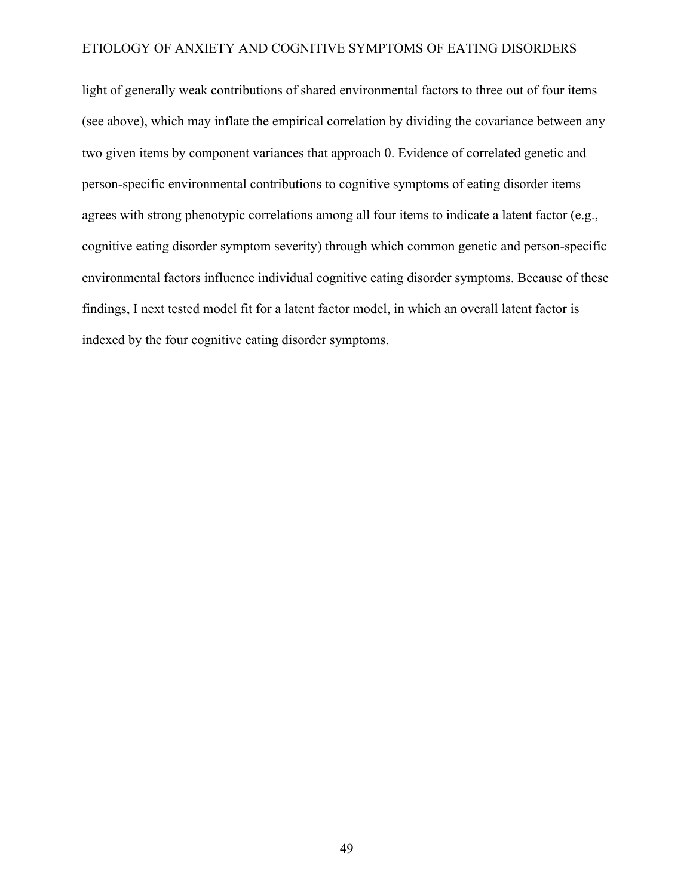light of generally weak contributions of shared environmental factors to three out of four items (see above), which may inflate the empirical correlation by dividing the covariance between any two given items by component variances that approach 0. Evidence of correlated genetic and person-specific environmental contributions to cognitive symptoms of eating disorder items agrees with strong phenotypic correlations among all four items to indicate a latent factor (e.g., cognitive eating disorder symptom severity) through which common genetic and person-specific environmental factors influence individual cognitive eating disorder symptoms. Because of these findings, I next tested model fit for a latent factor model, in which an overall latent factor is indexed by the four cognitive eating disorder symptoms.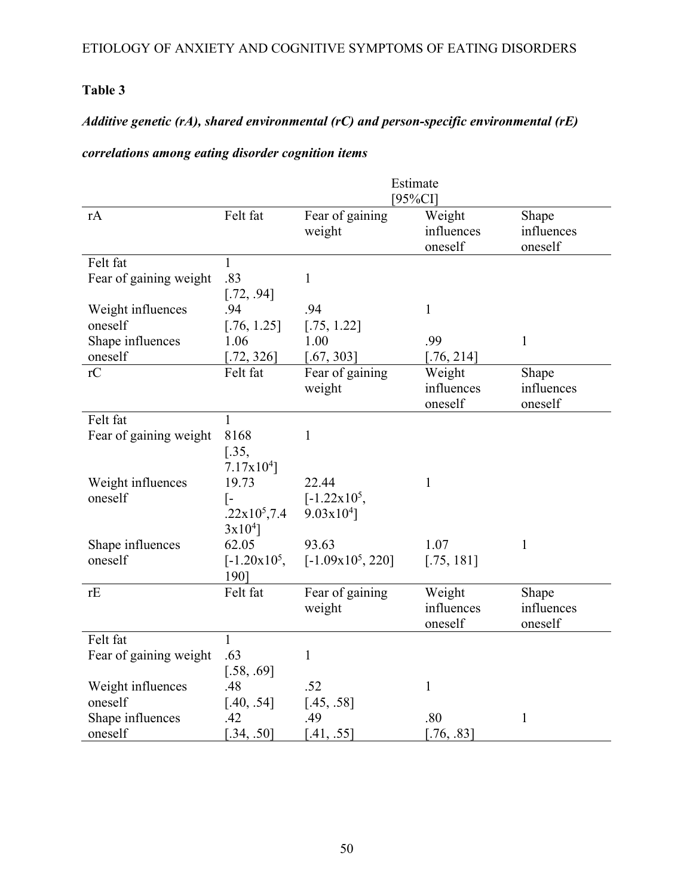## **Table 3**

## *Additive genetic (rA), shared environmental (rC) and person-specific environmental (rE)*

### *correlations among eating disorder cognition items*

|                        | Estimate       |                        |              |              |
|------------------------|----------------|------------------------|--------------|--------------|
|                        |                |                        | $[95\%CI]$   |              |
| rA                     | Felt fat       | Fear of gaining        | Weight       | Shape        |
|                        |                | weight                 | influences   | influences   |
|                        |                |                        | oneself      | oneself      |
| Felt fat               | 1              |                        |              |              |
| Fear of gaining weight | .83            | 1                      |              |              |
|                        | [.72, .94]     |                        |              |              |
| Weight influences      | .94            | .94                    | $\mathbf{1}$ |              |
| oneself                | [.76, 1.25]    | [.75, 1.22]            |              |              |
| Shape influences       | 1.06           | 1.00                   | .99          | $\mathbf{1}$ |
| oneself                | [.72, 326]     | [.67, 303]             | [.76, 214]   |              |
| rC                     | Felt fat       | Fear of gaining        | Weight       | Shape        |
|                        |                | weight                 | influences   | influences   |
|                        |                |                        | oneself      | oneself      |
| Felt fat               | $\mathbf{1}$   |                        |              |              |
| Fear of gaining weight | 8168           | $\mathbf{1}$           |              |              |
|                        | $[.35,$        |                        |              |              |
|                        | 7.17x104       |                        |              |              |
| Weight influences      | 19.73          | 22.44                  | $\mathbf{1}$ |              |
| oneself                | [-             | $[-1.22 \times 10^5,$  |              |              |
|                        | $.22x10^5,7.4$ | $9.03 \times 10^{4}$ ] |              |              |
|                        | $3x10^{4}$ ]   |                        |              |              |
| Shape influences       | 62.05          | 93.63                  | 1.07         | $\mathbf{1}$ |
| oneself                | $[-1.20x10^5,$ | $[-1.09x10^5, 220]$    | [.75, 181]   |              |
|                        | 1901           |                        |              |              |
| rE                     | Felt fat       | Fear of gaining        | Weight       | Shape        |
|                        |                | weight                 | influences   | influences   |
|                        |                |                        | oneself      | oneself      |
| Felt fat               | 1              |                        |              |              |
| Fear of gaining weight | .63            | $\mathbf{1}$           |              |              |
|                        | [.58, .69]     |                        |              |              |
| Weight influences      | .48            | .52                    | $\mathbf{1}$ |              |
| oneself                | [.40, .54]     | [.45, .58]             |              |              |
| Shape influences       | .42            | .49                    | .80          | $\mathbf{1}$ |
| oneself                | [.34, .50]     | [.41, .55]             | [.76, .83]   |              |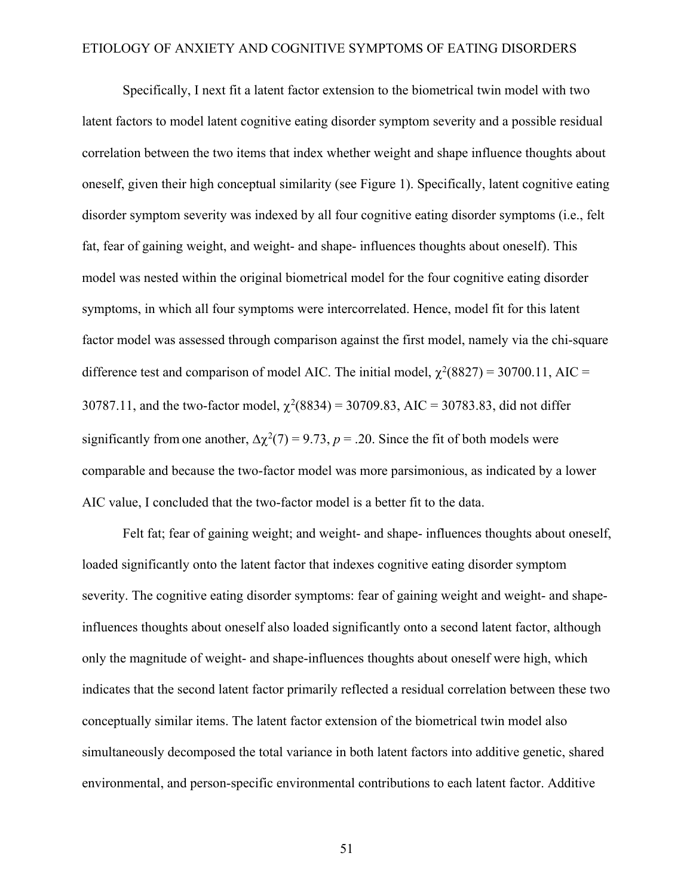Specifically, I next fit a latent factor extension to the biometrical twin model with two latent factors to model latent cognitive eating disorder symptom severity and a possible residual correlation between the two items that index whether weight and shape influence thoughts about oneself, given their high conceptual similarity (see Figure 1). Specifically, latent cognitive eating disorder symptom severity was indexed by all four cognitive eating disorder symptoms (i.e., felt fat, fear of gaining weight, and weight- and shape- influences thoughts about oneself). This model was nested within the original biometrical model for the four cognitive eating disorder symptoms, in which all four symptoms were intercorrelated. Hence, model fit for this latent factor model was assessed through comparison against the first model, namely via the chi-square difference test and comparison of model AIC. The initial model,  $\chi^2(8827) = 30700.11$ , AIC = 30787.11, and the two-factor model,  $\chi^2(8834) = 30709.83$ , AIC = 30783.83, did not differ significantly from one another,  $\Delta \chi^2(7) = 9.73$ ,  $p = .20$ . Since the fit of both models were comparable and because the two-factor model was more parsimonious, as indicated by a lower AIC value, I concluded that the two-factor model is a better fit to the data.

Felt fat; fear of gaining weight; and weight- and shape- influences thoughts about oneself, loaded significantly onto the latent factor that indexes cognitive eating disorder symptom severity. The cognitive eating disorder symptoms: fear of gaining weight and weight- and shapeinfluences thoughts about oneself also loaded significantly onto a second latent factor, although only the magnitude of weight- and shape-influences thoughts about oneself were high, which indicates that the second latent factor primarily reflected a residual correlation between these two conceptually similar items. The latent factor extension of the biometrical twin model also simultaneously decomposed the total variance in both latent factors into additive genetic, shared environmental, and person-specific environmental contributions to each latent factor. Additive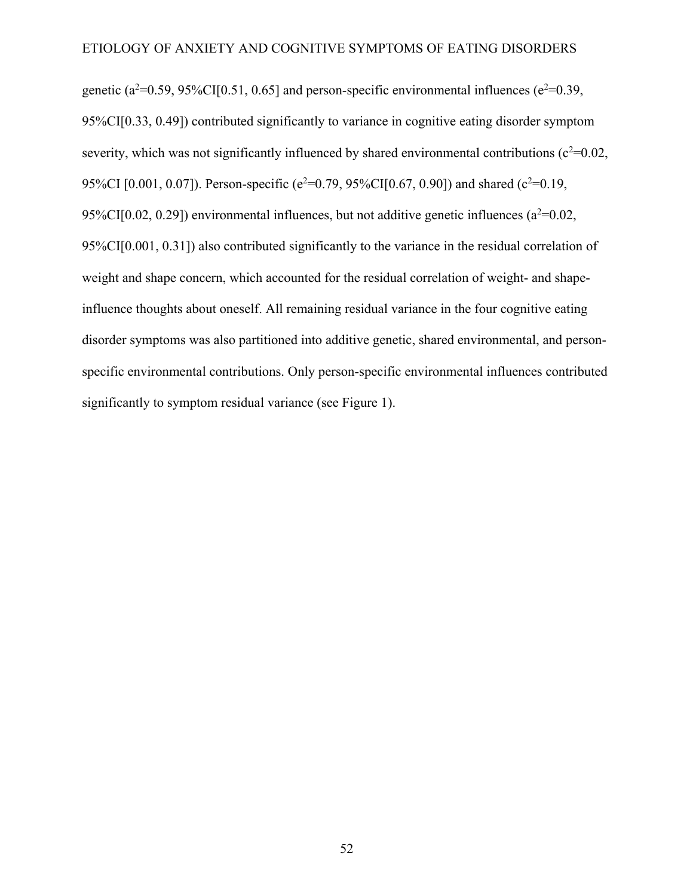genetic ( $a^2=0.59$ ,  $95\%$ CI[0.51, 0.65] and person-specific environmental influences ( $e^2=0.39$ , 95%CI[0.33, 0.49]) contributed significantly to variance in cognitive eating disorder symptom severity, which was not significantly influenced by shared environmental contributions ( $c^2$ =0.02, 95%CI [0.001, 0.07]). Person-specific ( $e^2$ =0.79, 95%CI[0.67, 0.90]) and shared ( $c^2$ =0.19, 95%CI[0.02, 0.29]) environmental influences, but not additive genetic influences ( $a^2$ =0.02, 95%CI[0.001, 0.31]) also contributed significantly to the variance in the residual correlation of weight and shape concern, which accounted for the residual correlation of weight- and shapeinfluence thoughts about oneself. All remaining residual variance in the four cognitive eating disorder symptoms was also partitioned into additive genetic, shared environmental, and personspecific environmental contributions. Only person-specific environmental influences contributed significantly to symptom residual variance (see Figure 1).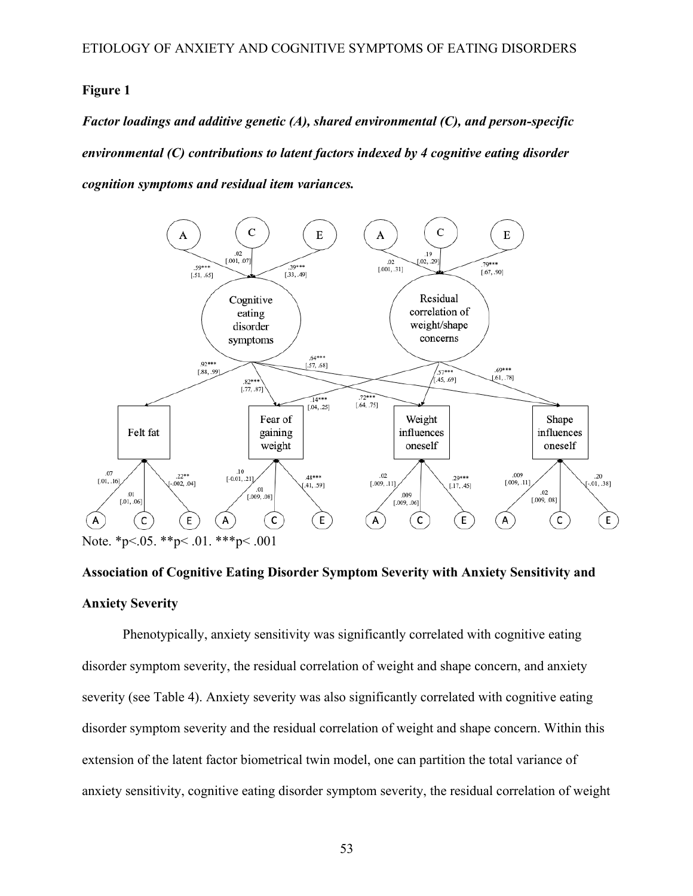### **Figure 1**

*Factor loadings and additive genetic (A), shared environmental (C), and person-specific environmental (C) contributions to latent factors indexed by 4 cognitive eating disorder cognition symptoms and residual item variances.*



# **Association of Cognitive Eating Disorder Symptom Severity with Anxiety Sensitivity and Anxiety Severity**

Phenotypically, anxiety sensitivity was significantly correlated with cognitive eating disorder symptom severity, the residual correlation of weight and shape concern, and anxiety severity (see Table 4). Anxiety severity was also significantly correlated with cognitive eating disorder symptom severity and the residual correlation of weight and shape concern. Within this extension of the latent factor biometrical twin model, one can partition the total variance of anxiety sensitivity, cognitive eating disorder symptom severity, the residual correlation of weight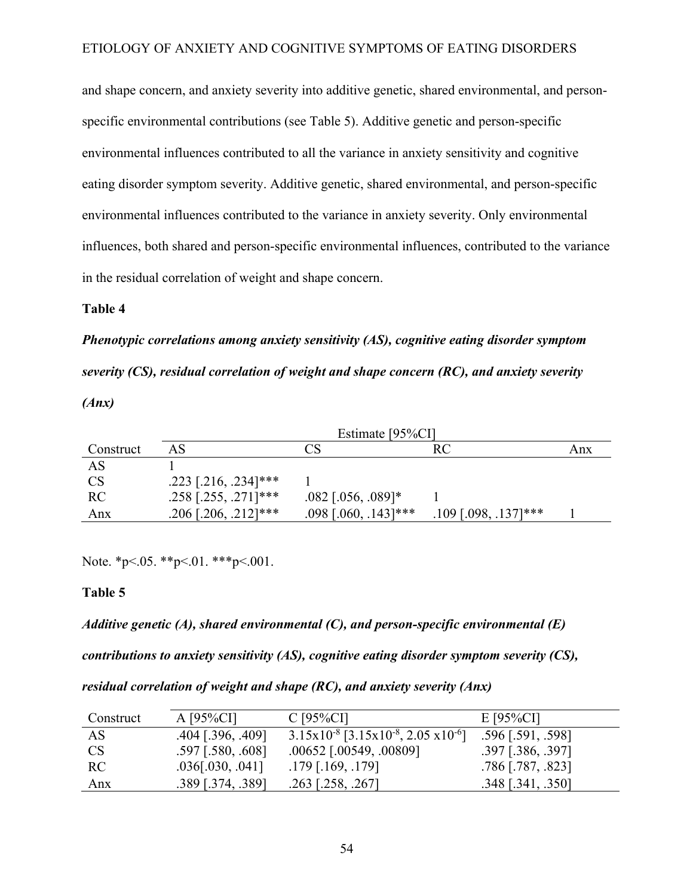and shape concern, and anxiety severity into additive genetic, shared environmental, and personspecific environmental contributions (see Table 5). Additive genetic and person-specific environmental influences contributed to all the variance in anxiety sensitivity and cognitive eating disorder symptom severity. Additive genetic, shared environmental, and person-specific environmental influences contributed to the variance in anxiety severity. Only environmental influences, both shared and person-specific environmental influences, contributed to the variance in the residual correlation of weight and shape concern.

### **Table 4**

*Phenotypic correlations among anxiety sensitivity (AS), cognitive eating disorder symptom severity (CS), residual correlation of weight and shape concern (RC), and anxiety severity (Anx)*

|           | Estimate [95%CI]       |                        |                        |     |
|-----------|------------------------|------------------------|------------------------|-----|
| Construct | AS                     | $\mathbb{C}\mathbf{S}$ | RC                     | Anx |
| AS        |                        |                        |                        |     |
| <b>CS</b> | $.223$ [.216, .234]*** |                        |                        |     |
| <b>RC</b> | $.258$ [.255, .271]*** | $.082$ [.056, .089]*   |                        |     |
| Anx       | $.206$ [.206, .212]*** | $.098$ [.060, .143]*** | $.109$ [.098, .137]*** |     |

Note. \*p<.05. \*\*p<.01. \*\*\*p<.001.

### **Table 5**

*Additive genetic (A), shared environmental (C), and person-specific environmental (E) contributions to anxiety sensitivity (AS), cognitive eating disorder symptom severity (CS), residual correlation of weight and shape (RC), and anxiety severity (Anx)*

| Construct | $A [95\%CI]$        | $C$ [95% $C$ I]                                                  | $E$ [95%CI]         |
|-----------|---------------------|------------------------------------------------------------------|---------------------|
| AS        | $.404$ [.396, .409] | $3.15x10^{-8}$ [3.15x10 <sup>-8</sup> , 2.05 x10 <sup>-6</sup> ] | $.596$ [.591, .598] |
| <b>CS</b> | $.597$ [.580, .608] | $.00652$ [ $.00549, .00809$ ]                                    | .397 [.386, .397]   |
| RC.       | $.036$ [.030, .041] | $.179$ [.169, .179]                                              | $.786$ [.787, .823] |
| Anx       | .389 [.374, .389]   | $.263$ [.258, .267]                                              | $.348$ [.341, .350] |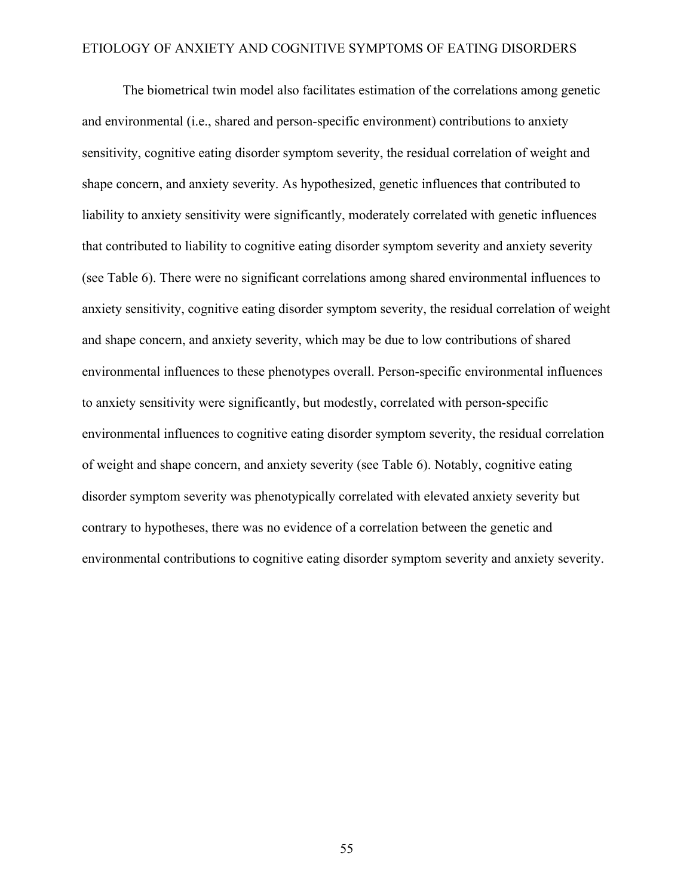The biometrical twin model also facilitates estimation of the correlations among genetic and environmental (i.e., shared and person-specific environment) contributions to anxiety sensitivity, cognitive eating disorder symptom severity, the residual correlation of weight and shape concern, and anxiety severity. As hypothesized, genetic influences that contributed to liability to anxiety sensitivity were significantly, moderately correlated with genetic influences that contributed to liability to cognitive eating disorder symptom severity and anxiety severity (see Table 6). There were no significant correlations among shared environmental influences to anxiety sensitivity, cognitive eating disorder symptom severity, the residual correlation of weight and shape concern, and anxiety severity, which may be due to low contributions of shared environmental influences to these phenotypes overall. Person-specific environmental influences to anxiety sensitivity were significantly, but modestly, correlated with person-specific environmental influences to cognitive eating disorder symptom severity, the residual correlation of weight and shape concern, and anxiety severity (see Table 6). Notably, cognitive eating disorder symptom severity was phenotypically correlated with elevated anxiety severity but contrary to hypotheses, there was no evidence of a correlation between the genetic and environmental contributions to cognitive eating disorder symptom severity and anxiety severity.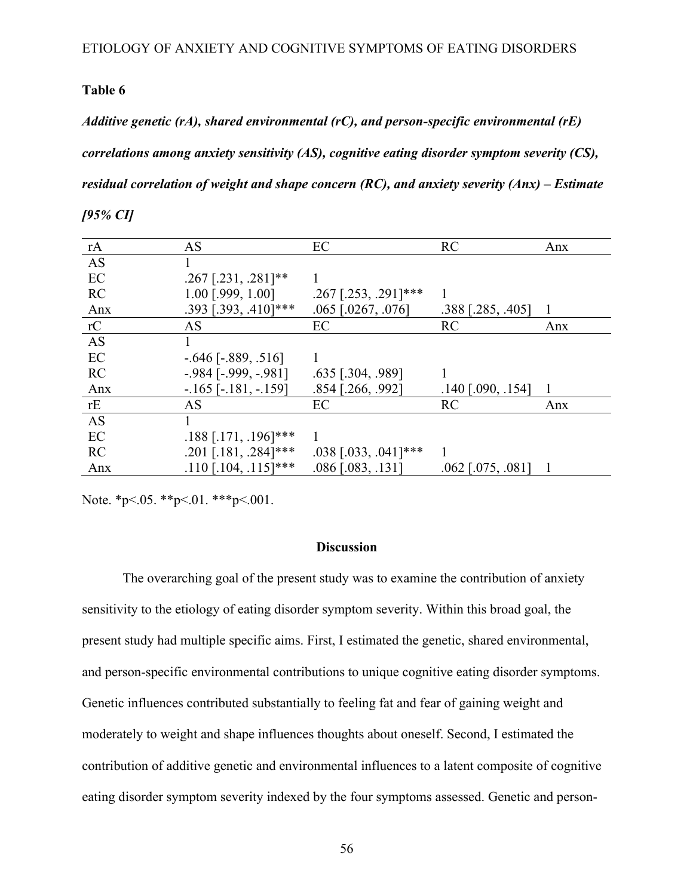### **Table 6**

*Additive genetic (rA), shared environmental (rC), and person-specific environmental (rE) correlations among anxiety sensitivity (AS), cognitive eating disorder symptom severity (CS), residual correlation of weight and shape concern (RC), and anxiety severity (Anx) – Estimate* 

| %<br>10 T |  |
|-----------|--|
|-----------|--|

| rA        | AS                         | EC                     | <b>RC</b>           | Anx |
|-----------|----------------------------|------------------------|---------------------|-----|
| <b>AS</b> |                            |                        |                     |     |
| EC        | $.267$ [.231, .281]**      |                        |                     |     |
| <b>RC</b> | $1.00$ [.999, $1.00$ ]     | $.267$ [.253, .291]*** |                     |     |
| Anx       | $.393$ [.393, .410]***     | $.065$ [.0267, .076]   | $.388$ [.285, .405] | -1  |
| rC        | AS                         | EC                     | RC                  | Anx |
| <b>AS</b> |                            |                        |                     |     |
| EC        | $-.646$ [ $-.889, .516$ ]  |                        |                     |     |
| RC        | $-.984$ [ $-.999, -.981$ ] | $.635$ [.304, .989]    |                     |     |
| Anx       | $-165$ [ $-181, -159$ ]    | $.854$ [.266, .992]    | $.140$ [.090, .154] |     |
| rE        | AS                         | EC                     | RC                  | Anx |
| <b>AS</b> |                            |                        |                     |     |
| EC        | $.188$ [.171, .196]***     |                        |                     |     |
| <b>RC</b> | $.201$ [.181, .284]***     | $.038$ [.033, .041]*** |                     |     |
| Anx       | $.110$ [.104, .115]***     | $.086$ [.083, .131]    | $.062$ [.075, .081] |     |

Note. \*p<.05. \*\*p<.01. \*\*\*p<.001.

### **Discussion**

The overarching goal of the present study was to examine the contribution of anxiety sensitivity to the etiology of eating disorder symptom severity. Within this broad goal, the present study had multiple specific aims. First, I estimated the genetic, shared environmental, and person-specific environmental contributions to unique cognitive eating disorder symptoms. Genetic influences contributed substantially to feeling fat and fear of gaining weight and moderately to weight and shape influences thoughts about oneself. Second, I estimated the contribution of additive genetic and environmental influences to a latent composite of cognitive eating disorder symptom severity indexed by the four symptoms assessed. Genetic and person-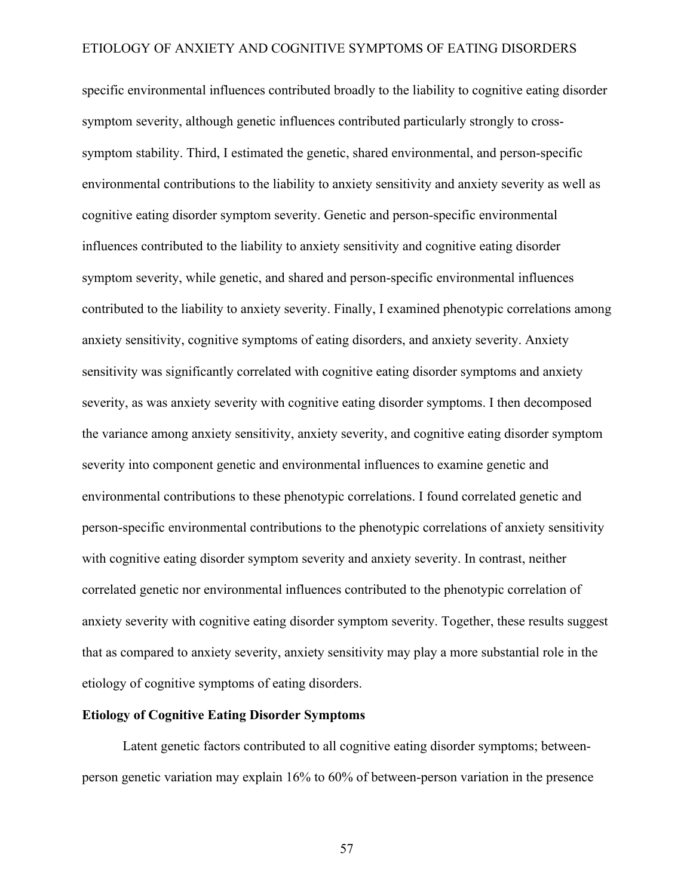specific environmental influences contributed broadly to the liability to cognitive eating disorder symptom severity, although genetic influences contributed particularly strongly to crosssymptom stability. Third, I estimated the genetic, shared environmental, and person-specific environmental contributions to the liability to anxiety sensitivity and anxiety severity as well as cognitive eating disorder symptom severity. Genetic and person-specific environmental influences contributed to the liability to anxiety sensitivity and cognitive eating disorder symptom severity, while genetic, and shared and person-specific environmental influences contributed to the liability to anxiety severity. Finally, I examined phenotypic correlations among anxiety sensitivity, cognitive symptoms of eating disorders, and anxiety severity. Anxiety sensitivity was significantly correlated with cognitive eating disorder symptoms and anxiety severity, as was anxiety severity with cognitive eating disorder symptoms. I then decomposed the variance among anxiety sensitivity, anxiety severity, and cognitive eating disorder symptom severity into component genetic and environmental influences to examine genetic and environmental contributions to these phenotypic correlations. I found correlated genetic and person-specific environmental contributions to the phenotypic correlations of anxiety sensitivity with cognitive eating disorder symptom severity and anxiety severity. In contrast, neither correlated genetic nor environmental influences contributed to the phenotypic correlation of anxiety severity with cognitive eating disorder symptom severity. Together, these results suggest that as compared to anxiety severity, anxiety sensitivity may play a more substantial role in the etiology of cognitive symptoms of eating disorders.

### **Etiology of Cognitive Eating Disorder Symptoms**

Latent genetic factors contributed to all cognitive eating disorder symptoms; betweenperson genetic variation may explain 16% to 60% of between-person variation in the presence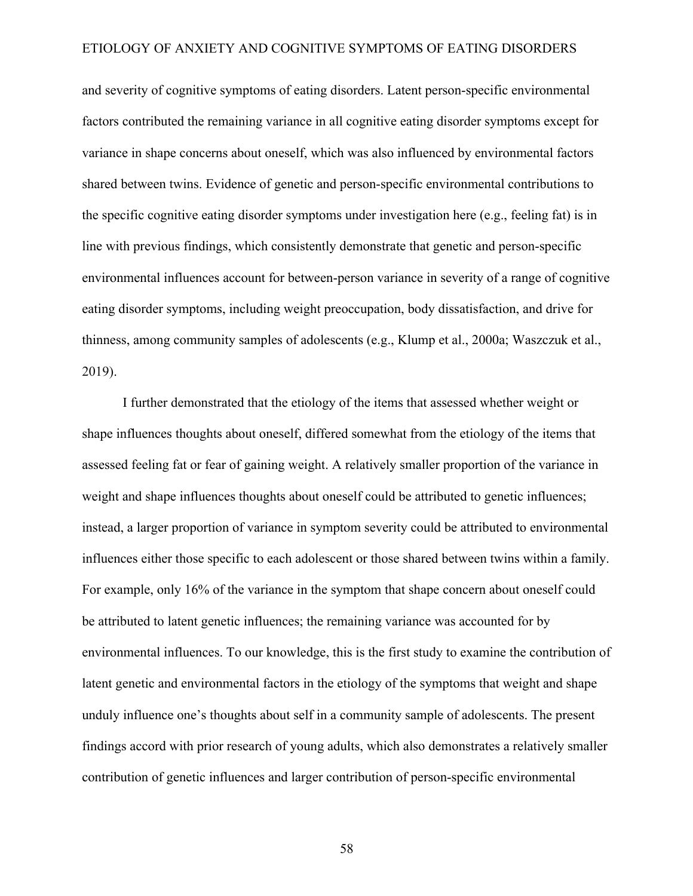and severity of cognitive symptoms of eating disorders. Latent person-specific environmental factors contributed the remaining variance in all cognitive eating disorder symptoms except for variance in shape concerns about oneself, which was also influenced by environmental factors shared between twins. Evidence of genetic and person-specific environmental contributions to the specific cognitive eating disorder symptoms under investigation here (e.g., feeling fat) is in line with previous findings, which consistently demonstrate that genetic and person-specific environmental influences account for between-person variance in severity of a range of cognitive eating disorder symptoms, including weight preoccupation, body dissatisfaction, and drive for thinness, among community samples of adolescents (e.g., Klump et al., 2000a; Waszczuk et al., 2019).

I further demonstrated that the etiology of the items that assessed whether weight or shape influences thoughts about oneself, differed somewhat from the etiology of the items that assessed feeling fat or fear of gaining weight. A relatively smaller proportion of the variance in weight and shape influences thoughts about oneself could be attributed to genetic influences; instead, a larger proportion of variance in symptom severity could be attributed to environmental influences either those specific to each adolescent or those shared between twins within a family. For example, only 16% of the variance in the symptom that shape concern about oneself could be attributed to latent genetic influences; the remaining variance was accounted for by environmental influences. To our knowledge, this is the first study to examine the contribution of latent genetic and environmental factors in the etiology of the symptoms that weight and shape unduly influence one's thoughts about self in a community sample of adolescents. The present findings accord with prior research of young adults, which also demonstrates a relatively smaller contribution of genetic influences and larger contribution of person-specific environmental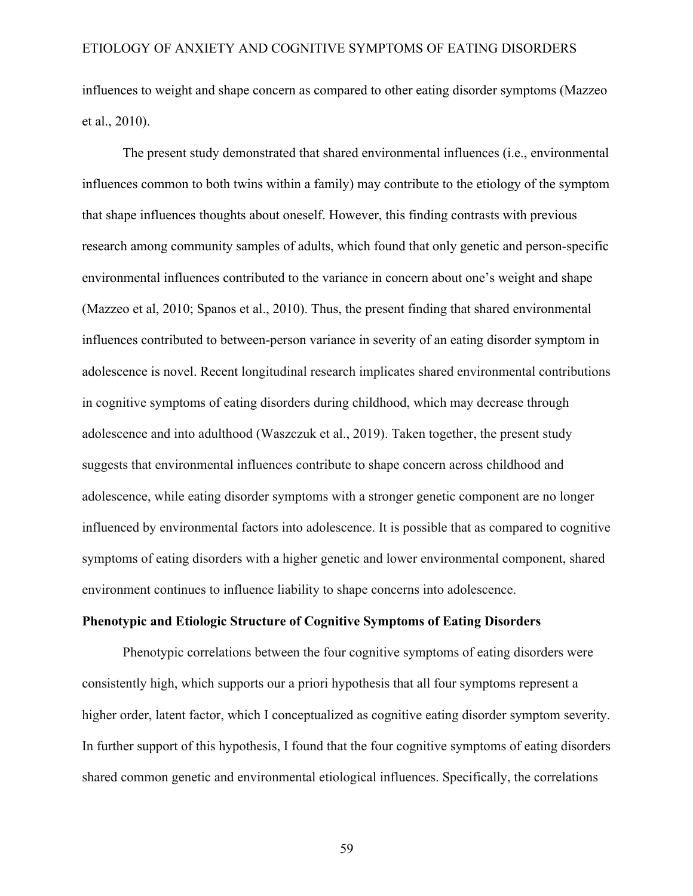influences to weight and shape concern as compared to other eating disorder symptoms (Mazzeo et al., 2010).

The present study demonstrated that shared environmental influences (i.e., environmental influences common to both twins within a family) may contribute to the etiology of the symptom that shape influences thoughts about oneself. However, this finding contrasts with previous research among community samples of adults, which found that only genetic and person-specific environmental influences contributed to the variance in concern about one's weight and shape (Mazzeo et al, 2010; Spanos et al., 2010). Thus, the present finding that shared environmental influences contributed to between-person variance in severity of an eating disorder symptom in adolescence is novel. Recent longitudinal research implicates shared environmental contributions in cognitive symptoms of eating disorders during childhood, which may decrease through adolescence and into adulthood (Waszczuk et al., 2019). Taken together, the present study suggests that environmental influences contribute to shape concern across childhood and adolescence, while eating disorder symptoms with a stronger genetic component are no longer influenced by environmental factors into adolescence. It is possible that as compared to cognitive symptoms of eating disorders with a higher genetic and lower environmental component, shared environment continues to influence liability to shape concerns into adolescence.

### **Phenotypic and Etiologic Structure of Cognitive Symptoms of Eating Disorders**

Phenotypic correlations between the four cognitive symptoms of eating disorders were consistently high, which supports our a priori hypothesis that all four symptoms represent a higher order, latent factor, which I conceptualized as cognitive eating disorder symptom severity. In further support of this hypothesis, I found that the four cognitive symptoms of eating disorders shared common genetic and environmental etiological influences. Specifically, the correlations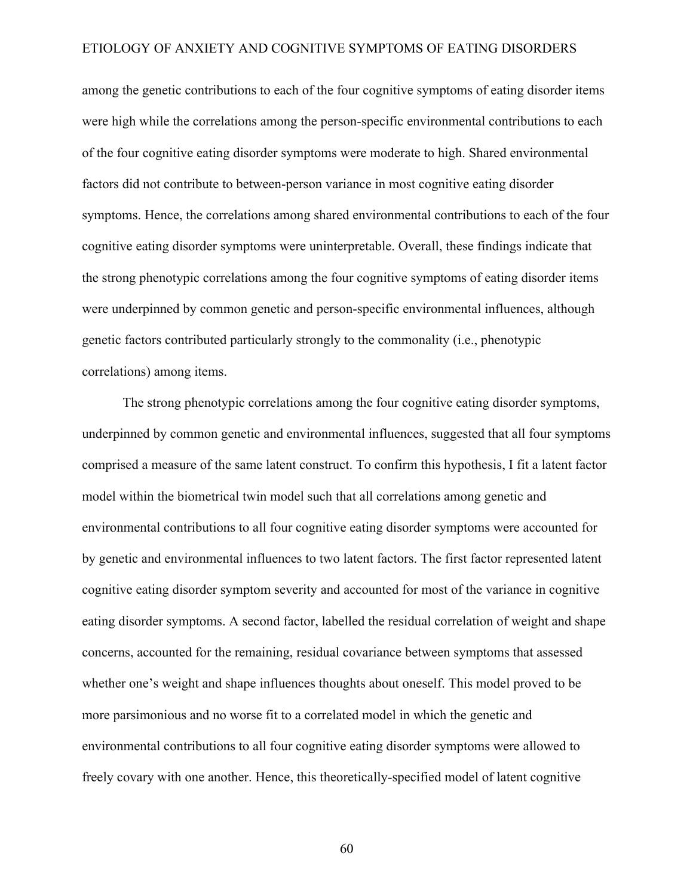among the genetic contributions to each of the four cognitive symptoms of eating disorder items were high while the correlations among the person-specific environmental contributions to each of the four cognitive eating disorder symptoms were moderate to high. Shared environmental factors did not contribute to between-person variance in most cognitive eating disorder symptoms. Hence, the correlations among shared environmental contributions to each of the four cognitive eating disorder symptoms were uninterpretable. Overall, these findings indicate that the strong phenotypic correlations among the four cognitive symptoms of eating disorder items were underpinned by common genetic and person-specific environmental influences, although genetic factors contributed particularly strongly to the commonality (i.e., phenotypic correlations) among items.

The strong phenotypic correlations among the four cognitive eating disorder symptoms, underpinned by common genetic and environmental influences, suggested that all four symptoms comprised a measure of the same latent construct. To confirm this hypothesis, I fit a latent factor model within the biometrical twin model such that all correlations among genetic and environmental contributions to all four cognitive eating disorder symptoms were accounted for by genetic and environmental influences to two latent factors. The first factor represented latent cognitive eating disorder symptom severity and accounted for most of the variance in cognitive eating disorder symptoms. A second factor, labelled the residual correlation of weight and shape concerns, accounted for the remaining, residual covariance between symptoms that assessed whether one's weight and shape influences thoughts about oneself. This model proved to be more parsimonious and no worse fit to a correlated model in which the genetic and environmental contributions to all four cognitive eating disorder symptoms were allowed to freely covary with one another. Hence, this theoretically-specified model of latent cognitive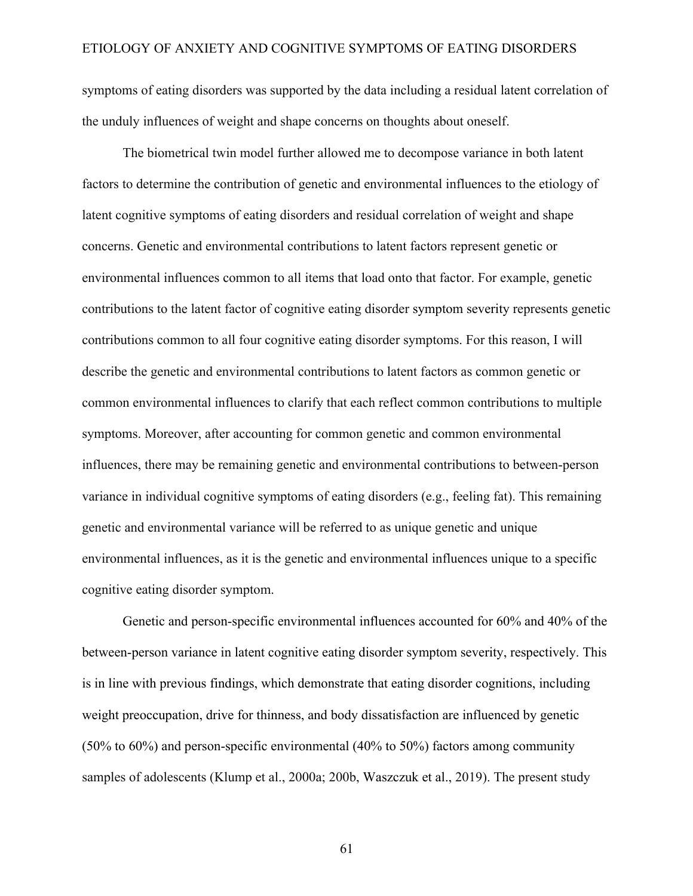symptoms of eating disorders was supported by the data including a residual latent correlation of the unduly influences of weight and shape concerns on thoughts about oneself.

The biometrical twin model further allowed me to decompose variance in both latent factors to determine the contribution of genetic and environmental influences to the etiology of latent cognitive symptoms of eating disorders and residual correlation of weight and shape concerns. Genetic and environmental contributions to latent factors represent genetic or environmental influences common to all items that load onto that factor. For example, genetic contributions to the latent factor of cognitive eating disorder symptom severity represents genetic contributions common to all four cognitive eating disorder symptoms. For this reason, I will describe the genetic and environmental contributions to latent factors as common genetic or common environmental influences to clarify that each reflect common contributions to multiple symptoms. Moreover, after accounting for common genetic and common environmental influences, there may be remaining genetic and environmental contributions to between-person variance in individual cognitive symptoms of eating disorders (e.g., feeling fat). This remaining genetic and environmental variance will be referred to as unique genetic and unique environmental influences, as it is the genetic and environmental influences unique to a specific cognitive eating disorder symptom.

Genetic and person-specific environmental influences accounted for 60% and 40% of the between-person variance in latent cognitive eating disorder symptom severity, respectively. This is in line with previous findings, which demonstrate that eating disorder cognitions, including weight preoccupation, drive for thinness, and body dissatisfaction are influenced by genetic (50% to 60%) and person-specific environmental (40% to 50%) factors among community samples of adolescents (Klump et al., 2000a; 200b, Waszczuk et al., 2019). The present study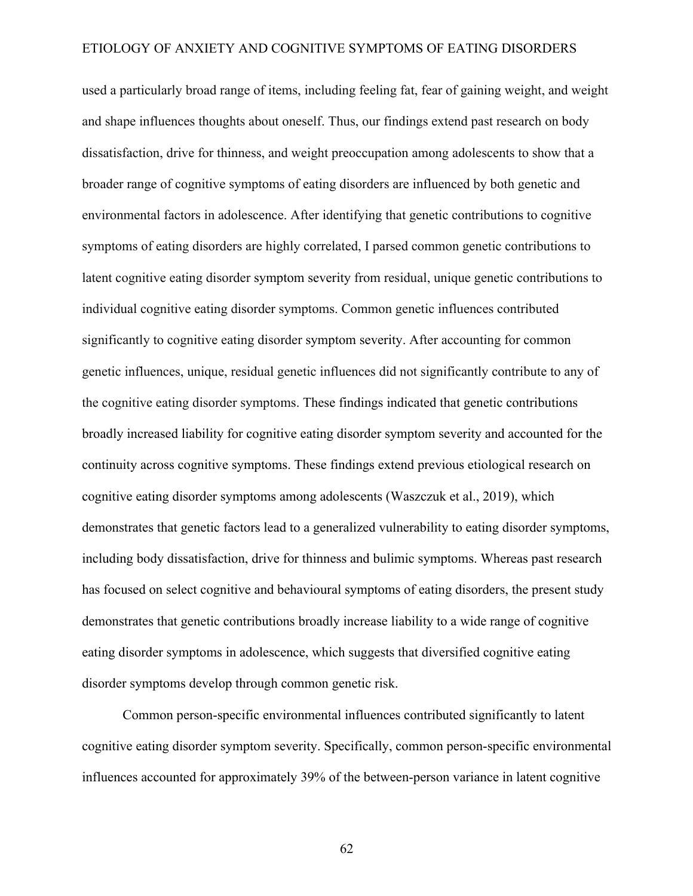used a particularly broad range of items, including feeling fat, fear of gaining weight, and weight and shape influences thoughts about oneself. Thus, our findings extend past research on body dissatisfaction, drive for thinness, and weight preoccupation among adolescents to show that a broader range of cognitive symptoms of eating disorders are influenced by both genetic and environmental factors in adolescence. After identifying that genetic contributions to cognitive symptoms of eating disorders are highly correlated, I parsed common genetic contributions to latent cognitive eating disorder symptom severity from residual, unique genetic contributions to individual cognitive eating disorder symptoms. Common genetic influences contributed significantly to cognitive eating disorder symptom severity. After accounting for common genetic influences, unique, residual genetic influences did not significantly contribute to any of the cognitive eating disorder symptoms. These findings indicated that genetic contributions broadly increased liability for cognitive eating disorder symptom severity and accounted for the continuity across cognitive symptoms. These findings extend previous etiological research on cognitive eating disorder symptoms among adolescents (Waszczuk et al., 2019), which demonstrates that genetic factors lead to a generalized vulnerability to eating disorder symptoms, including body dissatisfaction, drive for thinness and bulimic symptoms. Whereas past research has focused on select cognitive and behavioural symptoms of eating disorders, the present study demonstrates that genetic contributions broadly increase liability to a wide range of cognitive eating disorder symptoms in adolescence, which suggests that diversified cognitive eating disorder symptoms develop through common genetic risk.

Common person-specific environmental influences contributed significantly to latent cognitive eating disorder symptom severity. Specifically, common person-specific environmental influences accounted for approximately 39% of the between-person variance in latent cognitive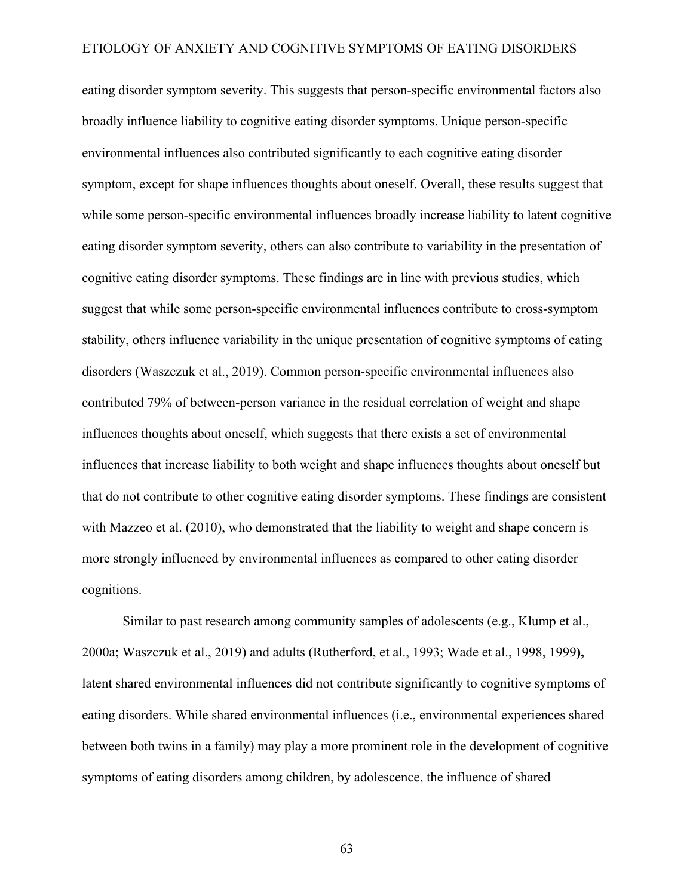eating disorder symptom severity. This suggests that person-specific environmental factors also broadly influence liability to cognitive eating disorder symptoms. Unique person-specific environmental influences also contributed significantly to each cognitive eating disorder symptom, except for shape influences thoughts about oneself. Overall, these results suggest that while some person-specific environmental influences broadly increase liability to latent cognitive eating disorder symptom severity, others can also contribute to variability in the presentation of cognitive eating disorder symptoms. These findings are in line with previous studies, which suggest that while some person-specific environmental influences contribute to cross-symptom stability, others influence variability in the unique presentation of cognitive symptoms of eating disorders (Waszczuk et al., 2019). Common person-specific environmental influences also contributed 79% of between-person variance in the residual correlation of weight and shape influences thoughts about oneself, which suggests that there exists a set of environmental influences that increase liability to both weight and shape influences thoughts about oneself but that do not contribute to other cognitive eating disorder symptoms. These findings are consistent with Mazzeo et al. (2010), who demonstrated that the liability to weight and shape concern is more strongly influenced by environmental influences as compared to other eating disorder cognitions.

Similar to past research among community samples of adolescents (e.g., Klump et al., 2000a; Waszczuk et al., 2019) and adults (Rutherford, et al., 1993; Wade et al., 1998, 1999**),** latent shared environmental influences did not contribute significantly to cognitive symptoms of eating disorders. While shared environmental influences (i.e., environmental experiences shared between both twins in a family) may play a more prominent role in the development of cognitive symptoms of eating disorders among children, by adolescence, the influence of shared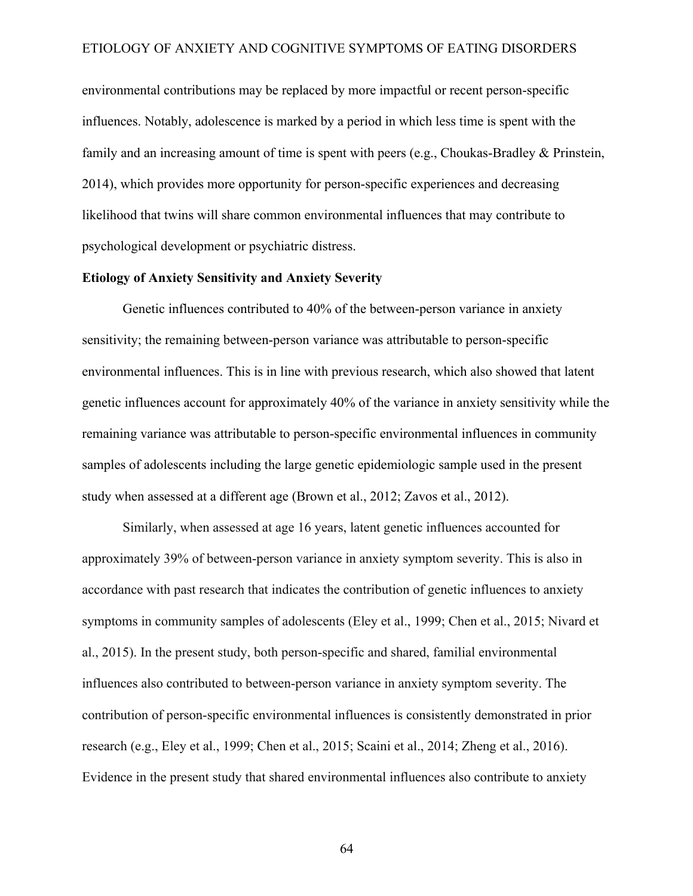environmental contributions may be replaced by more impactful or recent person-specific influences. Notably, adolescence is marked by a period in which less time is spent with the family and an increasing amount of time is spent with peers (e.g., Choukas-Bradley & Prinstein, 2014), which provides more opportunity for person-specific experiences and decreasing likelihood that twins will share common environmental influences that may contribute to psychological development or psychiatric distress.

# **Etiology of Anxiety Sensitivity and Anxiety Severity**

Genetic influences contributed to 40% of the between-person variance in anxiety sensitivity; the remaining between-person variance was attributable to person-specific environmental influences. This is in line with previous research, which also showed that latent genetic influences account for approximately 40% of the variance in anxiety sensitivity while the remaining variance was attributable to person-specific environmental influences in community samples of adolescents including the large genetic epidemiologic sample used in the present study when assessed at a different age (Brown et al., 2012; Zavos et al., 2012).

Similarly, when assessed at age 16 years, latent genetic influences accounted for approximately 39% of between-person variance in anxiety symptom severity. This is also in accordance with past research that indicates the contribution of genetic influences to anxiety symptoms in community samples of adolescents (Eley et al., 1999; Chen et al., 2015; Nivard et al., 2015). In the present study, both person-specific and shared, familial environmental influences also contributed to between-person variance in anxiety symptom severity. The contribution of person-specific environmental influences is consistently demonstrated in prior research (e.g., Eley et al., 1999; Chen et al., 2015; Scaini et al., 2014; Zheng et al., 2016). Evidence in the present study that shared environmental influences also contribute to anxiety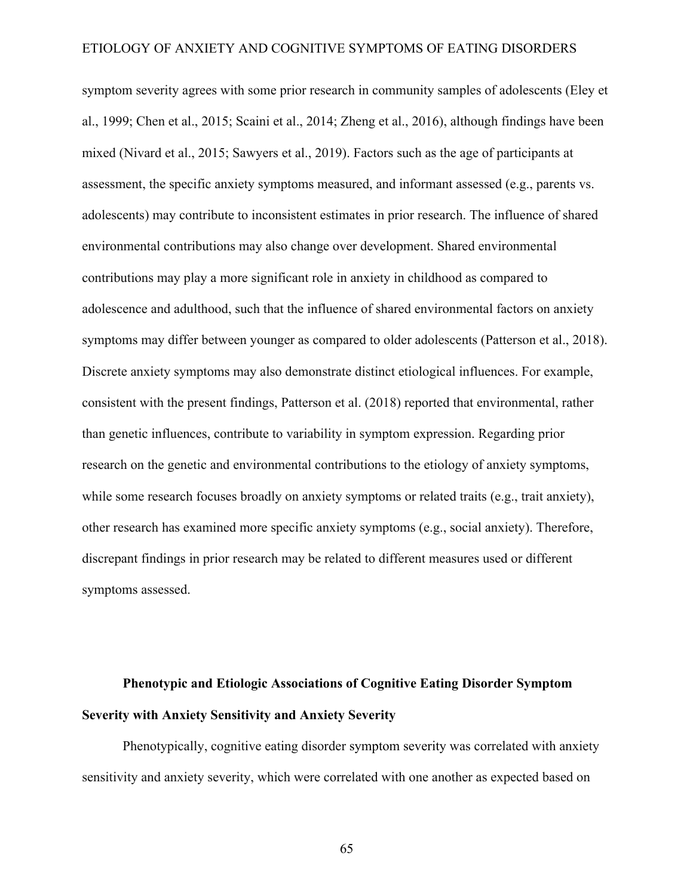symptom severity agrees with some prior research in community samples of adolescents (Eley et al., 1999; Chen et al., 2015; Scaini et al., 2014; Zheng et al., 2016), although findings have been mixed (Nivard et al., 2015; Sawyers et al., 2019). Factors such as the age of participants at assessment, the specific anxiety symptoms measured, and informant assessed (e.g., parents vs. adolescents) may contribute to inconsistent estimates in prior research. The influence of shared environmental contributions may also change over development. Shared environmental contributions may play a more significant role in anxiety in childhood as compared to adolescence and adulthood, such that the influence of shared environmental factors on anxiety symptoms may differ between younger as compared to older adolescents (Patterson et al., 2018). Discrete anxiety symptoms may also demonstrate distinct etiological influences. For example, consistent with the present findings, Patterson et al. (2018) reported that environmental, rather than genetic influences, contribute to variability in symptom expression. Regarding prior research on the genetic and environmental contributions to the etiology of anxiety symptoms, while some research focuses broadly on anxiety symptoms or related traits (e.g., trait anxiety), other research has examined more specific anxiety symptoms (e.g., social anxiety). Therefore, discrepant findings in prior research may be related to different measures used or different symptoms assessed.

# **Phenotypic and Etiologic Associations of Cognitive Eating Disorder Symptom Severity with Anxiety Sensitivity and Anxiety Severity**

Phenotypically, cognitive eating disorder symptom severity was correlated with anxiety sensitivity and anxiety severity, which were correlated with one another as expected based on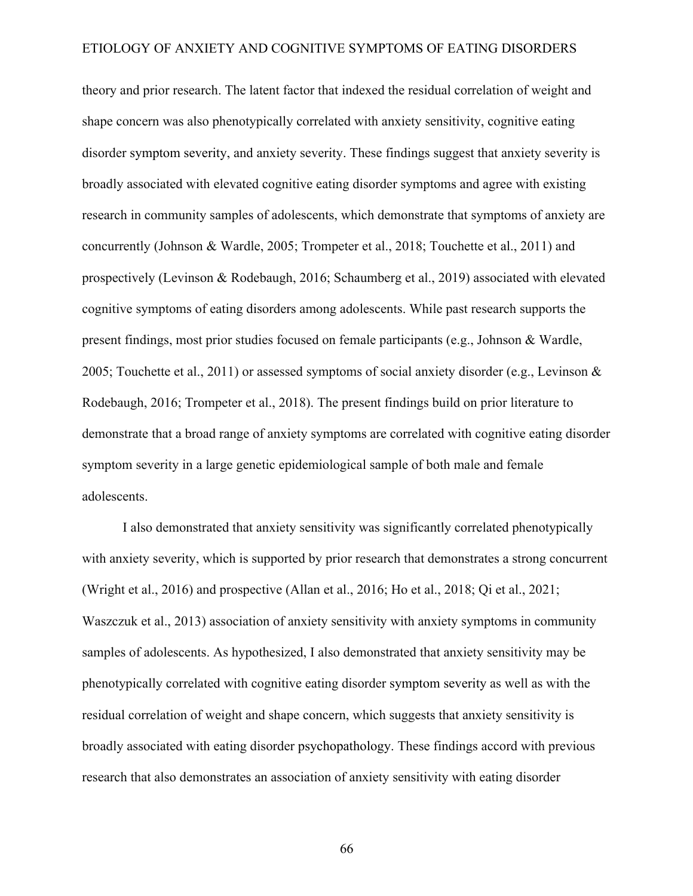theory and prior research. The latent factor that indexed the residual correlation of weight and shape concern was also phenotypically correlated with anxiety sensitivity, cognitive eating disorder symptom severity, and anxiety severity. These findings suggest that anxiety severity is broadly associated with elevated cognitive eating disorder symptoms and agree with existing research in community samples of adolescents, which demonstrate that symptoms of anxiety are concurrently (Johnson & Wardle, 2005; Trompeter et al., 2018; Touchette et al., 2011) and prospectively (Levinson & Rodebaugh, 2016; Schaumberg et al., 2019) associated with elevated cognitive symptoms of eating disorders among adolescents. While past research supports the present findings, most prior studies focused on female participants (e.g., Johnson & Wardle, 2005; Touchette et al., 2011) or assessed symptoms of social anxiety disorder (e.g., Levinson & Rodebaugh, 2016; Trompeter et al., 2018). The present findings build on prior literature to demonstrate that a broad range of anxiety symptoms are correlated with cognitive eating disorder symptom severity in a large genetic epidemiological sample of both male and female adolescents.

I also demonstrated that anxiety sensitivity was significantly correlated phenotypically with anxiety severity, which is supported by prior research that demonstrates a strong concurrent (Wright et al., 2016) and prospective (Allan et al., 2016; Ho et al., 2018; Qi et al., 2021; Waszczuk et al., 2013) association of anxiety sensitivity with anxiety symptoms in community samples of adolescents. As hypothesized, I also demonstrated that anxiety sensitivity may be phenotypically correlated with cognitive eating disorder symptom severity as well as with the residual correlation of weight and shape concern, which suggests that anxiety sensitivity is broadly associated with eating disorder psychopathology. These findings accord with previous research that also demonstrates an association of anxiety sensitivity with eating disorder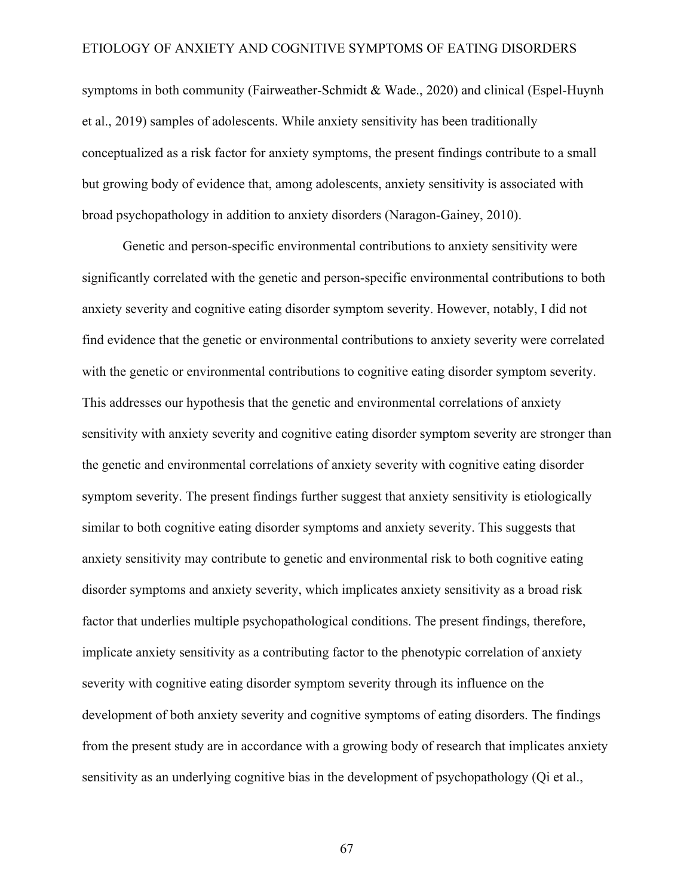symptoms in both community (Fairweather-Schmidt & Wade., 2020) and clinical (Espel-Huynh et al., 2019) samples of adolescents. While anxiety sensitivity has been traditionally conceptualized as a risk factor for anxiety symptoms, the present findings contribute to a small but growing body of evidence that, among adolescents, anxiety sensitivity is associated with broad psychopathology in addition to anxiety disorders (Naragon-Gainey, 2010).

Genetic and person-specific environmental contributions to anxiety sensitivity were significantly correlated with the genetic and person-specific environmental contributions to both anxiety severity and cognitive eating disorder symptom severity. However, notably, I did not find evidence that the genetic or environmental contributions to anxiety severity were correlated with the genetic or environmental contributions to cognitive eating disorder symptom severity. This addresses our hypothesis that the genetic and environmental correlations of anxiety sensitivity with anxiety severity and cognitive eating disorder symptom severity are stronger than the genetic and environmental correlations of anxiety severity with cognitive eating disorder symptom severity. The present findings further suggest that anxiety sensitivity is etiologically similar to both cognitive eating disorder symptoms and anxiety severity. This suggests that anxiety sensitivity may contribute to genetic and environmental risk to both cognitive eating disorder symptoms and anxiety severity, which implicates anxiety sensitivity as a broad risk factor that underlies multiple psychopathological conditions. The present findings, therefore, implicate anxiety sensitivity as a contributing factor to the phenotypic correlation of anxiety severity with cognitive eating disorder symptom severity through its influence on the development of both anxiety severity and cognitive symptoms of eating disorders. The findings from the present study are in accordance with a growing body of research that implicates anxiety sensitivity as an underlying cognitive bias in the development of psychopathology (Qi et al.,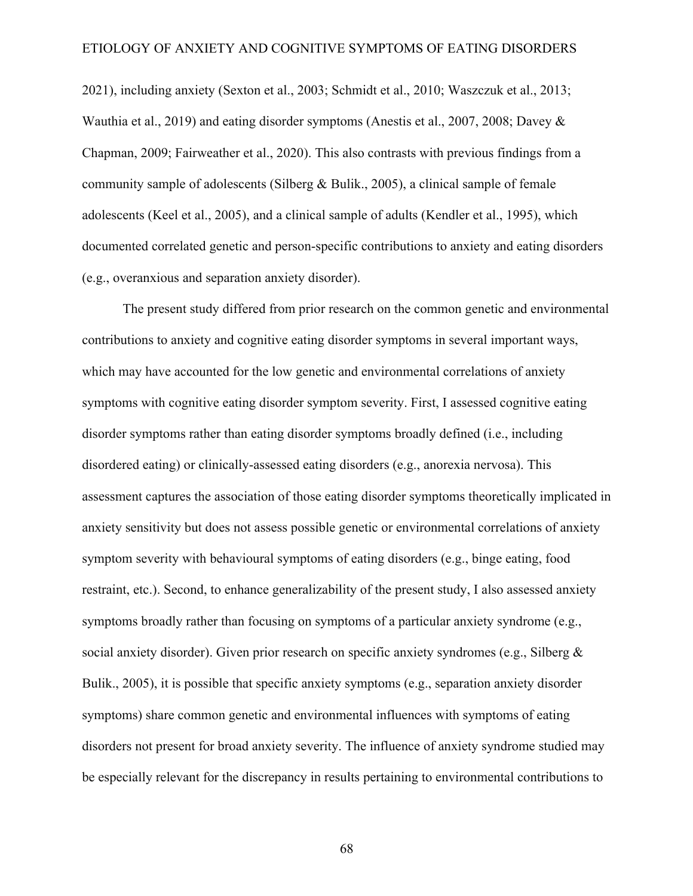2021), including anxiety (Sexton et al., 2003; Schmidt et al., 2010; Waszczuk et al., 2013; Wauthia et al., 2019) and eating disorder symptoms (Anestis et al., 2007, 2008; Davey & Chapman, 2009; Fairweather et al., 2020). This also contrasts with previous findings from a community sample of adolescents (Silberg & Bulik., 2005), a clinical sample of female adolescents (Keel et al., 2005), and a clinical sample of adults (Kendler et al., 1995), which documented correlated genetic and person-specific contributions to anxiety and eating disorders (e.g., overanxious and separation anxiety disorder).

The present study differed from prior research on the common genetic and environmental contributions to anxiety and cognitive eating disorder symptoms in several important ways, which may have accounted for the low genetic and environmental correlations of anxiety symptoms with cognitive eating disorder symptom severity. First, I assessed cognitive eating disorder symptoms rather than eating disorder symptoms broadly defined (i.e., including disordered eating) or clinically-assessed eating disorders (e.g., anorexia nervosa). This assessment captures the association of those eating disorder symptoms theoretically implicated in anxiety sensitivity but does not assess possible genetic or environmental correlations of anxiety symptom severity with behavioural symptoms of eating disorders (e.g., binge eating, food restraint, etc.). Second, to enhance generalizability of the present study, I also assessed anxiety symptoms broadly rather than focusing on symptoms of a particular anxiety syndrome (e.g., social anxiety disorder). Given prior research on specific anxiety syndromes (e.g., Silberg & Bulik., 2005), it is possible that specific anxiety symptoms (e.g., separation anxiety disorder symptoms) share common genetic and environmental influences with symptoms of eating disorders not present for broad anxiety severity. The influence of anxiety syndrome studied may be especially relevant for the discrepancy in results pertaining to environmental contributions to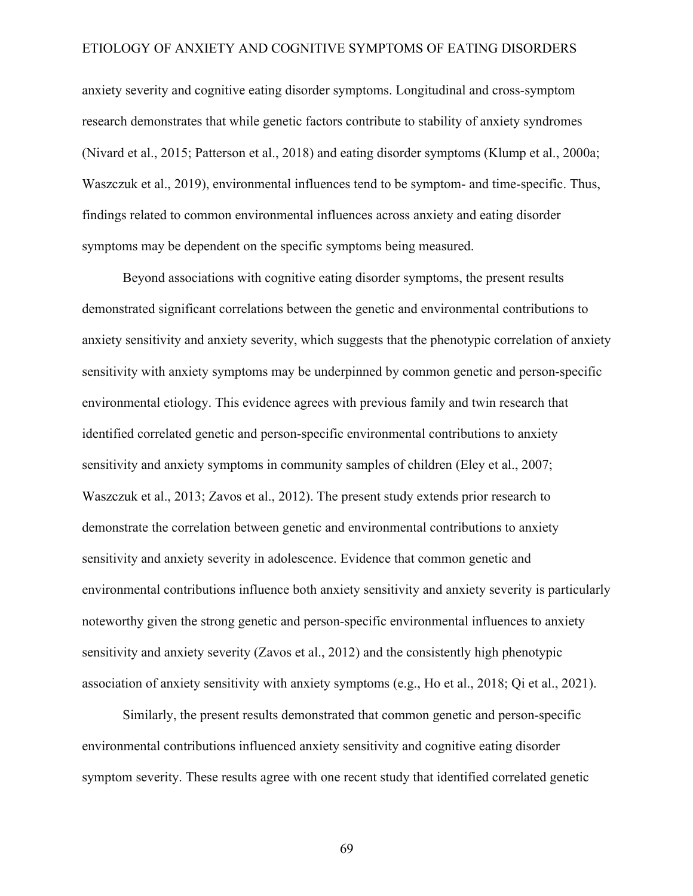anxiety severity and cognitive eating disorder symptoms. Longitudinal and cross-symptom research demonstrates that while genetic factors contribute to stability of anxiety syndromes (Nivard et al., 2015; Patterson et al., 2018) and eating disorder symptoms (Klump et al., 2000a; Waszczuk et al., 2019), environmental influences tend to be symptom- and time-specific. Thus, findings related to common environmental influences across anxiety and eating disorder symptoms may be dependent on the specific symptoms being measured.

Beyond associations with cognitive eating disorder symptoms, the present results demonstrated significant correlations between the genetic and environmental contributions to anxiety sensitivity and anxiety severity, which suggests that the phenotypic correlation of anxiety sensitivity with anxiety symptoms may be underpinned by common genetic and person-specific environmental etiology. This evidence agrees with previous family and twin research that identified correlated genetic and person-specific environmental contributions to anxiety sensitivity and anxiety symptoms in community samples of children (Eley et al., 2007; Waszczuk et al., 2013; Zavos et al., 2012). The present study extends prior research to demonstrate the correlation between genetic and environmental contributions to anxiety sensitivity and anxiety severity in adolescence. Evidence that common genetic and environmental contributions influence both anxiety sensitivity and anxiety severity is particularly noteworthy given the strong genetic and person-specific environmental influences to anxiety sensitivity and anxiety severity (Zavos et al., 2012) and the consistently high phenotypic association of anxiety sensitivity with anxiety symptoms (e.g., Ho et al., 2018; Qi et al., 2021).

Similarly, the present results demonstrated that common genetic and person-specific environmental contributions influenced anxiety sensitivity and cognitive eating disorder symptom severity. These results agree with one recent study that identified correlated genetic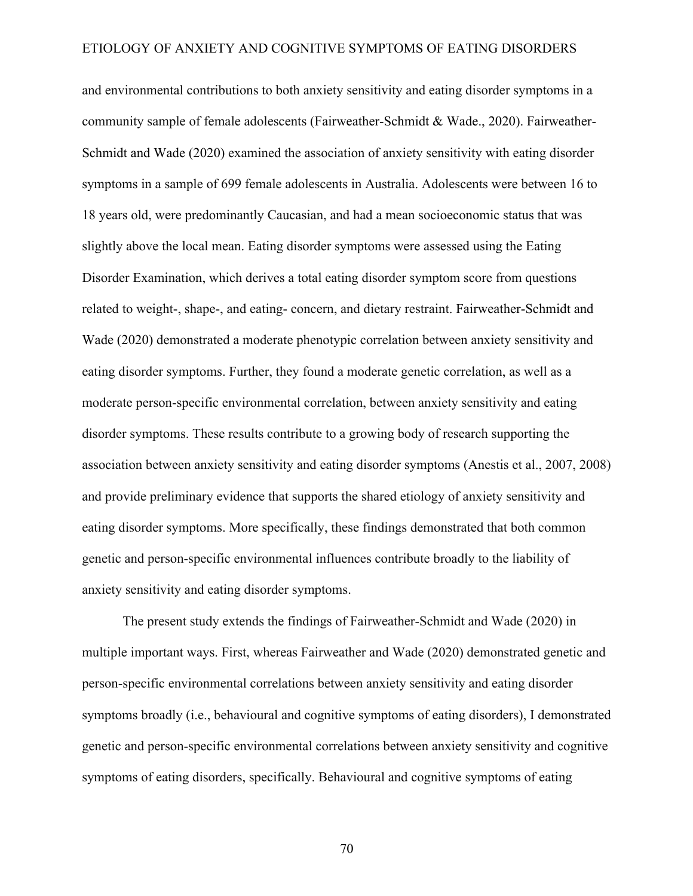and environmental contributions to both anxiety sensitivity and eating disorder symptoms in a community sample of female adolescents (Fairweather-Schmidt & Wade., 2020). Fairweather-Schmidt and Wade (2020) examined the association of anxiety sensitivity with eating disorder symptoms in a sample of 699 female adolescents in Australia. Adolescents were between 16 to 18 years old, were predominantly Caucasian, and had a mean socioeconomic status that was slightly above the local mean. Eating disorder symptoms were assessed using the Eating Disorder Examination, which derives a total eating disorder symptom score from questions related to weight-, shape-, and eating- concern, and dietary restraint. Fairweather-Schmidt and Wade (2020) demonstrated a moderate phenotypic correlation between anxiety sensitivity and eating disorder symptoms. Further, they found a moderate genetic correlation, as well as a moderate person-specific environmental correlation, between anxiety sensitivity and eating disorder symptoms. These results contribute to a growing body of research supporting the association between anxiety sensitivity and eating disorder symptoms (Anestis et al., 2007, 2008) and provide preliminary evidence that supports the shared etiology of anxiety sensitivity and eating disorder symptoms. More specifically, these findings demonstrated that both common genetic and person-specific environmental influences contribute broadly to the liability of anxiety sensitivity and eating disorder symptoms.

The present study extends the findings of Fairweather-Schmidt and Wade (2020) in multiple important ways. First, whereas Fairweather and Wade (2020) demonstrated genetic and person-specific environmental correlations between anxiety sensitivity and eating disorder symptoms broadly (i.e., behavioural and cognitive symptoms of eating disorders), I demonstrated genetic and person-specific environmental correlations between anxiety sensitivity and cognitive symptoms of eating disorders, specifically. Behavioural and cognitive symptoms of eating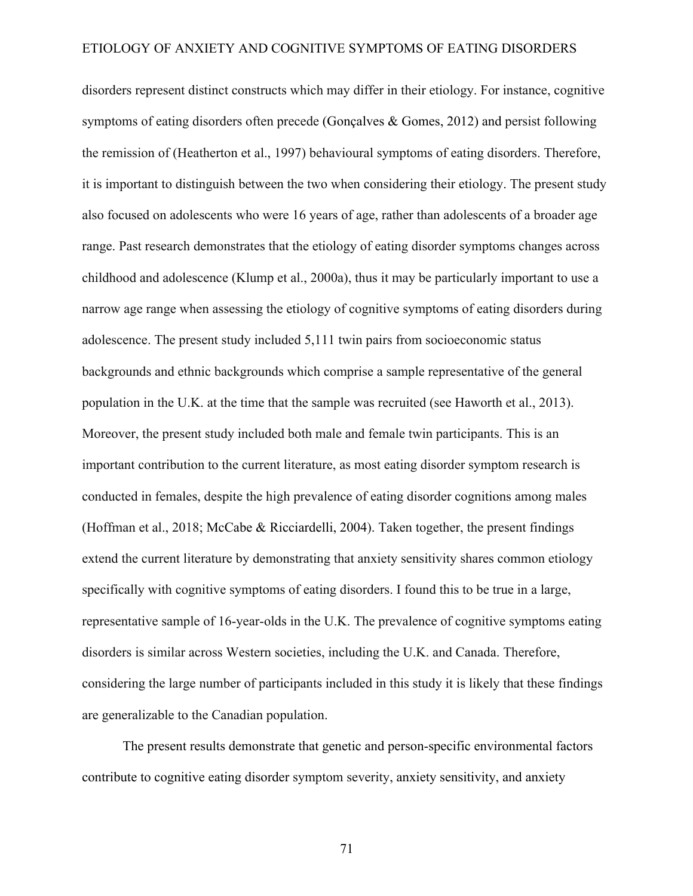disorders represent distinct constructs which may differ in their etiology. For instance, cognitive symptoms of eating disorders often precede (Gonçalves & Gomes, 2012) and persist following the remission of (Heatherton et al., 1997) behavioural symptoms of eating disorders. Therefore, it is important to distinguish between the two when considering their etiology. The present study also focused on adolescents who were 16 years of age, rather than adolescents of a broader age range. Past research demonstrates that the etiology of eating disorder symptoms changes across childhood and adolescence (Klump et al., 2000a), thus it may be particularly important to use a narrow age range when assessing the etiology of cognitive symptoms of eating disorders during adolescence. The present study included 5,111 twin pairs from socioeconomic status backgrounds and ethnic backgrounds which comprise a sample representative of the general population in the U.K. at the time that the sample was recruited (see Haworth et al., 2013). Moreover, the present study included both male and female twin participants. This is an important contribution to the current literature, as most eating disorder symptom research is conducted in females, despite the high prevalence of eating disorder cognitions among males (Hoffman et al., 2018; McCabe & Ricciardelli, 2004). Taken together, the present findings extend the current literature by demonstrating that anxiety sensitivity shares common etiology specifically with cognitive symptoms of eating disorders. I found this to be true in a large, representative sample of 16-year-olds in the U.K. The prevalence of cognitive symptoms eating disorders is similar across Western societies, including the U.K. and Canada. Therefore, considering the large number of participants included in this study it is likely that these findings are generalizable to the Canadian population.

The present results demonstrate that genetic and person-specific environmental factors contribute to cognitive eating disorder symptom severity, anxiety sensitivity, and anxiety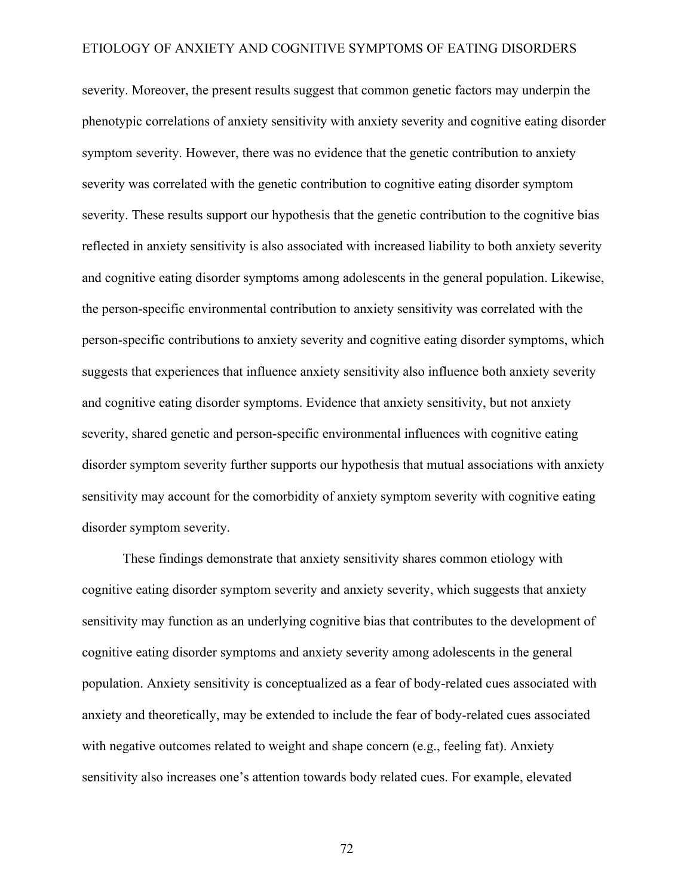severity. Moreover, the present results suggest that common genetic factors may underpin the phenotypic correlations of anxiety sensitivity with anxiety severity and cognitive eating disorder symptom severity. However, there was no evidence that the genetic contribution to anxiety severity was correlated with the genetic contribution to cognitive eating disorder symptom severity. These results support our hypothesis that the genetic contribution to the cognitive bias reflected in anxiety sensitivity is also associated with increased liability to both anxiety severity and cognitive eating disorder symptoms among adolescents in the general population. Likewise, the person-specific environmental contribution to anxiety sensitivity was correlated with the person-specific contributions to anxiety severity and cognitive eating disorder symptoms, which suggests that experiences that influence anxiety sensitivity also influence both anxiety severity and cognitive eating disorder symptoms. Evidence that anxiety sensitivity, but not anxiety severity, shared genetic and person-specific environmental influences with cognitive eating disorder symptom severity further supports our hypothesis that mutual associations with anxiety sensitivity may account for the comorbidity of anxiety symptom severity with cognitive eating disorder symptom severity.

These findings demonstrate that anxiety sensitivity shares common etiology with cognitive eating disorder symptom severity and anxiety severity, which suggests that anxiety sensitivity may function as an underlying cognitive bias that contributes to the development of cognitive eating disorder symptoms and anxiety severity among adolescents in the general population. Anxiety sensitivity is conceptualized as a fear of body-related cues associated with anxiety and theoretically, may be extended to include the fear of body-related cues associated with negative outcomes related to weight and shape concern (e.g., feeling fat). Anxiety sensitivity also increases one's attention towards body related cues. For example, elevated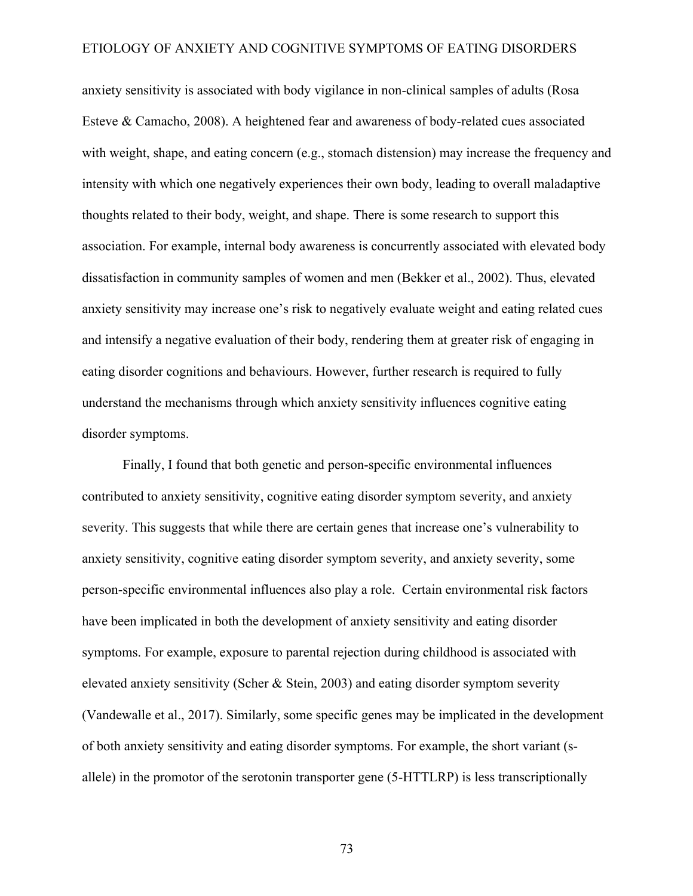anxiety sensitivity is associated with body vigilance in non-clinical samples of adults (Rosa Esteve & Camacho, 2008). A heightened fear and awareness of body-related cues associated with weight, shape, and eating concern (e.g., stomach distension) may increase the frequency and intensity with which one negatively experiences their own body, leading to overall maladaptive thoughts related to their body, weight, and shape. There is some research to support this association. For example, internal body awareness is concurrently associated with elevated body dissatisfaction in community samples of women and men (Bekker et al., 2002). Thus, elevated anxiety sensitivity may increase one's risk to negatively evaluate weight and eating related cues and intensify a negative evaluation of their body, rendering them at greater risk of engaging in eating disorder cognitions and behaviours. However, further research is required to fully understand the mechanisms through which anxiety sensitivity influences cognitive eating disorder symptoms.

Finally, I found that both genetic and person-specific environmental influences contributed to anxiety sensitivity, cognitive eating disorder symptom severity, and anxiety severity. This suggests that while there are certain genes that increase one's vulnerability to anxiety sensitivity, cognitive eating disorder symptom severity, and anxiety severity, some person-specific environmental influences also play a role. Certain environmental risk factors have been implicated in both the development of anxiety sensitivity and eating disorder symptoms. For example, exposure to parental rejection during childhood is associated with elevated anxiety sensitivity (Scher & Stein, 2003) and eating disorder symptom severity (Vandewalle et al., 2017). Similarly, some specific genes may be implicated in the development of both anxiety sensitivity and eating disorder symptoms. For example, the short variant (sallele) in the promotor of the serotonin transporter gene (5-HTTLRP) is less transcriptionally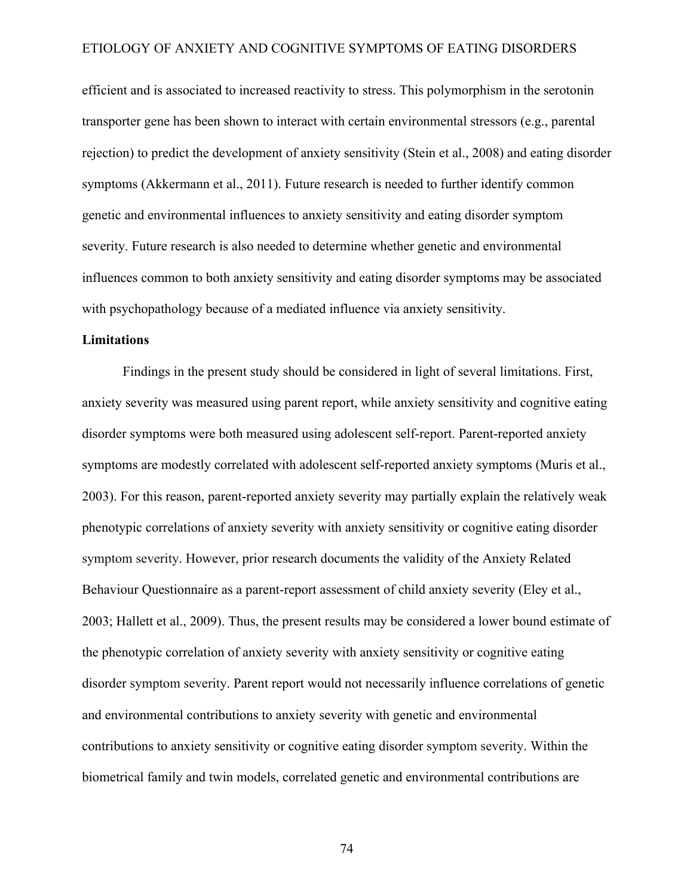efficient and is associated to increased reactivity to stress. This polymorphism in the serotonin transporter gene has been shown to interact with certain environmental stressors (e.g., parental rejection) to predict the development of anxiety sensitivity (Stein et al., 2008) and eating disorder symptoms (Akkermann et al., 2011). Future research is needed to further identify common genetic and environmental influences to anxiety sensitivity and eating disorder symptom severity. Future research is also needed to determine whether genetic and environmental influences common to both anxiety sensitivity and eating disorder symptoms may be associated with psychopathology because of a mediated influence via anxiety sensitivity.

## **Limitations**

Findings in the present study should be considered in light of several limitations. First, anxiety severity was measured using parent report, while anxiety sensitivity and cognitive eating disorder symptoms were both measured using adolescent self-report. Parent-reported anxiety symptoms are modestly correlated with adolescent self-reported anxiety symptoms (Muris et al., 2003). For this reason, parent-reported anxiety severity may partially explain the relatively weak phenotypic correlations of anxiety severity with anxiety sensitivity or cognitive eating disorder symptom severity. However, prior research documents the validity of the Anxiety Related Behaviour Questionnaire as a parent-report assessment of child anxiety severity (Eley et al., 2003; Hallett et al., 2009). Thus, the present results may be considered a lower bound estimate of the phenotypic correlation of anxiety severity with anxiety sensitivity or cognitive eating disorder symptom severity. Parent report would not necessarily influence correlations of genetic and environmental contributions to anxiety severity with genetic and environmental contributions to anxiety sensitivity or cognitive eating disorder symptom severity. Within the biometrical family and twin models, correlated genetic and environmental contributions are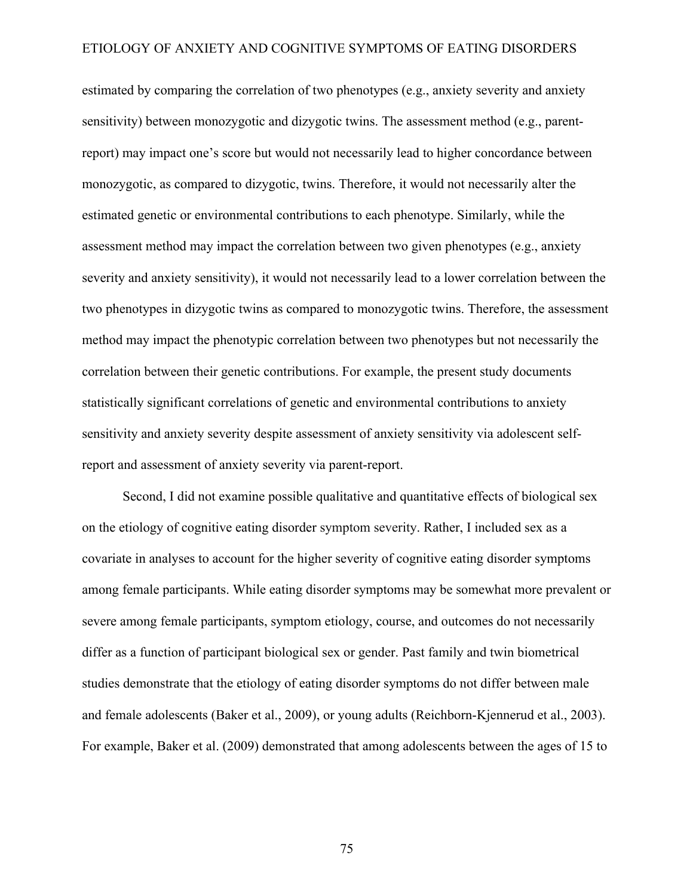estimated by comparing the correlation of two phenotypes (e.g., anxiety severity and anxiety sensitivity) between monozygotic and dizygotic twins. The assessment method (e.g., parentreport) may impact one's score but would not necessarily lead to higher concordance between monozygotic, as compared to dizygotic, twins. Therefore, it would not necessarily alter the estimated genetic or environmental contributions to each phenotype. Similarly, while the assessment method may impact the correlation between two given phenotypes (e.g., anxiety severity and anxiety sensitivity), it would not necessarily lead to a lower correlation between the two phenotypes in dizygotic twins as compared to monozygotic twins. Therefore, the assessment method may impact the phenotypic correlation between two phenotypes but not necessarily the correlation between their genetic contributions. For example, the present study documents statistically significant correlations of genetic and environmental contributions to anxiety sensitivity and anxiety severity despite assessment of anxiety sensitivity via adolescent selfreport and assessment of anxiety severity via parent-report.

Second, I did not examine possible qualitative and quantitative effects of biological sex on the etiology of cognitive eating disorder symptom severity. Rather, I included sex as a covariate in analyses to account for the higher severity of cognitive eating disorder symptoms among female participants. While eating disorder symptoms may be somewhat more prevalent or severe among female participants, symptom etiology, course, and outcomes do not necessarily differ as a function of participant biological sex or gender. Past family and twin biometrical studies demonstrate that the etiology of eating disorder symptoms do not differ between male and female adolescents (Baker et al., 2009), or young adults (Reichborn-Kjennerud et al., 2003). For example, Baker et al. (2009) demonstrated that among adolescents between the ages of 15 to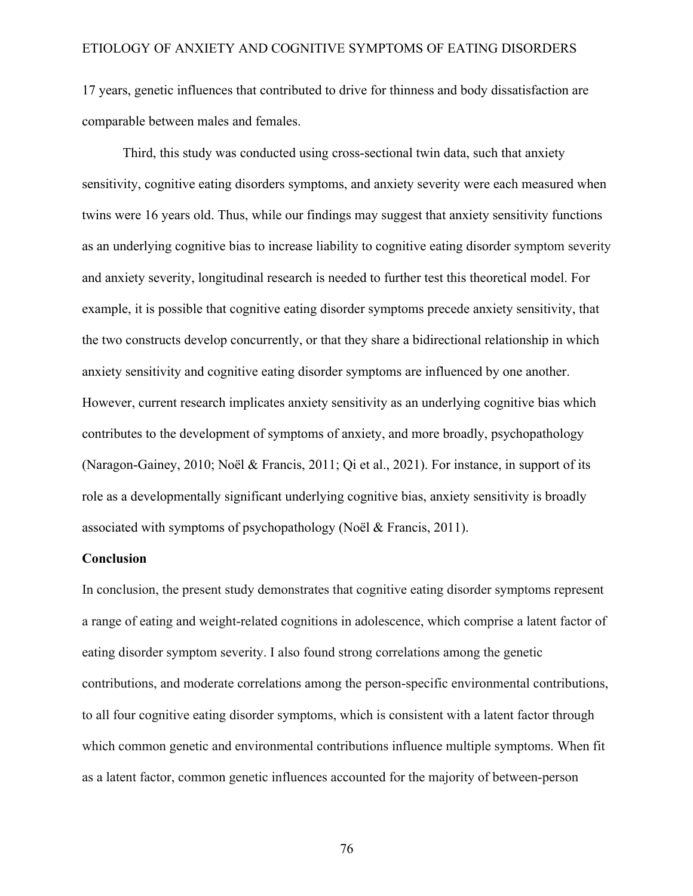17 years, genetic influences that contributed to drive for thinness and body dissatisfaction are comparable between males and females.

Third, this study was conducted using cross-sectional twin data, such that anxiety sensitivity, cognitive eating disorders symptoms, and anxiety severity were each measured when twins were 16 years old. Thus, while our findings may suggest that anxiety sensitivity functions as an underlying cognitive bias to increase liability to cognitive eating disorder symptom severity and anxiety severity, longitudinal research is needed to further test this theoretical model. For example, it is possible that cognitive eating disorder symptoms precede anxiety sensitivity, that the two constructs develop concurrently, or that they share a bidirectional relationship in which anxiety sensitivity and cognitive eating disorder symptoms are influenced by one another. However, current research implicates anxiety sensitivity as an underlying cognitive bias which contributes to the development of symptoms of anxiety, and more broadly, psychopathology (Naragon-Gainey, 2010; Noël & Francis, 2011; Qi et al., 2021). For instance, in support of its role as a developmentally significant underlying cognitive bias, anxiety sensitivity is broadly associated with symptoms of psychopathology (Noël & Francis, 2011).

# **Conclusion**

In conclusion, the present study demonstrates that cognitive eating disorder symptoms represent a range of eating and weight-related cognitions in adolescence, which comprise a latent factor of eating disorder symptom severity. I also found strong correlations among the genetic contributions, and moderate correlations among the person-specific environmental contributions, to all four cognitive eating disorder symptoms, which is consistent with a latent factor through which common genetic and environmental contributions influence multiple symptoms. When fit as a latent factor, common genetic influences accounted for the majority of between-person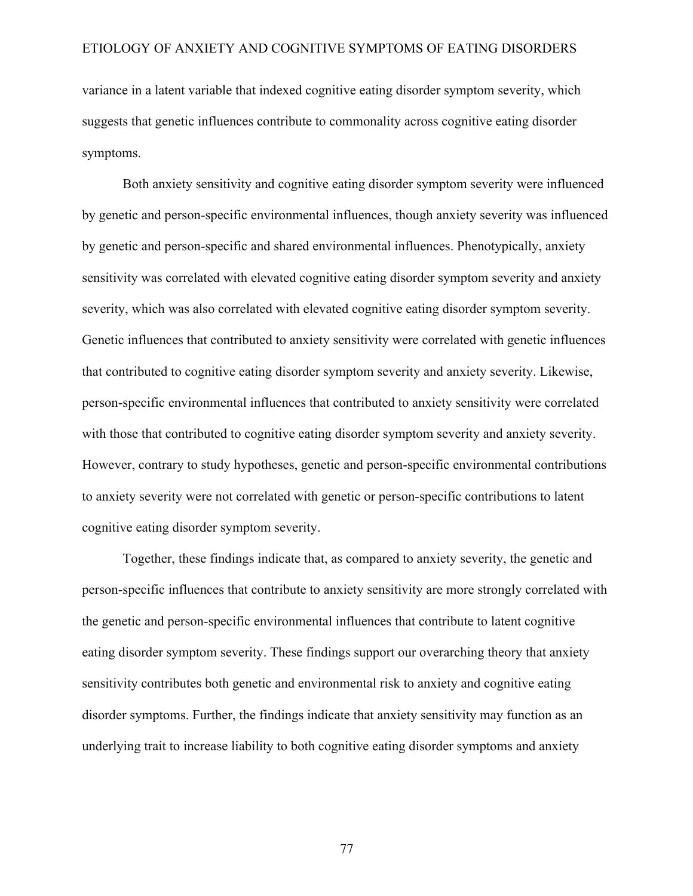variance in a latent variable that indexed cognitive eating disorder symptom severity, which suggests that genetic influences contribute to commonality across cognitive eating disorder symptoms.

Both anxiety sensitivity and cognitive eating disorder symptom severity were influenced by genetic and person-specific environmental influences, though anxiety severity was influenced by genetic and person-specific and shared environmental influences. Phenotypically, anxiety sensitivity was correlated with elevated cognitive eating disorder symptom severity and anxiety severity, which was also correlated with elevated cognitive eating disorder symptom severity. Genetic influences that contributed to anxiety sensitivity were correlated with genetic influences that contributed to cognitive eating disorder symptom severity and anxiety severity. Likewise, person-specific environmental influences that contributed to anxiety sensitivity were correlated with those that contributed to cognitive eating disorder symptom severity and anxiety severity. However, contrary to study hypotheses, genetic and person-specific environmental contributions to anxiety severity were not correlated with genetic or person-specific contributions to latent cognitive eating disorder symptom severity.

Together, these findings indicate that, as compared to anxiety severity, the genetic and person-specific influences that contribute to anxiety sensitivity are more strongly correlated with the genetic and person-specific environmental influences that contribute to latent cognitive eating disorder symptom severity. These findings support our overarching theory that anxiety sensitivity contributes both genetic and environmental risk to anxiety and cognitive eating disorder symptoms. Further, the findings indicate that anxiety sensitivity may function as an underlying trait to increase liability to both cognitive eating disorder symptoms and anxiety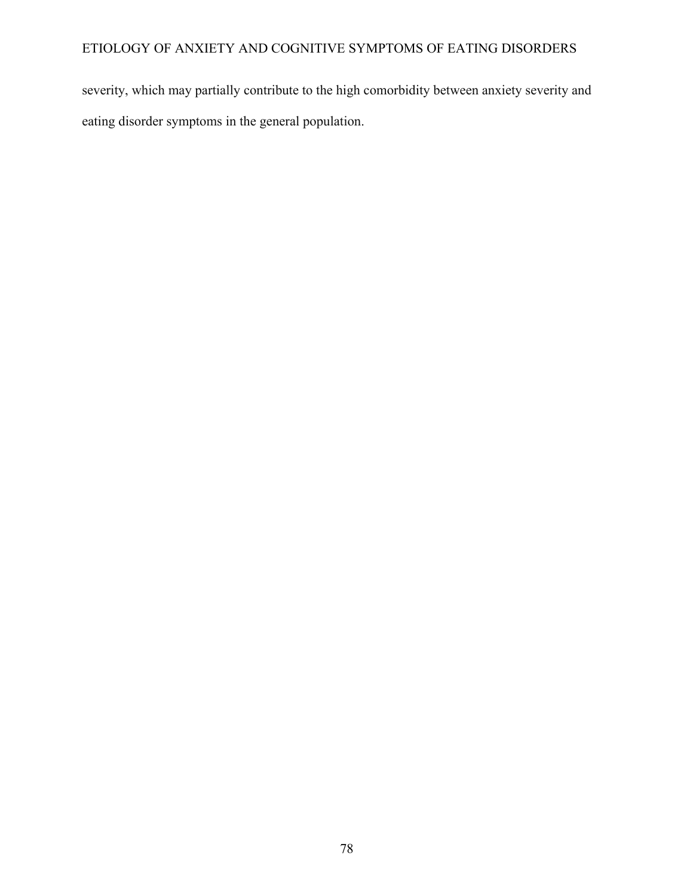severity, which may partially contribute to the high comorbidity between anxiety severity and eating disorder symptoms in the general population.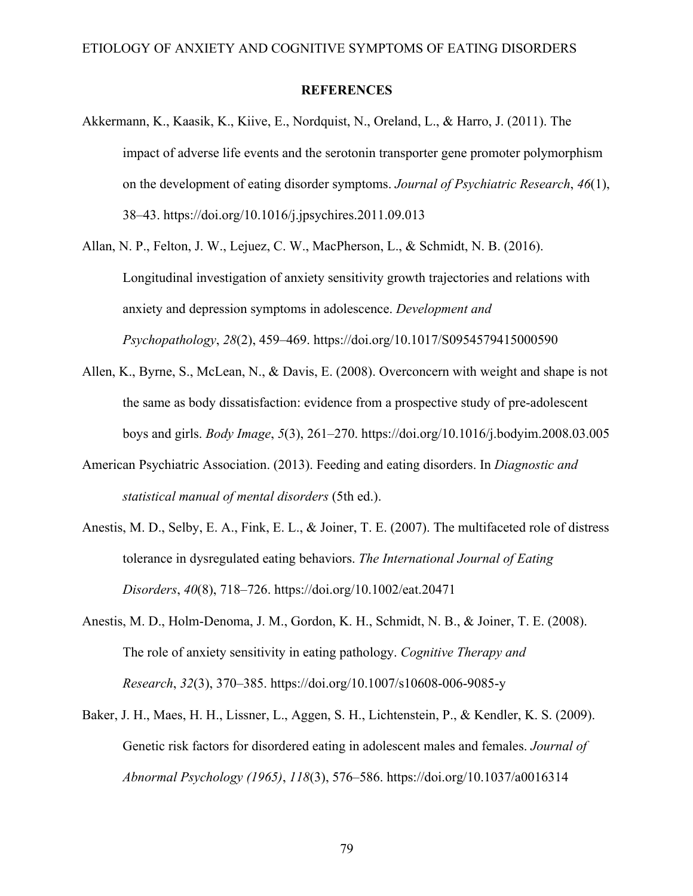#### **REFERENCES**

- Akkermann, K., Kaasik, K., Kiive, E., Nordquist, N., Oreland, L., & Harro, J. (2011). The impact of adverse life events and the serotonin transporter gene promoter polymorphism on the development of eating disorder symptoms. *Journal of Psychiatric Research*, *46*(1), 38–43. https://doi.org/10.1016/j.jpsychires.2011.09.013
- Allan, N. P., Felton, J. W., Lejuez, C. W., MacPherson, L., & Schmidt, N. B. (2016). Longitudinal investigation of anxiety sensitivity growth trajectories and relations with anxiety and depression symptoms in adolescence. *Development and Psychopathology*, *28*(2), 459–469. https://doi.org/10.1017/S0954579415000590
- Allen, K., Byrne, S., McLean, N., & Davis, E. (2008). Overconcern with weight and shape is not the same as body dissatisfaction: evidence from a prospective study of pre-adolescent boys and girls. *Body Image*, *5*(3), 261–270. https://doi.org/10.1016/j.bodyim.2008.03.005
- American Psychiatric Association. (2013). Feeding and eating disorders. In *Diagnostic and statistical manual of mental disorders* (5th ed.).
- Anestis, M. D., Selby, E. A., Fink, E. L., & Joiner, T. E. (2007). The multifaceted role of distress tolerance in dysregulated eating behaviors. *The International Journal of Eating Disorders*, *40*(8), 718–726. https://doi.org/10.1002/eat.20471
- Anestis, M. D., Holm-Denoma, J. M., Gordon, K. H., Schmidt, N. B., & Joiner, T. E. (2008). The role of anxiety sensitivity in eating pathology. *Cognitive Therapy and Research*, *32*(3), 370–385. https://doi.org/10.1007/s10608-006-9085-y
- Baker, J. H., Maes, H. H., Lissner, L., Aggen, S. H., Lichtenstein, P., & Kendler, K. S. (2009). Genetic risk factors for disordered eating in adolescent males and females. *Journal of Abnormal Psychology (1965)*, *118*(3), 576–586. https://doi.org/10.1037/a0016314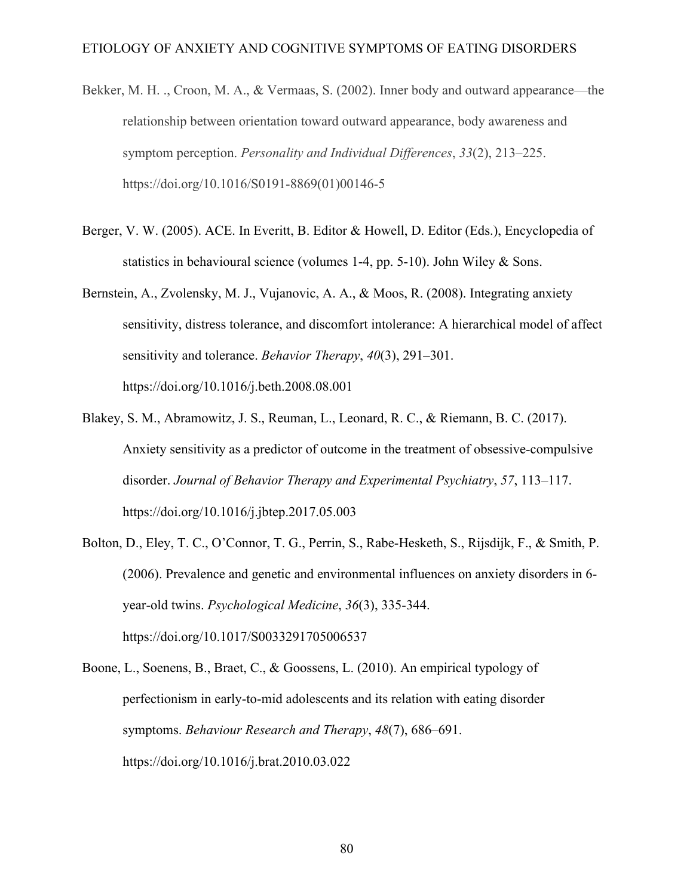- Bekker, M. H. ., Croon, M. A., & Vermaas, S. (2002). Inner body and outward appearance—the relationship between orientation toward outward appearance, body awareness and symptom perception. *Personality and Individual Differences*, *33*(2), 213–225. https://doi.org/10.1016/S0191-8869(01)00146-5
- Berger, V. W. (2005). ACE. In Everitt, B. Editor & Howell, D. Editor (Eds.), Encyclopedia of statistics in behavioural science (volumes 1-4, pp. 5-10). John Wiley & Sons.
- Bernstein, A., Zvolensky, M. J., Vujanovic, A. A., & Moos, R. (2008). Integrating anxiety sensitivity, distress tolerance, and discomfort intolerance: A hierarchical model of affect sensitivity and tolerance. *Behavior Therapy*, *40*(3), 291–301. https://doi.org/10.1016/j.beth.2008.08.001
- Blakey, S. M., Abramowitz, J. S., Reuman, L., Leonard, R. C., & Riemann, B. C. (2017). Anxiety sensitivity as a predictor of outcome in the treatment of obsessive-compulsive disorder. *Journal of Behavior Therapy and Experimental Psychiatry*, *57*, 113–117. https://doi.org/10.1016/j.jbtep.2017.05.003
- Bolton, D., Eley, T. C., O'Connor, T. G., Perrin, S., Rabe-Hesketh, S., Rijsdijk, F., & Smith, P. (2006). Prevalence and genetic and environmental influences on anxiety disorders in 6 year-old twins. *Psychological Medicine*, *36*(3), 335-344. https://doi.org/10.1017/S0033291705006537
- Boone, L., Soenens, B., Braet, C., & Goossens, L. (2010). An empirical typology of perfectionism in early-to-mid adolescents and its relation with eating disorder symptoms. *Behaviour Research and Therapy*, *48*(7), 686–691. https://doi.org/10.1016/j.brat.2010.03.022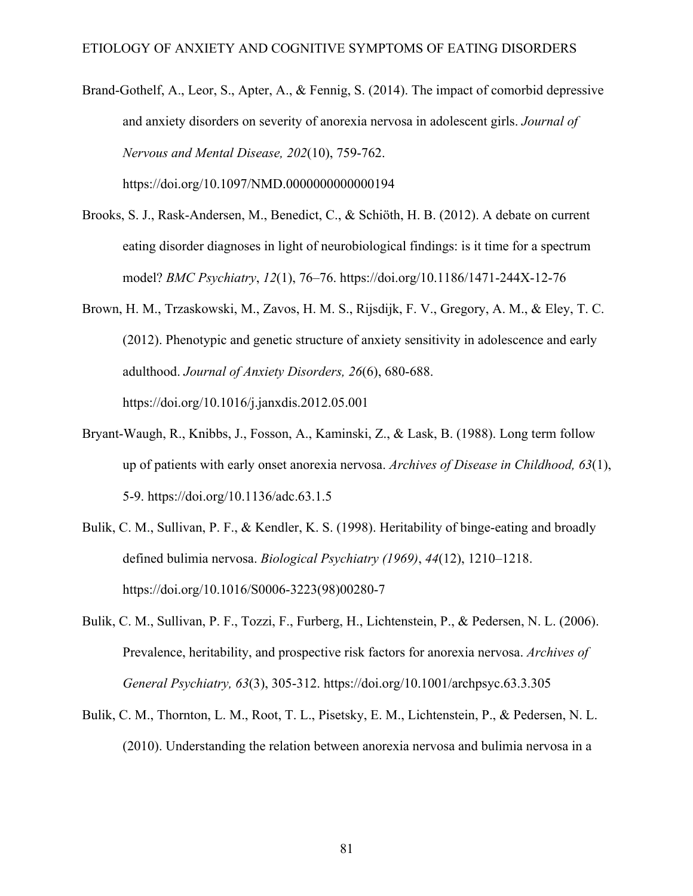Brand-Gothelf, A., Leor, S., Apter, A., & Fennig, S. (2014). The impact of comorbid depressive and anxiety disorders on severity of anorexia nervosa in adolescent girls. *Journal of Nervous and Mental Disease, 202*(10), 759-762.

https://doi.org/10.1097/NMD.0000000000000194

- Brooks, S. J., Rask-Andersen, M., Benedict, C., & Schiöth, H. B. (2012). A debate on current eating disorder diagnoses in light of neurobiological findings: is it time for a spectrum model? *BMC Psychiatry*, *12*(1), 76–76. https://doi.org/10.1186/1471-244X-12-76
- Brown, H. M., Trzaskowski, M., Zavos, H. M. S., Rijsdijk, F. V., Gregory, A. M., & Eley, T. C. (2012). Phenotypic and genetic structure of anxiety sensitivity in adolescence and early adulthood. *Journal of Anxiety Disorders, 26*(6), 680-688. https://doi.org/10.1016/j.janxdis.2012.05.001
- Bryant-Waugh, R., Knibbs, J., Fosson, A., Kaminski, Z., & Lask, B. (1988). Long term follow up of patients with early onset anorexia nervosa. *Archives of Disease in Childhood, 63*(1), 5-9. https://doi.org/10.1136/adc.63.1.5
- Bulik, C. M., Sullivan, P. F., & Kendler, K. S. (1998). Heritability of binge-eating and broadly defined bulimia nervosa. *Biological Psychiatry (1969)*, *44*(12), 1210–1218. https://doi.org/10.1016/S0006-3223(98)00280-7
- Bulik, C. M., Sullivan, P. F., Tozzi, F., Furberg, H., Lichtenstein, P., & Pedersen, N. L. (2006). Prevalence, heritability, and prospective risk factors for anorexia nervosa. *Archives of General Psychiatry, 63*(3), 305-312. https://doi.org/10.1001/archpsyc.63.3.305
- Bulik, C. M., Thornton, L. M., Root, T. L., Pisetsky, E. M., Lichtenstein, P., & Pedersen, N. L. (2010). Understanding the relation between anorexia nervosa and bulimia nervosa in a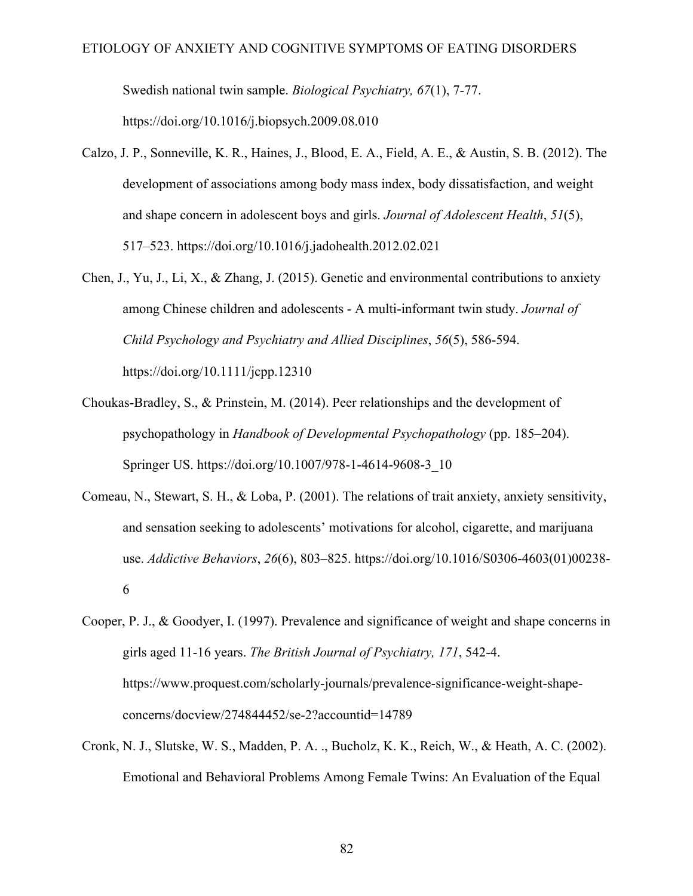Swedish national twin sample. *Biological Psychiatry, 67*(1), 7-77.

https://doi.org/10.1016/j.biopsych.2009.08.010

- Calzo, J. P., Sonneville, K. R., Haines, J., Blood, E. A., Field, A. E., & Austin, S. B. (2012). The development of associations among body mass index, body dissatisfaction, and weight and shape concern in adolescent boys and girls. *Journal of Adolescent Health*, *51*(5), 517–523. https://doi.org/10.1016/j.jadohealth.2012.02.021
- Chen, J., Yu, J., Li, X., & Zhang, J. (2015). Genetic and environmental contributions to anxiety among Chinese children and adolescents - A multi-informant twin study. *Journal of Child Psychology and Psychiatry and Allied Disciplines*, *56*(5), 586-594. https://doi.org/10.1111/jcpp.12310
- Choukas-Bradley, S., & Prinstein, M. (2014). Peer relationships and the development of psychopathology in *Handbook of Developmental Psychopathology* (pp. 185–204). Springer US. https://doi.org/10.1007/978-1-4614-9608-3\_10
- Comeau, N., Stewart, S. H., & Loba, P. (2001). The relations of trait anxiety, anxiety sensitivity, and sensation seeking to adolescents' motivations for alcohol, cigarette, and marijuana use. *Addictive Behaviors*, *26*(6), 803–825. https://doi.org/10.1016/S0306-4603(01)00238- 6
- Cooper, P. J., & Goodyer, I. (1997). Prevalence and significance of weight and shape concerns in girls aged 11-16 years. *The British Journal of Psychiatry, 171*, 542-4. https://www.proquest.com/scholarly-journals/prevalence-significance-weight-shapeconcerns/docview/274844452/se-2?accountid=14789
- Cronk, N. J., Slutske, W. S., Madden, P. A. ., Bucholz, K. K., Reich, W., & Heath, A. C. (2002). Emotional and Behavioral Problems Among Female Twins: An Evaluation of the Equal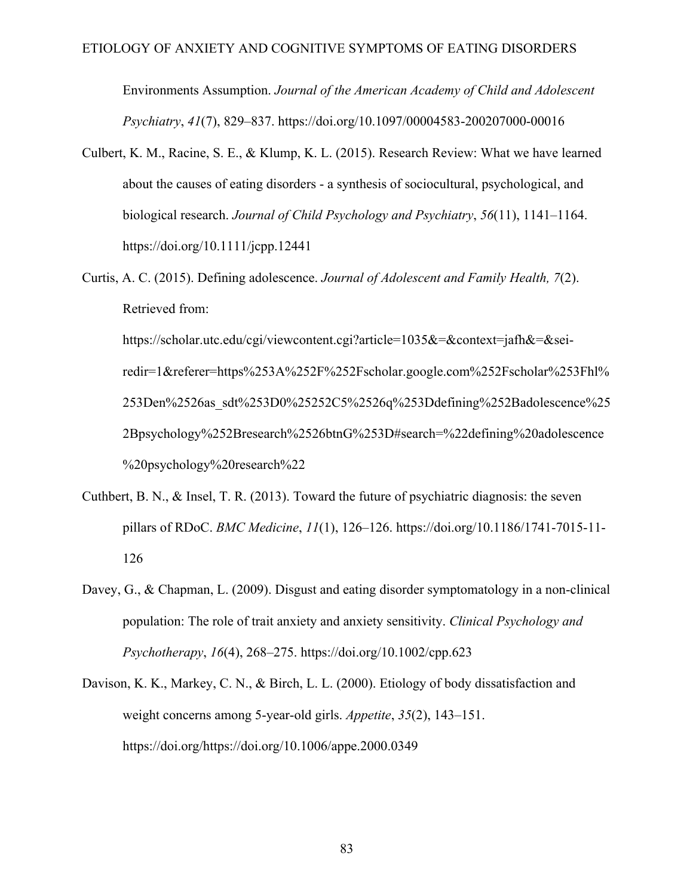Environments Assumption. *Journal of the American Academy of Child and Adolescent Psychiatry*, *41*(7), 829–837. https://doi.org/10.1097/00004583-200207000-00016

- Culbert, K. M., Racine, S. E., & Klump, K. L. (2015). Research Review: What we have learned about the causes of eating disorders - a synthesis of sociocultural, psychological, and biological research. *Journal of Child Psychology and Psychiatry*, *56*(11), 1141–1164. https://doi.org/10.1111/jcpp.12441
- Curtis, A. C. (2015). Defining adolescence. *Journal of Adolescent and Family Health, 7*(2). Retrieved from:

https://scholar.utc.edu/cgi/viewcontent.cgi?article=1035&=&context=jafh&=&seiredir=1&referer=https%253A%252F%252Fscholar.google.com%252Fscholar%253Fhl% 253Den%2526as\_sdt%253D0%25252C5%2526q%253Ddefining%252Badolescence%25 2Bpsychology%252Bresearch%2526btnG%253D#search=%22defining%20adolescence %20psychology%20research%22

- Cuthbert, B. N., & Insel, T. R. (2013). Toward the future of psychiatric diagnosis: the seven pillars of RDoC. *BMC Medicine*, *11*(1), 126–126. https://doi.org/10.1186/1741-7015-11- 126
- Davey, G., & Chapman, L. (2009). Disgust and eating disorder symptomatology in a non-clinical population: The role of trait anxiety and anxiety sensitivity. *Clinical Psychology and Psychotherapy*, *16*(4), 268–275. https://doi.org/10.1002/cpp.623
- Davison, K. K., Markey, C. N., & Birch, L. L. (2000). Etiology of body dissatisfaction and weight concerns among 5-year-old girls. *Appetite*, *35*(2), 143–151. https://doi.org/https://doi.org/10.1006/appe.2000.0349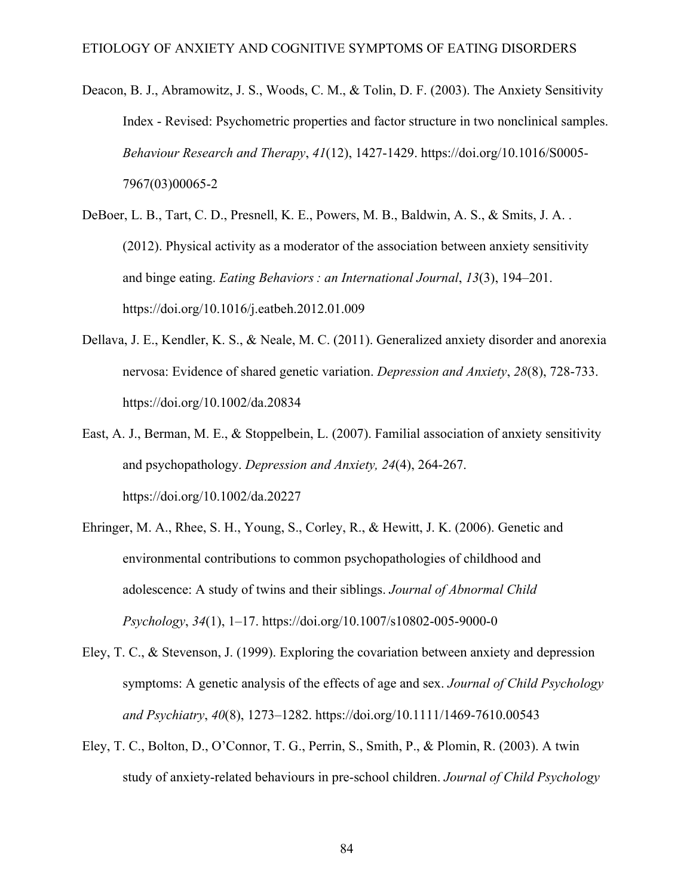- Deacon, B. J., Abramowitz, J. S., Woods, C. M., & Tolin, D. F. (2003). The Anxiety Sensitivity Index - Revised: Psychometric properties and factor structure in two nonclinical samples. *Behaviour Research and Therapy*, *41*(12), 1427-1429. https://doi.org/10.1016/S0005- 7967(03)00065-2
- DeBoer, L. B., Tart, C. D., Presnell, K. E., Powers, M. B., Baldwin, A. S., & Smits, J. A. . (2012). Physical activity as a moderator of the association between anxiety sensitivity and binge eating. *Eating Behaviors : an International Journal*, *13*(3), 194–201. https://doi.org/10.1016/j.eatbeh.2012.01.009
- Dellava, J. E., Kendler, K. S., & Neale, M. C. (2011). Generalized anxiety disorder and anorexia nervosa: Evidence of shared genetic variation. *Depression and Anxiety*, *28*(8), 728-733. https://doi.org/10.1002/da.20834
- East, A. J., Berman, M. E., & Stoppelbein, L. (2007). Familial association of anxiety sensitivity and psychopathology. *Depression and Anxiety, 24*(4), 264-267. https://doi.org/10.1002/da.20227
- Ehringer, M. A., Rhee, S. H., Young, S., Corley, R., & Hewitt, J. K. (2006). Genetic and environmental contributions to common psychopathologies of childhood and adolescence: A study of twins and their siblings. *Journal of Abnormal Child Psychology*, *34*(1), 1–17. https://doi.org/10.1007/s10802-005-9000-0
- Eley, T. C., & Stevenson, J. (1999). Exploring the covariation between anxiety and depression symptoms: A genetic analysis of the effects of age and sex. *Journal of Child Psychology and Psychiatry*, *40*(8), 1273–1282. https://doi.org/10.1111/1469-7610.00543
- Eley, T. C., Bolton, D., O'Connor, T. G., Perrin, S., Smith, P., & Plomin, R. (2003). A twin study of anxiety-related behaviours in pre-school children. *Journal of Child Psychology*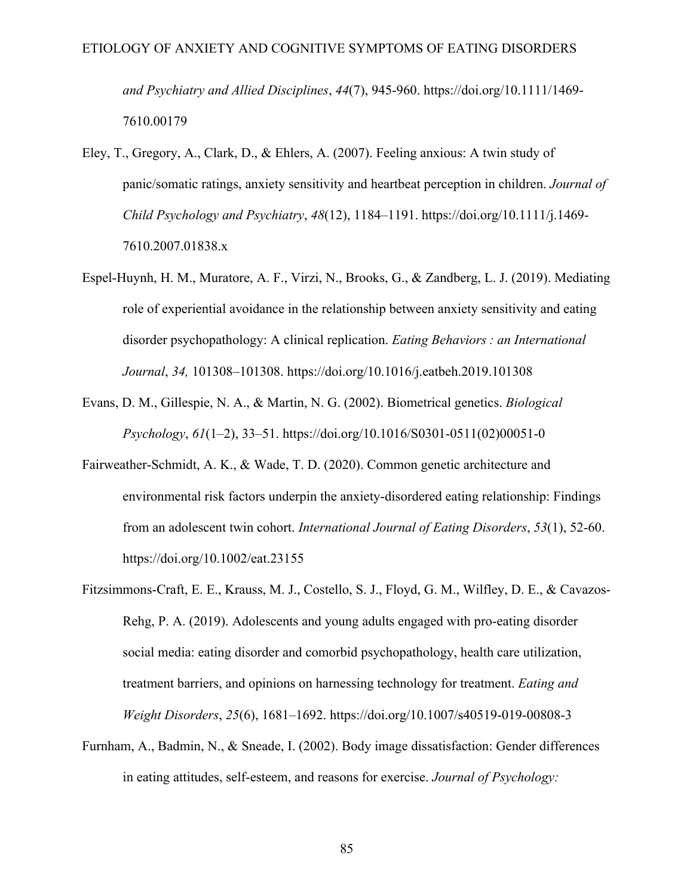*and Psychiatry and Allied Disciplines*, *44*(7), 945-960. https://doi.org/10.1111/1469- 7610.00179

- Eley, T., Gregory, A., Clark, D., & Ehlers, A. (2007). Feeling anxious: A twin study of panic/somatic ratings, anxiety sensitivity and heartbeat perception in children. *Journal of Child Psychology and Psychiatry*, *48*(12), 1184–1191. https://doi.org/10.1111/j.1469- 7610.2007.01838.x
- Espel-Huynh, H. M., Muratore, A. F., Virzi, N., Brooks, G., & Zandberg, L. J. (2019). Mediating role of experiential avoidance in the relationship between anxiety sensitivity and eating disorder psychopathology: A clinical replication. *Eating Behaviors : an International Journal*, *34,* 101308–101308. https://doi.org/10.1016/j.eatbeh.2019.101308
- Evans, D. M., Gillespie, N. A., & Martin, N. G. (2002). Biometrical genetics. *Biological Psychology*, *61*(1–2), 33–51. https://doi.org/10.1016/S0301-0511(02)00051-0
- Fairweather-Schmidt, A. K., & Wade, T. D. (2020). Common genetic architecture and environmental risk factors underpin the anxiety-disordered eating relationship: Findings from an adolescent twin cohort. *International Journal of Eating Disorders*, *53*(1), 52-60. https://doi.org/10.1002/eat.23155
- Fitzsimmons-Craft, E. E., Krauss, M. J., Costello, S. J., Floyd, G. M., Wilfley, D. E., & Cavazos-Rehg, P. A. (2019). Adolescents and young adults engaged with pro-eating disorder social media: eating disorder and comorbid psychopathology, health care utilization, treatment barriers, and opinions on harnessing technology for treatment. *Eating and Weight Disorders*, *25*(6), 1681–1692. https://doi.org/10.1007/s40519-019-00808-3
- Furnham, A., Badmin, N., & Sneade, I. (2002). Body image dissatisfaction: Gender differences in eating attitudes, self-esteem, and reasons for exercise. *Journal of Psychology:*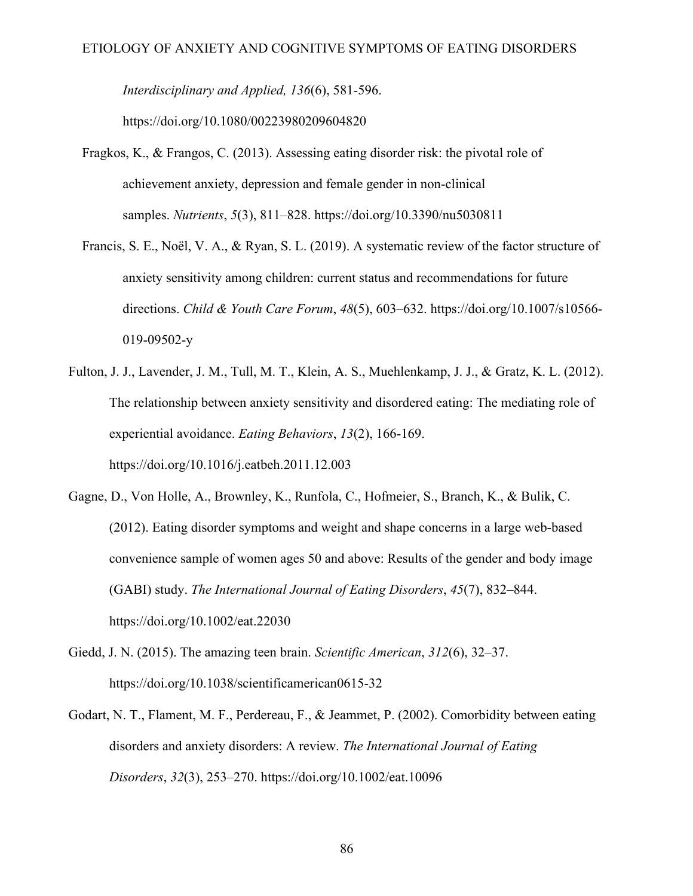*Interdisciplinary and Applied, 136*(6), 581-596.

https://doi.org/10.1080/00223980209604820

- Fragkos, K., & Frangos, C. (2013). Assessing eating disorder risk: the pivotal role of achievement anxiety, depression and female gender in non-clinical samples. *Nutrients*, *5*(3), 811–828. https://doi.org/10.3390/nu5030811
- Francis, S. E., Noël, V. A., & Ryan, S. L. (2019). A systematic review of the factor structure of anxiety sensitivity among children: current status and recommendations for future directions. *Child & Youth Care Forum*, *48*(5), 603–632. https://doi.org/10.1007/s10566- 019-09502-y
- Fulton, J. J., Lavender, J. M., Tull, M. T., Klein, A. S., Muehlenkamp, J. J., & Gratz, K. L. (2012). The relationship between anxiety sensitivity and disordered eating: The mediating role of experiential avoidance. *Eating Behaviors*, *13*(2), 166-169. https://doi.org/10.1016/j.eatbeh.2011.12.003
- Gagne, D., Von Holle, A., Brownley, K., Runfola, C., Hofmeier, S., Branch, K., & Bulik, C. (2012). Eating disorder symptoms and weight and shape concerns in a large web-based convenience sample of women ages 50 and above: Results of the gender and body image (GABI) study. *The International Journal of Eating Disorders*, *45*(7), 832–844. https://doi.org/10.1002/eat.22030
- Giedd, J. N. (2015). The amazing teen brain. *Scientific American*, *312*(6), 32–37. https://doi.org/10.1038/scientificamerican0615-32
- Godart, N. T., Flament, M. F., Perdereau, F., & Jeammet, P. (2002). Comorbidity between eating disorders and anxiety disorders: A review. *The International Journal of Eating Disorders*, *32*(3), 253–270. https://doi.org/10.1002/eat.10096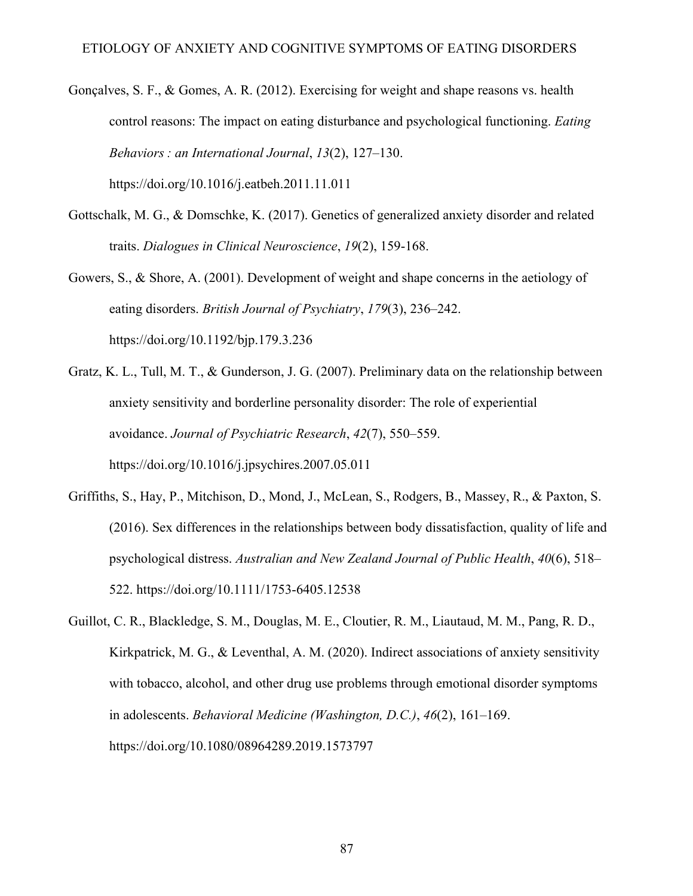Gonçalves, S. F., & Gomes, A. R. (2012). Exercising for weight and shape reasons vs. health control reasons: The impact on eating disturbance and psychological functioning. *Eating Behaviors : an International Journal*, *13*(2), 127–130.

https://doi.org/10.1016/j.eatbeh.2011.11.011

- Gottschalk, M. G., & Domschke, K. (2017). Genetics of generalized anxiety disorder and related traits. *Dialogues in Clinical Neuroscience*, *19*(2), 159-168.
- Gowers, S., & Shore, A. (2001). Development of weight and shape concerns in the aetiology of eating disorders. *British Journal of Psychiatry*, *179*(3), 236–242. https://doi.org/10.1192/bjp.179.3.236
- Gratz, K. L., Tull, M. T., & Gunderson, J. G. (2007). Preliminary data on the relationship between anxiety sensitivity and borderline personality disorder: The role of experiential avoidance. *Journal of Psychiatric Research*, *42*(7), 550–559. https://doi.org/10.1016/j.jpsychires.2007.05.011
- Griffiths, S., Hay, P., Mitchison, D., Mond, J., McLean, S., Rodgers, B., Massey, R., & Paxton, S. (2016). Sex differences in the relationships between body dissatisfaction, quality of life and psychological distress. *Australian and New Zealand Journal of Public Health*, *40*(6), 518– 522. https://doi.org/10.1111/1753-6405.12538
- Guillot, C. R., Blackledge, S. M., Douglas, M. E., Cloutier, R. M., Liautaud, M. M., Pang, R. D., Kirkpatrick, M. G., & Leventhal, A. M. (2020). Indirect associations of anxiety sensitivity with tobacco, alcohol, and other drug use problems through emotional disorder symptoms in adolescents. *Behavioral Medicine (Washington, D.C.)*, *46*(2), 161–169. https://doi.org/10.1080/08964289.2019.1573797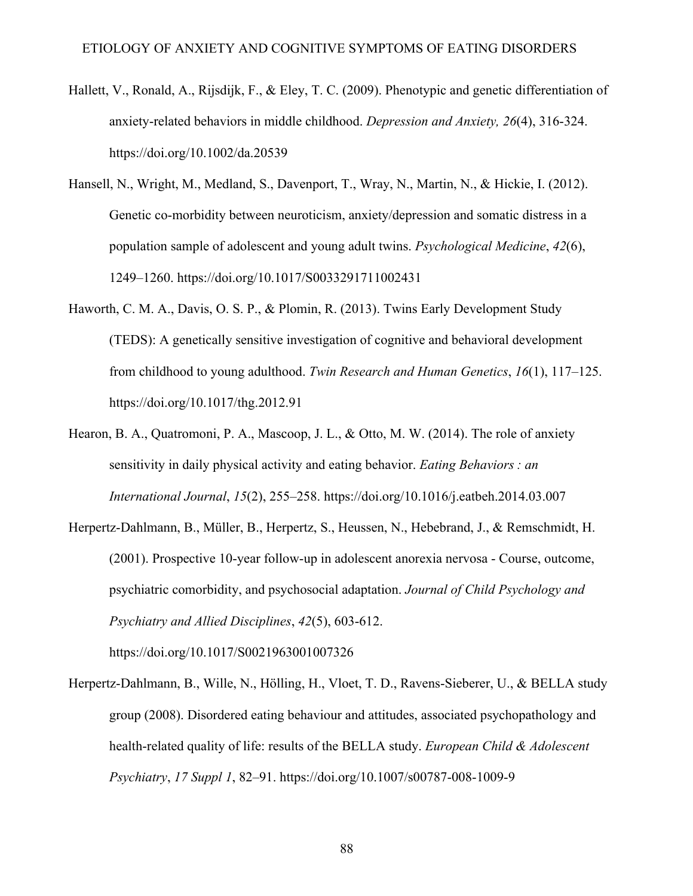- Hallett, V., Ronald, A., Rijsdijk, F., & Eley, T. C. (2009). Phenotypic and genetic differentiation of anxiety-related behaviors in middle childhood. *Depression and Anxiety, 26*(4), 316-324. https://doi.org/10.1002/da.20539
- Hansell, N., Wright, M., Medland, S., Davenport, T., Wray, N., Martin, N., & Hickie, I. (2012). Genetic co-morbidity between neuroticism, anxiety/depression and somatic distress in a population sample of adolescent and young adult twins. *Psychological Medicine*, *42*(6), 1249–1260. https://doi.org/10.1017/S0033291711002431
- Haworth, C. M. A., Davis, O. S. P., & Plomin, R. (2013). Twins Early Development Study (TEDS): A genetically sensitive investigation of cognitive and behavioral development from childhood to young adulthood. *Twin Research and Human Genetics*, *16*(1), 117–125. https://doi.org/10.1017/thg.2012.91
- Hearon, B. A., Quatromoni, P. A., Mascoop, J. L., & Otto, M. W. (2014). The role of anxiety sensitivity in daily physical activity and eating behavior. *Eating Behaviors : an International Journal*, *15*(2), 255–258. https://doi.org/10.1016/j.eatbeh.2014.03.007
- Herpertz-Dahlmann, B., Müller, B., Herpertz, S., Heussen, N., Hebebrand, J., & Remschmidt, H. (2001). Prospective 10-year follow-up in adolescent anorexia nervosa - Course, outcome, psychiatric comorbidity, and psychosocial adaptation. *Journal of Child Psychology and Psychiatry and Allied Disciplines*, *42*(5), 603-612.

https://doi.org/10.1017/S0021963001007326

Herpertz-Dahlmann, B., Wille, N., Hölling, H., Vloet, T. D., Ravens-Sieberer, U., & BELLA study group (2008). Disordered eating behaviour and attitudes, associated psychopathology and health-related quality of life: results of the BELLA study. *European Child & Adolescent Psychiatry*, *17 Suppl 1*, 82–91. https://doi.org/10.1007/s00787-008-1009-9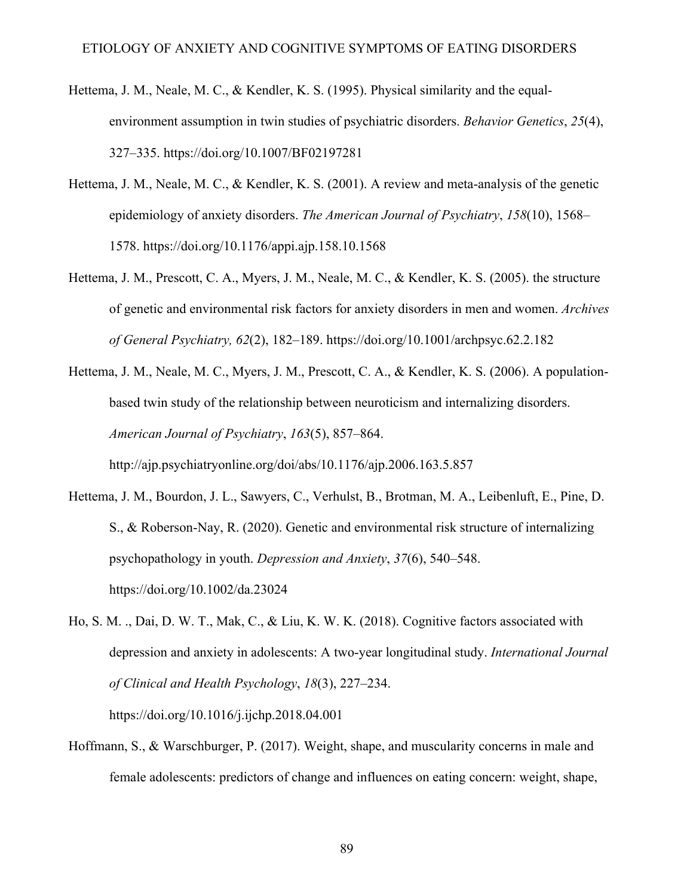- Hettema, J. M., Neale, M. C., & Kendler, K. S. (1995). Physical similarity and the equalenvironment assumption in twin studies of psychiatric disorders. *Behavior Genetics*, *25*(4), 327–335. https://doi.org/10.1007/BF02197281
- Hettema, J. M., Neale, M. C., & Kendler, K. S. (2001). A review and meta-analysis of the genetic epidemiology of anxiety disorders. *The American Journal of Psychiatry*, *158*(10), 1568– 1578. https://doi.org/10.1176/appi.ajp.158.10.1568
- Hettema, J. M., Prescott, C. A., Myers, J. M., Neale, M. C., & Kendler, K. S. (2005). the structure of genetic and environmental risk factors for anxiety disorders in men and women. *Archives of General Psychiatry, 62*(2), 182–189. https://doi.org/10.1001/archpsyc.62.2.182
- Hettema, J. M., Neale, M. C., Myers, J. M., Prescott, C. A., & Kendler, K. S. (2006). A populationbased twin study of the relationship between neuroticism and internalizing disorders. *American Journal of Psychiatry*, *163*(5), 857–864.

http://ajp.psychiatryonline.org/doi/abs/10.1176/ajp.2006.163.5.857

- Hettema, J. M., Bourdon, J. L., Sawyers, C., Verhulst, B., Brotman, M. A., Leibenluft, E., Pine, D. S., & Roberson‐Nay, R. (2020). Genetic and environmental risk structure of internalizing psychopathology in youth. *Depression and Anxiety*, *37*(6), 540–548. https://doi.org/10.1002/da.23024
- Ho, S. M. ., Dai, D. W. T., Mak, C., & Liu, K. W. K. (2018). Cognitive factors associated with depression and anxiety in adolescents: A two-year longitudinal study. *International Journal of Clinical and Health Psychology*, *18*(3), 227–234.

https://doi.org/10.1016/j.ijchp.2018.04.001

Hoffmann, S., & Warschburger, P. (2017). Weight, shape, and muscularity concerns in male and female adolescents: predictors of change and influences on eating concern: weight, shape,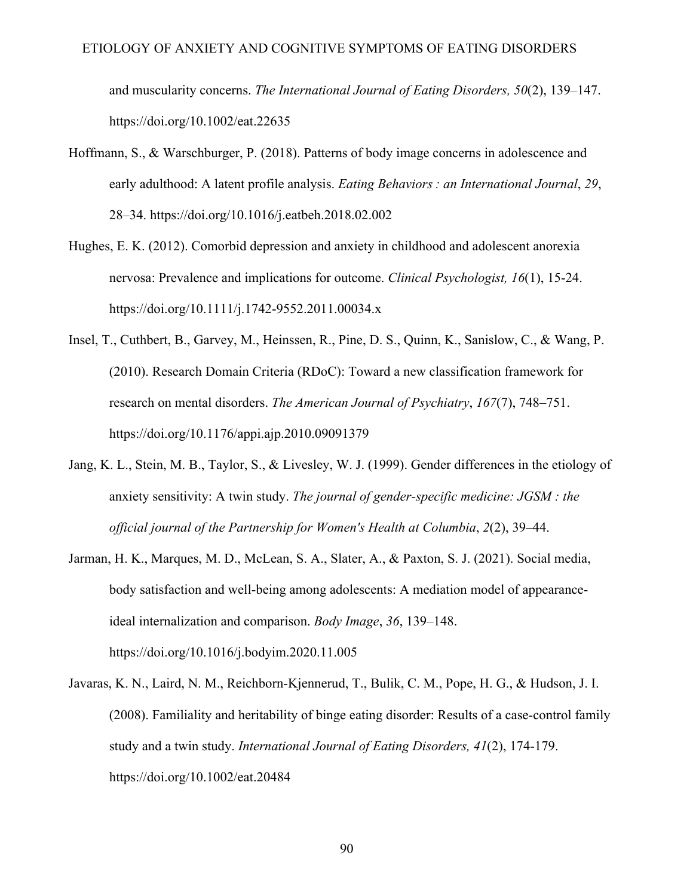and muscularity concerns. *The International Journal of Eating Disorders, 50*(2), 139–147. https://doi.org/10.1002/eat.22635

- Hoffmann, S., & Warschburger, P. (2018). Patterns of body image concerns in adolescence and early adulthood: A latent profile analysis. *Eating Behaviors : an International Journal*, *29*, 28–34. https://doi.org/10.1016/j.eatbeh.2018.02.002
- Hughes, E. K. (2012). Comorbid depression and anxiety in childhood and adolescent anorexia nervosa: Prevalence and implications for outcome. *Clinical Psychologist, 16*(1), 15-24. https://doi.org/10.1111/j.1742-9552.2011.00034.x
- Insel, T., Cuthbert, B., Garvey, M., Heinssen, R., Pine, D. S., Quinn, K., Sanislow, C., & Wang, P. (2010). Research Domain Criteria (RDoC): Toward a new classification framework for research on mental disorders. *The American Journal of Psychiatry*, *167*(7), 748–751. https://doi.org/10.1176/appi.ajp.2010.09091379
- Jang, K. L., Stein, M. B., Taylor, S., & Livesley, W. J. (1999). Gender differences in the etiology of anxiety sensitivity: A twin study. *The journal of gender-specific medicine: JGSM : the official journal of the Partnership for Women's Health at Columbia*, *2*(2), 39–44.
- Jarman, H. K., Marques, M. D., McLean, S. A., Slater, A., & Paxton, S. J. (2021). Social media, body satisfaction and well-being among adolescents: A mediation model of appearanceideal internalization and comparison. *Body Image*, *36*, 139–148. https://doi.org/10.1016/j.bodyim.2020.11.005
- Javaras, K. N., Laird, N. M., Reichborn-Kjennerud, T., Bulik, C. M., Pope, H. G., & Hudson, J. I. (2008). Familiality and heritability of binge eating disorder: Results of a case-control family study and a twin study. *International Journal of Eating Disorders, 41*(2), 174-179. https://doi.org/10.1002/eat.20484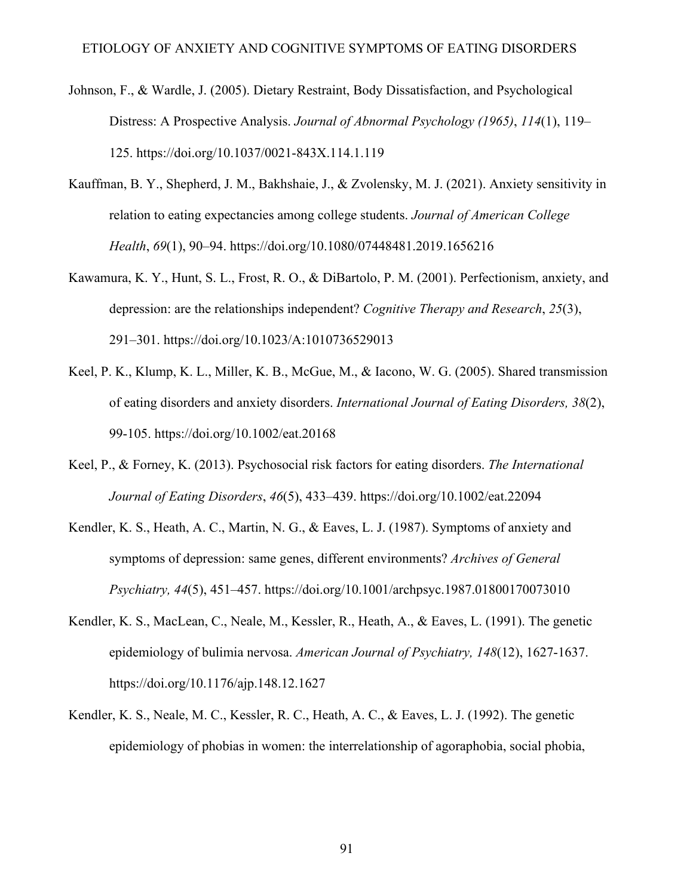- Johnson, F., & Wardle, J. (2005). Dietary Restraint, Body Dissatisfaction, and Psychological Distress: A Prospective Analysis. *Journal of Abnormal Psychology (1965)*, *114*(1), 119– 125. https://doi.org/10.1037/0021-843X.114.1.119
- Kauffman, B. Y., Shepherd, J. M., Bakhshaie, J., & Zvolensky, M. J. (2021). Anxiety sensitivity in relation to eating expectancies among college students. *Journal of American College Health*, *69*(1), 90–94. https://doi.org/10.1080/07448481.2019.1656216
- Kawamura, K. Y., Hunt, S. L., Frost, R. O., & DiBartolo, P. M. (2001). Perfectionism, anxiety, and depression: are the relationships independent? *Cognitive Therapy and Research*, *25*(3), 291–301. https://doi.org/10.1023/A:1010736529013
- Keel, P. K., Klump, K. L., Miller, K. B., McGue, M., & Iacono, W. G. (2005). Shared transmission of eating disorders and anxiety disorders. *International Journal of Eating Disorders, 38*(2), 99-105. https://doi.org/10.1002/eat.20168
- Keel, P., & Forney, K. (2013). Psychosocial risk factors for eating disorders. *The International Journal of Eating Disorders*, *46*(5), 433–439. https://doi.org/10.1002/eat.22094
- Kendler, K. S., Heath, A. C., Martin, N. G., & Eaves, L. J. (1987). Symptoms of anxiety and symptoms of depression: same genes, different environments? *Archives of General Psychiatry, 44*(5), 451–457. https://doi.org/10.1001/archpsyc.1987.01800170073010
- Kendler, K. S., MacLean, C., Neale, M., Kessler, R., Heath, A., & Eaves, L. (1991). The genetic epidemiology of bulimia nervosa. *American Journal of Psychiatry, 148*(12), 1627-1637. https://doi.org/10.1176/ajp.148.12.1627
- Kendler, K. S., Neale, M. C., Kessler, R. C., Heath, A. C., & Eaves, L. J. (1992). The genetic epidemiology of phobias in women: the interrelationship of agoraphobia, social phobia,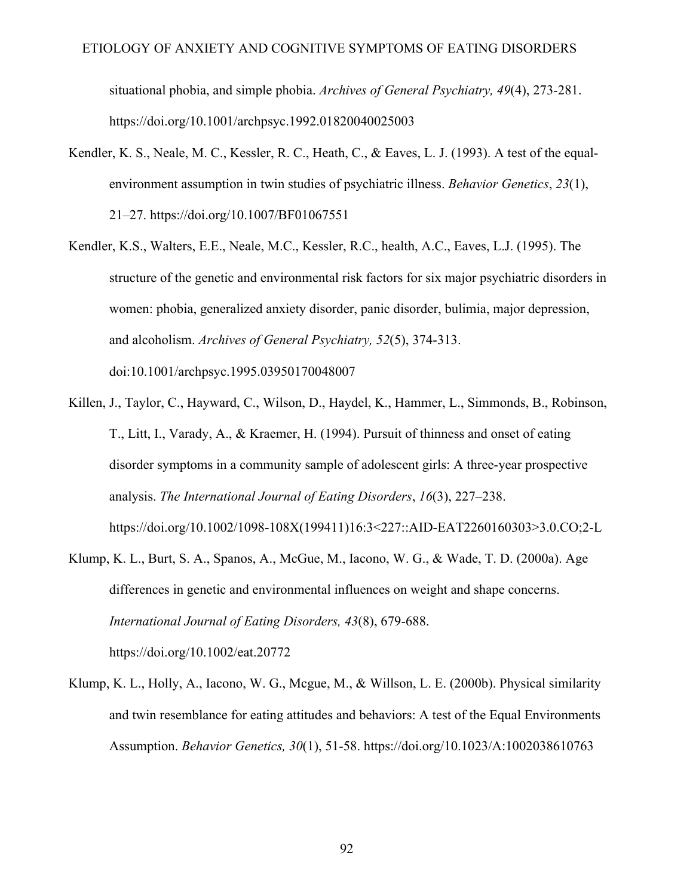situational phobia, and simple phobia. *Archives of General Psychiatry, 49*(4), 273-281. https://doi.org/10.1001/archpsyc.1992.01820040025003

- Kendler, K. S., Neale, M. C., Kessler, R. C., Heath, C., & Eaves, L. J. (1993). A test of the equalenvironment assumption in twin studies of psychiatric illness. *Behavior Genetics*, *23*(1), 21–27. https://doi.org/10.1007/BF01067551
- Kendler, K.S., Walters, E.E., Neale, M.C., Kessler, R.C., health, A.C., Eaves, L.J. (1995). The structure of the genetic and environmental risk factors for six major psychiatric disorders in women: phobia, generalized anxiety disorder, panic disorder, bulimia, major depression, and alcoholism. *Archives of General Psychiatry, 52*(5), 374-313. doi:10.1001/archpsyc.1995.03950170048007
- Killen, J., Taylor, C., Hayward, C., Wilson, D., Haydel, K., Hammer, L., Simmonds, B., Robinson, T., Litt, I., Varady, A., & Kraemer, H. (1994). Pursuit of thinness and onset of eating disorder symptoms in a community sample of adolescent girls: A three-year prospective analysis. *The International Journal of Eating Disorders*, *16*(3), 227–238. https://doi.org/10.1002/1098-108X(199411)16:3<227::AID-EAT2260160303>3.0.CO;2-L
- Klump, K. L., Burt, S. A., Spanos, A., McGue, M., Iacono, W. G., & Wade, T. D. (2000a). Age differences in genetic and environmental influences on weight and shape concerns. *International Journal of Eating Disorders, 43*(8), 679-688. https://doi.org/10.1002/eat.20772
- Klump, K. L., Holly, A., Iacono, W. G., Mcgue, M., & Willson, L. E. (2000b). Physical similarity and twin resemblance for eating attitudes and behaviors: A test of the Equal Environments Assumption. *Behavior Genetics, 30*(1), 51-58. https://doi.org/10.1023/A:1002038610763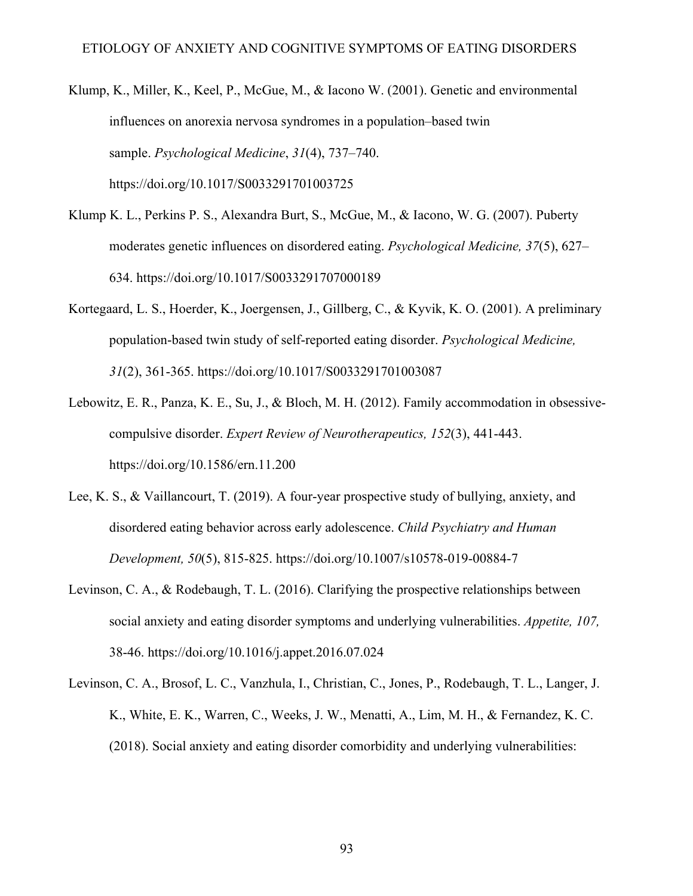- Klump, K., Miller, K., Keel, P., McGue, M., & Iacono W. (2001). Genetic and environmental influences on anorexia nervosa syndromes in a population–based twin sample. *Psychological Medicine*, *31*(4), 737–740. https://doi.org/10.1017/S0033291701003725
- Klump K. L., Perkins P. S., Alexandra Burt, S., McGue, M., & Iacono, W. G. (2007). Puberty moderates genetic influences on disordered eating. *Psychological Medicine, 37*(5), 627– 634. https://doi.org/10.1017/S0033291707000189
- Kortegaard, L. S., Hoerder, K., Joergensen, J., Gillberg, C., & Kyvik, K. O. (2001). A preliminary population-based twin study of self-reported eating disorder. *Psychological Medicine, 31*(2), 361-365. https://doi.org/10.1017/S0033291701003087
- Lebowitz, E. R., Panza, K. E., Su, J., & Bloch, M. H. (2012). Family accommodation in obsessivecompulsive disorder. *Expert Review of Neurotherapeutics, 152*(3), 441-443. https://doi.org/10.1586/ern.11.200
- Lee, K. S., & Vaillancourt, T. (2019). A four-year prospective study of bullying, anxiety, and disordered eating behavior across early adolescence. *Child Psychiatry and Human Development, 50*(5), 815-825. https://doi.org/10.1007/s10578-019-00884-7
- Levinson, C. A., & Rodebaugh, T. L. (2016). Clarifying the prospective relationships between social anxiety and eating disorder symptoms and underlying vulnerabilities. *Appetite, 107,*  38-46. https://doi.org/10.1016/j.appet.2016.07.024
- Levinson, C. A., Brosof, L. C., Vanzhula, I., Christian, C., Jones, P., Rodebaugh, T. L., Langer, J. K., White, E. K., Warren, C., Weeks, J. W., Menatti, A., Lim, M. H., & Fernandez, K. C. (2018). Social anxiety and eating disorder comorbidity and underlying vulnerabilities: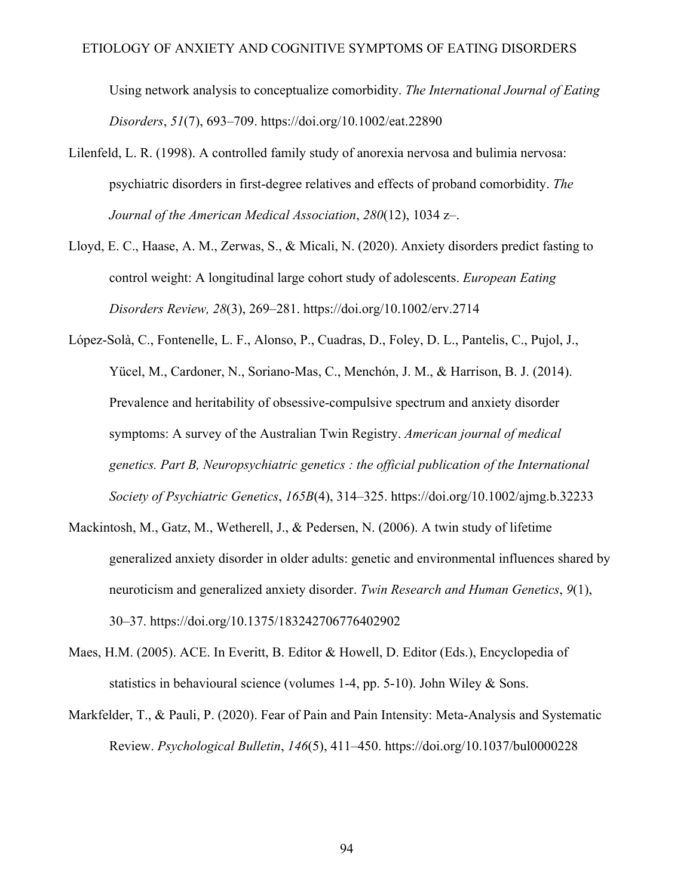Using network analysis to conceptualize comorbidity. *The International Journal of Eating Disorders*, *51*(7), 693–709. https://doi.org/10.1002/eat.22890

- Lilenfeld, L. R. (1998). A controlled family study of anorexia nervosa and bulimia nervosa: psychiatric disorders in first-degree relatives and effects of proband comorbidity. *The Journal of the American Medical Association*, *280*(12), 1034 z–.
- Lloyd, E. C., Haase, A. M., Zerwas, S., & Micali, N. (2020). Anxiety disorders predict fasting to control weight: A longitudinal large cohort study of adolescents. *European Eating Disorders Review, 28*(3), 269–281. https://doi.org/10.1002/erv.2714
- López-Solà, C., Fontenelle, L. F., Alonso, P., Cuadras, D., Foley, D. L., Pantelis, C., Pujol, J., Yücel, M., Cardoner, N., Soriano-Mas, C., Menchón, J. M., & Harrison, B. J. (2014). Prevalence and heritability of obsessive-compulsive spectrum and anxiety disorder symptoms: A survey of the Australian Twin Registry. *American journal of medical genetics. Part B, Neuropsychiatric genetics : the official publication of the International Society of Psychiatric Genetics*, *165B*(4), 314–325. https://doi.org/10.1002/ajmg.b.32233
- Mackintosh, M., Gatz, M., Wetherell, J., & Pedersen, N. (2006). A twin study of lifetime generalized anxiety disorder in older adults: genetic and environmental influences shared by neuroticism and generalized anxiety disorder. *Twin Research and Human Genetics*, *9*(1), 30–37. https://doi.org/10.1375/183242706776402902
- Maes, H.M. (2005). ACE. In Everitt, B. Editor & Howell, D. Editor (Eds.), Encyclopedia of statistics in behavioural science (volumes 1-4, pp. 5-10). John Wiley & Sons.
- Markfelder, T., & Pauli, P. (2020). Fear of Pain and Pain Intensity: Meta-Analysis and Systematic Review. *Psychological Bulletin*, *146*(5), 411–450. https://doi.org/10.1037/bul0000228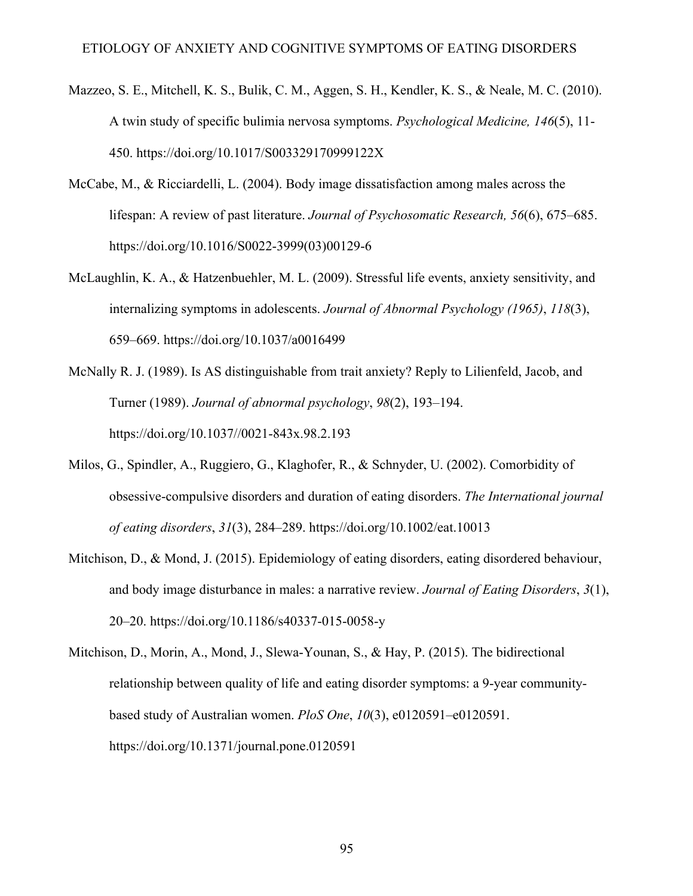- Mazzeo, S. E., Mitchell, K. S., Bulik, C. M., Aggen, S. H., Kendler, K. S., & Neale, M. C. (2010). A twin study of specific bulimia nervosa symptoms. *Psychological Medicine, 146*(5), 11- 450. https://doi.org/10.1017/S003329170999122X
- McCabe, M., & Ricciardelli, L. (2004). Body image dissatisfaction among males across the lifespan: A review of past literature. *Journal of Psychosomatic Research, 56*(6), 675–685. https://doi.org/10.1016/S0022-3999(03)00129-6
- McLaughlin, K. A., & Hatzenbuehler, M. L. (2009). Stressful life events, anxiety sensitivity, and internalizing symptoms in adolescents. *Journal of Abnormal Psychology (1965)*, *118*(3), 659–669. https://doi.org/10.1037/a0016499
- McNally R. J. (1989). Is AS distinguishable from trait anxiety? Reply to Lilienfeld, Jacob, and Turner (1989). *Journal of abnormal psychology*, *98*(2), 193–194. https://doi.org/10.1037//0021-843x.98.2.193
- Milos, G., Spindler, A., Ruggiero, G., Klaghofer, R., & Schnyder, U. (2002). Comorbidity of obsessive-compulsive disorders and duration of eating disorders. *The International journal of eating disorders*, *31*(3), 284–289. https://doi.org/10.1002/eat.10013
- Mitchison, D., & Mond, J. (2015). Epidemiology of eating disorders, eating disordered behaviour, and body image disturbance in males: a narrative review. *Journal of Eating Disorders*, *3*(1), 20–20. https://doi.org/10.1186/s40337-015-0058-y
- Mitchison, D., Morin, A., Mond, J., Slewa-Younan, S., & Hay, P. (2015). The bidirectional relationship between quality of life and eating disorder symptoms: a 9-year communitybased study of Australian women. *PloS One*, *10*(3), e0120591–e0120591. https://doi.org/10.1371/journal.pone.0120591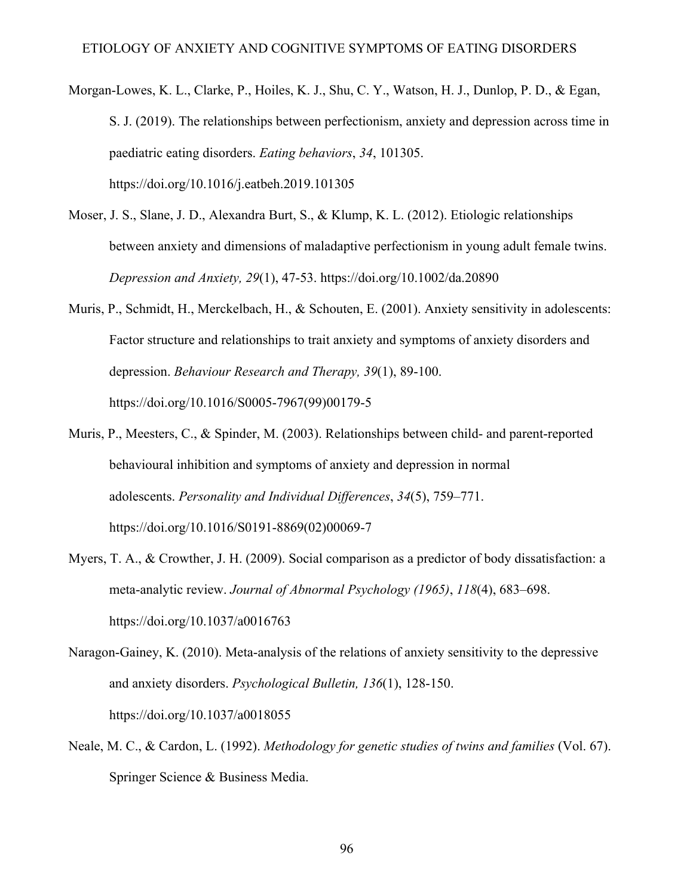- Morgan-Lowes, K. L., Clarke, P., Hoiles, K. J., Shu, C. Y., Watson, H. J., Dunlop, P. D., & Egan, S. J. (2019). The relationships between perfectionism, anxiety and depression across time in paediatric eating disorders. *Eating behaviors*, *34*, 101305. https://doi.org/10.1016/j.eatbeh.2019.101305
- Moser, J. S., Slane, J. D., Alexandra Burt, S., & Klump, K. L. (2012). Etiologic relationships between anxiety and dimensions of maladaptive perfectionism in young adult female twins. *Depression and Anxiety, 29*(1), 47-53. https://doi.org/10.1002/da.20890
- Muris, P., Schmidt, H., Merckelbach, H., & Schouten, E. (2001). Anxiety sensitivity in adolescents: Factor structure and relationships to trait anxiety and symptoms of anxiety disorders and depression. *Behaviour Research and Therapy, 39*(1), 89-100. https://doi.org/10.1016/S0005-7967(99)00179-5
- Muris, P., Meesters, C., & Spinder, M. (2003). Relationships between child- and parent-reported behavioural inhibition and symptoms of anxiety and depression in normal adolescents. *Personality and Individual Differences*, *34*(5), 759–771. https://doi.org/10.1016/S0191-8869(02)00069-7
- Myers, T. A., & Crowther, J. H. (2009). Social comparison as a predictor of body dissatisfaction: a meta-analytic review. *Journal of Abnormal Psychology (1965)*, *118*(4), 683–698. https://doi.org/10.1037/a0016763
- Naragon-Gainey, K. (2010). Meta-analysis of the relations of anxiety sensitivity to the depressive and anxiety disorders. *Psychological Bulletin, 136*(1), 128-150. https://doi.org/10.1037/a0018055
- Neale, M. C., & Cardon, L. (1992). *Methodology for genetic studies of twins and families* (Vol. 67). Springer Science & Business Media.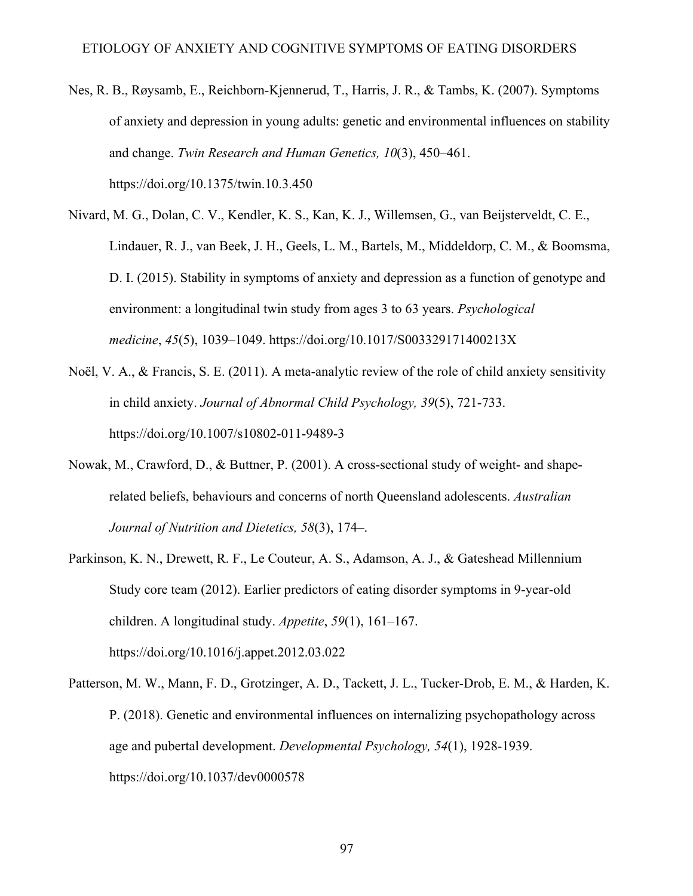- Nes, R. B., Røysamb, E., Reichborn-Kjennerud, T., Harris, J. R., & Tambs, K. (2007). Symptoms of anxiety and depression in young adults: genetic and environmental influences on stability and change. *Twin Research and Human Genetics, 10*(3), 450–461. https://doi.org/10.1375/twin.10.3.450
- Nivard, M. G., Dolan, C. V., Kendler, K. S., Kan, K. J., Willemsen, G., van Beijsterveldt, C. E., Lindauer, R. J., van Beek, J. H., Geels, L. M., Bartels, M., Middeldorp, C. M., & Boomsma, D. I. (2015). Stability in symptoms of anxiety and depression as a function of genotype and environment: a longitudinal twin study from ages 3 to 63 years. *Psychological medicine*, *45*(5), 1039–1049. https://doi.org/10.1017/S003329171400213X
- Noël, V. A., & Francis, S. E. (2011). A meta-analytic review of the role of child anxiety sensitivity in child anxiety. *Journal of Abnormal Child Psychology, 39*(5), 721-733. https://doi.org/10.1007/s10802-011-9489-3
- Nowak, M., Crawford, D., & Buttner, P. (2001). A cross-sectional study of weight- and shaperelated beliefs, behaviours and concerns of north Queensland adolescents. *Australian Journal of Nutrition and Dietetics, 58*(3), 174–.
- Parkinson, K. N., Drewett, R. F., Le Couteur, A. S., Adamson, A. J., & Gateshead Millennium Study core team (2012). Earlier predictors of eating disorder symptoms in 9-year-old children. A longitudinal study. *Appetite*, *59*(1), 161–167. https://doi.org/10.1016/j.appet.2012.03.022
- Patterson, M. W., Mann, F. D., Grotzinger, A. D., Tackett, J. L., Tucker-Drob, E. M., & Harden, K. P. (2018). Genetic and environmental influences on internalizing psychopathology across age and pubertal development. *Developmental Psychology, 54*(1), 1928-1939. https://doi.org/10.1037/dev0000578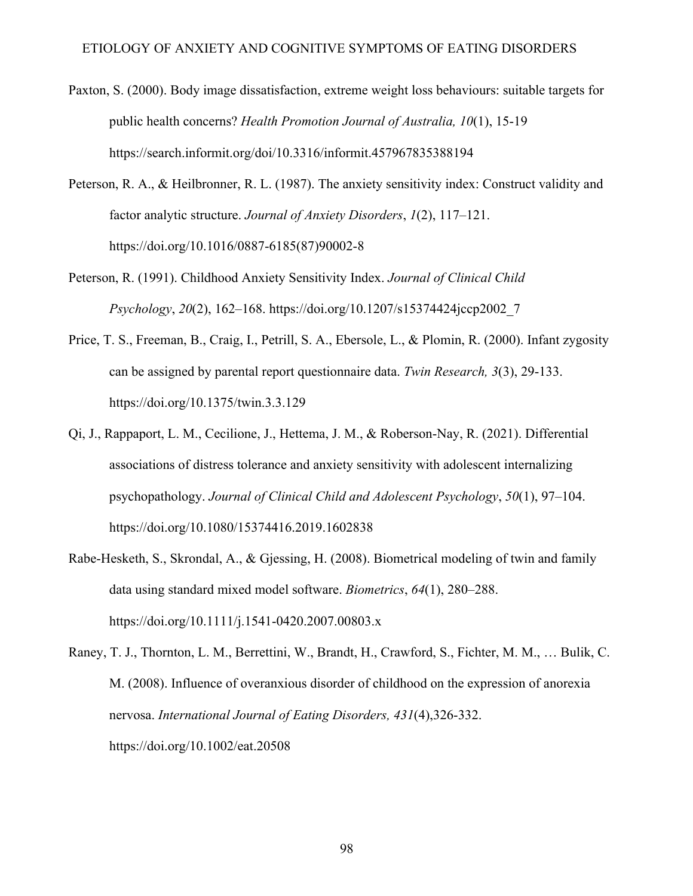- Paxton, S. (2000). Body image dissatisfaction, extreme weight loss behaviours: suitable targets for public health concerns? *Health Promotion Journal of Australia, 10*(1), 15-19 https://search.informit.org/doi/10.3316/informit.457967835388194
- Peterson, R. A., & Heilbronner, R. L. (1987). The anxiety sensitivity index: Construct validity and factor analytic structure. *Journal of Anxiety Disorders*, *1*(2), 117–121. https://doi.org/10.1016/0887-6185(87)90002-8
- Peterson, R. (1991). Childhood Anxiety Sensitivity Index. *Journal of Clinical Child Psychology*, *20*(2), 162–168. https://doi.org/10.1207/s15374424jccp2002\_7
- Price, T. S., Freeman, B., Craig, I., Petrill, S. A., Ebersole, L., & Plomin, R. (2000). Infant zygosity can be assigned by parental report questionnaire data. *Twin Research, 3*(3), 29-133. https://doi.org/10.1375/twin.3.3.129
- Qi, J., Rappaport, L. M., Cecilione, J., Hettema, J. M., & Roberson-Nay, R. (2021). Differential associations of distress tolerance and anxiety sensitivity with adolescent internalizing psychopathology. *Journal of Clinical Child and Adolescent Psychology*, *50*(1), 97–104. https://doi.org/10.1080/15374416.2019.1602838
- Rabe-Hesketh, S., Skrondal, A., & Gjessing, H. (2008). Biometrical modeling of twin and family data using standard mixed model software. *Biometrics*, *64*(1), 280–288. https://doi.org/10.1111/j.1541-0420.2007.00803.x
- Raney, T. J., Thornton, L. M., Berrettini, W., Brandt, H., Crawford, S., Fichter, M. M., … Bulik, C. M. (2008). Influence of overanxious disorder of childhood on the expression of anorexia nervosa. *International Journal of Eating Disorders, 431*(4),326-332. https://doi.org/10.1002/eat.20508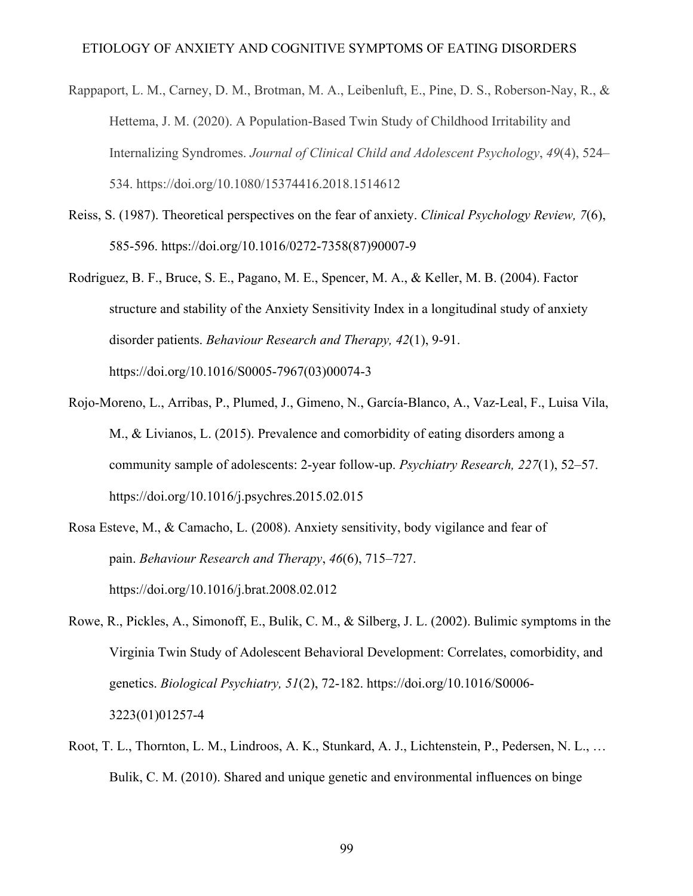- Rappaport, L. M., Carney, D. M., Brotman, M. A., Leibenluft, E., Pine, D. S., Roberson-Nay, R., & Hettema, J. M. (2020). A Population-Based Twin Study of Childhood Irritability and Internalizing Syndromes. *Journal of Clinical Child and Adolescent Psychology*, *49*(4), 524– 534. https://doi.org/10.1080/15374416.2018.1514612
- Reiss, S. (1987). Theoretical perspectives on the fear of anxiety. *Clinical Psychology Review, 7*(6), 585-596. https://doi.org/10.1016/0272-7358(87)90007-9
- Rodriguez, B. F., Bruce, S. E., Pagano, M. E., Spencer, M. A., & Keller, M. B. (2004). Factor structure and stability of the Anxiety Sensitivity Index in a longitudinal study of anxiety disorder patients. *Behaviour Research and Therapy, 42*(1), 9-91. https://doi.org/10.1016/S0005-7967(03)00074-3
- Rojo-Moreno, L., Arribas, P., Plumed, J., Gimeno, N., García-Blanco, A., Vaz-Leal, F., Luisa Vila, M., & Livianos, L. (2015). Prevalence and comorbidity of eating disorders among a community sample of adolescents: 2-year follow-up. *Psychiatry Research, 227*(1), 52–57. https://doi.org/10.1016/j.psychres.2015.02.015
- Rosa Esteve, M., & Camacho, L. (2008). Anxiety sensitivity, body vigilance and fear of pain. *Behaviour Research and Therapy*, *46*(6), 715–727. https://doi.org/10.1016/j.brat.2008.02.012
- Rowe, R., Pickles, A., Simonoff, E., Bulik, C. M., & Silberg, J. L. (2002). Bulimic symptoms in the Virginia Twin Study of Adolescent Behavioral Development: Correlates, comorbidity, and genetics. *Biological Psychiatry, 51*(2), 72-182. https://doi.org/10.1016/S0006- 3223(01)01257-4
- Root, T. L., Thornton, L. M., Lindroos, A. K., Stunkard, A. J., Lichtenstein, P., Pedersen, N. L., … Bulik, C. M. (2010). Shared and unique genetic and environmental influences on binge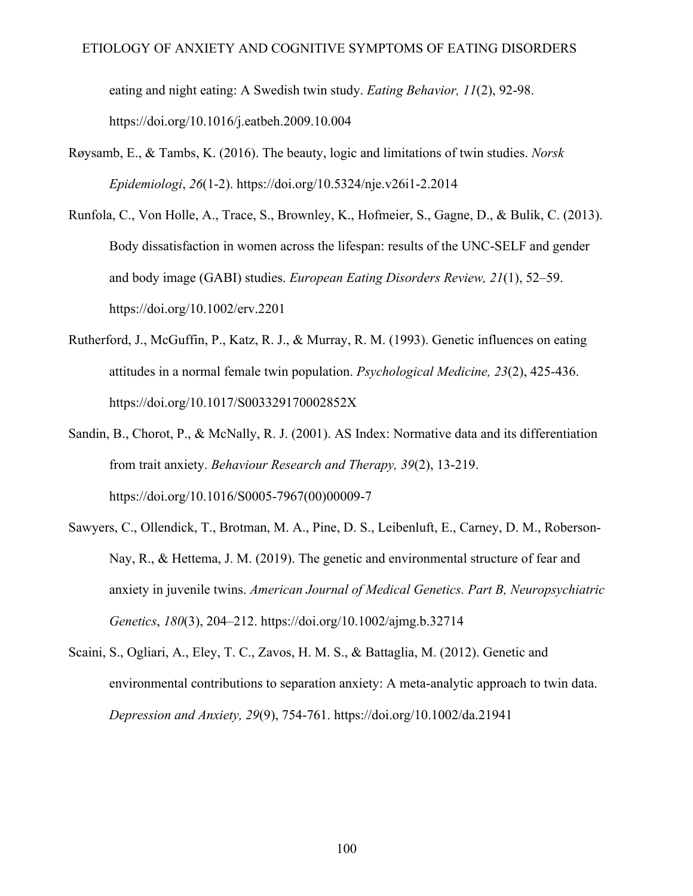## ETIOLOGY OF ANXIETY AND COGNITIVE SYMPTOMS OF EATING DISORDERS

eating and night eating: A Swedish twin study. *Eating Behavior, 11*(2), 92-98. https://doi.org/10.1016/j.eatbeh.2009.10.004

- Røysamb, E., & Tambs, K. (2016). The beauty, logic and limitations of twin studies. *Norsk Epidemiologi*, *26*(1-2). https://doi.org/10.5324/nje.v26i1-2.2014
- Runfola, C., Von Holle, A., Trace, S., Brownley, K., Hofmeier, S., Gagne, D., & Bulik, C. (2013). Body dissatisfaction in women across the lifespan: results of the UNC-SELF and gender and body image (GABI) studies. *European Eating Disorders Review, 21*(1), 52–59. https://doi.org/10.1002/erv.2201
- Rutherford, J., McGuffin, P., Katz, R. J., & Murray, R. M. (1993). Genetic influences on eating attitudes in a normal female twin population. *Psychological Medicine, 23*(2), 425-436. https://doi.org/10.1017/S003329170002852X
- Sandin, B., Chorot, P., & McNally, R. J. (2001). AS Index: Normative data and its differentiation from trait anxiety. *Behaviour Research and Therapy, 39*(2), 13-219. https://doi.org/10.1016/S0005-7967(00)00009-7
- Sawyers, C., Ollendick, T., Brotman, M. A., Pine, D. S., Leibenluft, E., Carney, D. M., Roberson‐ Nay, R., & Hettema, J. M. (2019). The genetic and environmental structure of fear and anxiety in juvenile twins. *American Journal of Medical Genetics. Part B, Neuropsychiatric Genetics*, *180*(3), 204–212. https://doi.org/10.1002/ajmg.b.32714
- Scaini, S., Ogliari, A., Eley, T. C., Zavos, H. M. S., & Battaglia, M. (2012). Genetic and environmental contributions to separation anxiety: A meta-analytic approach to twin data. *Depression and Anxiety, 29*(9), 754-761. https://doi.org/10.1002/da.21941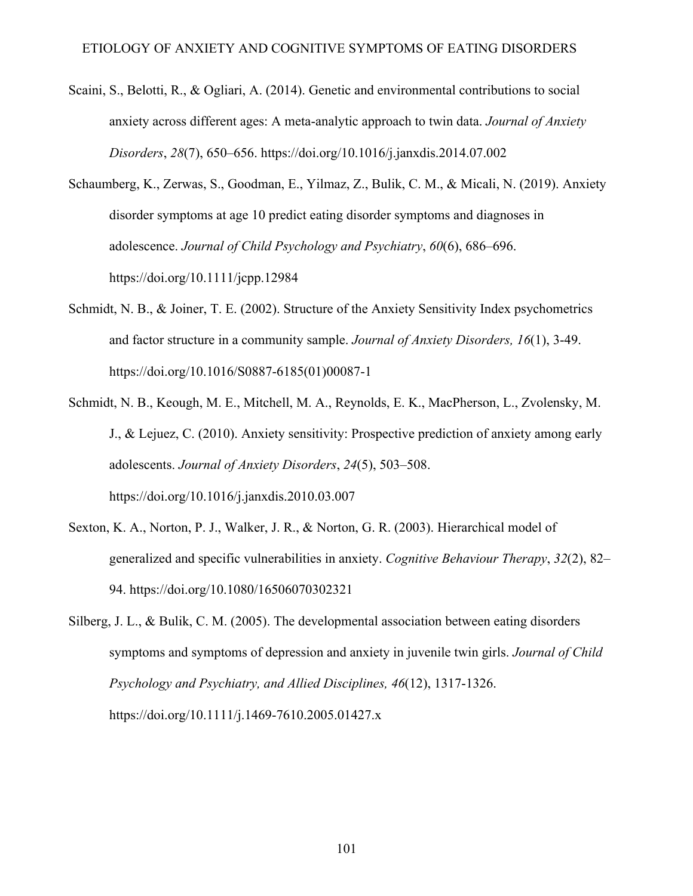- Scaini, S., Belotti, R., & Ogliari, A. (2014). Genetic and environmental contributions to social anxiety across different ages: A meta-analytic approach to twin data. *Journal of Anxiety Disorders*, *28*(7), 650–656. https://doi.org/10.1016/j.janxdis.2014.07.002
- Schaumberg, K., Zerwas, S., Goodman, E., Yilmaz, Z., Bulik, C. M., & Micali, N. (2019). Anxiety disorder symptoms at age 10 predict eating disorder symptoms and diagnoses in adolescence. *Journal of Child Psychology and Psychiatry*, *60*(6), 686–696. https://doi.org/10.1111/jcpp.12984
- Schmidt, N. B., & Joiner, T. E. (2002). Structure of the Anxiety Sensitivity Index psychometrics and factor structure in a community sample. *Journal of Anxiety Disorders, 16*(1), 3-49. https://doi.org/10.1016/S0887-6185(01)00087-1
- Schmidt, N. B., Keough, M. E., Mitchell, M. A., Reynolds, E. K., MacPherson, L., Zvolensky, M. J., & Lejuez, C. (2010). Anxiety sensitivity: Prospective prediction of anxiety among early adolescents. *Journal of Anxiety Disorders*, *24*(5), 503–508. https://doi.org/10.1016/j.janxdis.2010.03.007
- Sexton, K. A., Norton, P. J., Walker, J. R., & Norton, G. R. (2003). Hierarchical model of generalized and specific vulnerabilities in anxiety. *Cognitive Behaviour Therapy*, *32*(2), 82– 94. https://doi.org/10.1080/16506070302321
- Silberg, J. L., & Bulik, C. M. (2005). The developmental association between eating disorders symptoms and symptoms of depression and anxiety in juvenile twin girls. *Journal of Child Psychology and Psychiatry, and Allied Disciplines, 46*(12), 1317-1326. https://doi.org/10.1111/j.1469-7610.2005.01427.x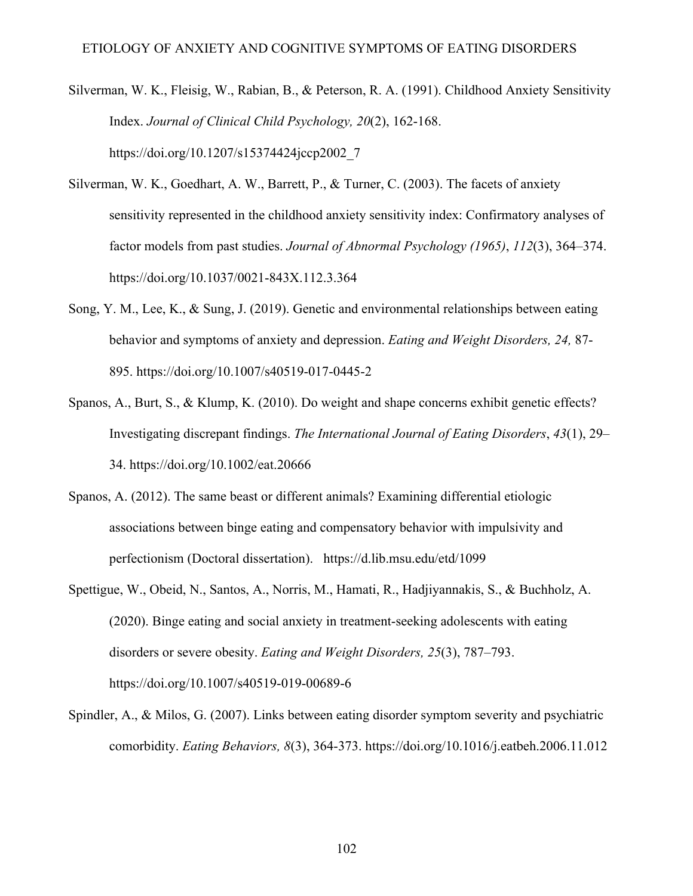- Silverman, W. K., Fleisig, W., Rabian, B., & Peterson, R. A. (1991). Childhood Anxiety Sensitivity Index. *Journal of Clinical Child Psychology, 20*(2), 162-168. https://doi.org/10.1207/s15374424jccp2002\_7
- Silverman, W. K., Goedhart, A. W., Barrett, P., & Turner, C. (2003). The facets of anxiety sensitivity represented in the childhood anxiety sensitivity index: Confirmatory analyses of factor models from past studies. *Journal of Abnormal Psychology (1965)*, *112*(3), 364–374. https://doi.org/10.1037/0021-843X.112.3.364
- Song, Y. M., Lee, K., & Sung, J. (2019). Genetic and environmental relationships between eating behavior and symptoms of anxiety and depression. *Eating and Weight Disorders, 24,* 87- 895. https://doi.org/10.1007/s40519-017-0445-2
- Spanos, A., Burt, S., & Klump, K. (2010). Do weight and shape concerns exhibit genetic effects? Investigating discrepant findings. *The International Journal of Eating Disorders*, *43*(1), 29– 34. https://doi.org/10.1002/eat.20666
- Spanos, A. (2012). The same beast or different animals? Examining differential etiologic associations between binge eating and compensatory behavior with impulsivity and perfectionism (Doctoral dissertation). https://d.lib.msu.edu/etd/1099
- Spettigue, W., Obeid, N., Santos, A., Norris, M., Hamati, R., Hadjiyannakis, S., & Buchholz, A. (2020). Binge eating and social anxiety in treatment-seeking adolescents with eating disorders or severe obesity. *Eating and Weight Disorders, 25*(3), 787–793. https://doi.org/10.1007/s40519-019-00689-6
- Spindler, A., & Milos, G. (2007). Links between eating disorder symptom severity and psychiatric comorbidity. *Eating Behaviors, 8*(3), 364-373. https://doi.org/10.1016/j.eatbeh.2006.11.012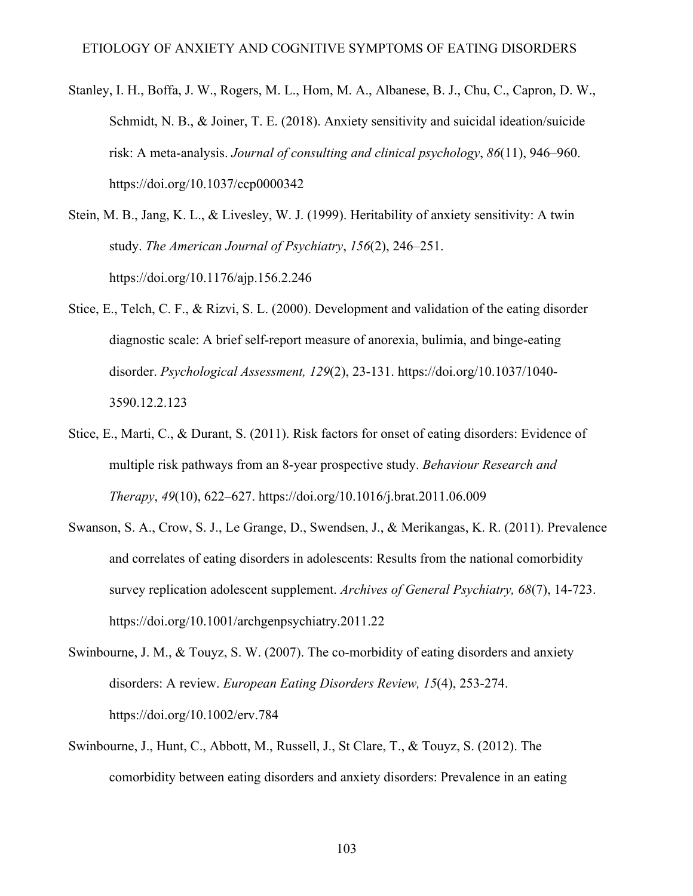- Stanley, I. H., Boffa, J. W., Rogers, M. L., Hom, M. A., Albanese, B. J., Chu, C., Capron, D. W., Schmidt, N. B., & Joiner, T. E. (2018). Anxiety sensitivity and suicidal ideation/suicide risk: A meta-analysis. *Journal of consulting and clinical psychology*, *86*(11), 946–960. https://doi.org/10.1037/ccp0000342
- Stein, M. B., Jang, K. L., & Livesley, W. J. (1999). Heritability of anxiety sensitivity: A twin study. *The American Journal of Psychiatry*, *156*(2), 246–251. https://doi.org/10.1176/ajp.156.2.246
- Stice, E., Telch, C. F., & Rizvi, S. L. (2000). Development and validation of the eating disorder diagnostic scale: A brief self-report measure of anorexia, bulimia, and binge-eating disorder. *Psychological Assessment, 129*(2), 23-131. https://doi.org/10.1037/1040- 3590.12.2.123
- Stice, E., Marti, C., & Durant, S. (2011). Risk factors for onset of eating disorders: Evidence of multiple risk pathways from an 8-year prospective study. *Behaviour Research and Therapy*, *49*(10), 622–627. https://doi.org/10.1016/j.brat.2011.06.009
- Swanson, S. A., Crow, S. J., Le Grange, D., Swendsen, J., & Merikangas, K. R. (2011). Prevalence and correlates of eating disorders in adolescents: Results from the national comorbidity survey replication adolescent supplement. *Archives of General Psychiatry, 68*(7), 14-723. https://doi.org/10.1001/archgenpsychiatry.2011.22
- Swinbourne, J. M., & Touyz, S. W. (2007). The co-morbidity of eating disorders and anxiety disorders: A review. *European Eating Disorders Review, 15*(4), 253-274. https://doi.org/10.1002/erv.784
- Swinbourne, J., Hunt, C., Abbott, M., Russell, J., St Clare, T., & Touyz, S. (2012). The comorbidity between eating disorders and anxiety disorders: Prevalence in an eating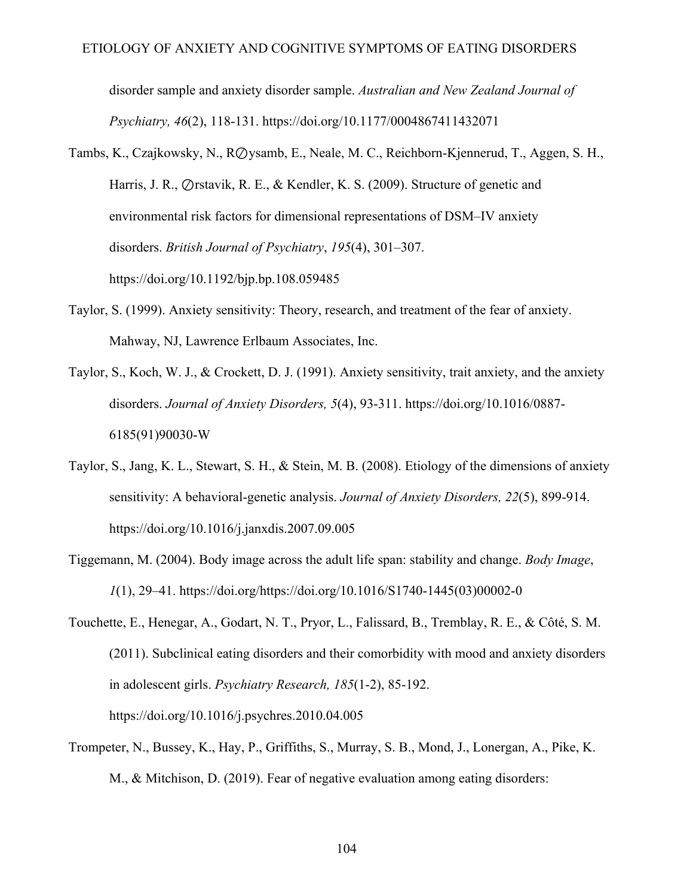disorder sample and anxiety disorder sample. *Australian and New Zealand Journal of Psychiatry, 46*(2), 118-131. https://doi.org/10.1177/0004867411432071

- Tambs, K., Czajkowsky, N., R⊘ysamb, E., Neale, M. C., Reichborn-Kjennerud, T., Aggen, S. H., Harris, J. R., ⊘rstavik, R. E., & Kendler, K. S. (2009). Structure of genetic and environmental risk factors for dimensional representations of DSM–IV anxiety disorders. *British Journal of Psychiatry*, *195*(4), 301–307. https://doi.org/10.1192/bjp.bp.108.059485
- Taylor, S. (1999). Anxiety sensitivity: Theory, research, and treatment of the fear of anxiety. Mahway, NJ, Lawrence Erlbaum Associates, Inc.
- Taylor, S., Koch, W. J., & Crockett, D. J. (1991). Anxiety sensitivity, trait anxiety, and the anxiety disorders. *Journal of Anxiety Disorders, 5*(4), 93-311. https://doi.org/10.1016/0887- 6185(91)90030-W
- Taylor, S., Jang, K. L., Stewart, S. H., & Stein, M. B. (2008). Etiology of the dimensions of anxiety sensitivity: A behavioral-genetic analysis. *Journal of Anxiety Disorders, 22*(5), 899-914. https://doi.org/10.1016/j.janxdis.2007.09.005
- Tiggemann, M. (2004). Body image across the adult life span: stability and change. *Body Image*, *1*(1), 29–41. https://doi.org/https://doi.org/10.1016/S1740-1445(03)00002-0
- Touchette, E., Henegar, A., Godart, N. T., Pryor, L., Falissard, B., Tremblay, R. E., & Côté, S. M. (2011). Subclinical eating disorders and their comorbidity with mood and anxiety disorders in adolescent girls. *Psychiatry Research, 185*(1-2), 85-192. https://doi.org/10.1016/j.psychres.2010.04.005
- Trompeter, N., Bussey, K., Hay, P., Griffiths, S., Murray, S. B., Mond, J., Lonergan, A., Pike, K. M., & Mitchison, D. (2019). Fear of negative evaluation among eating disorders: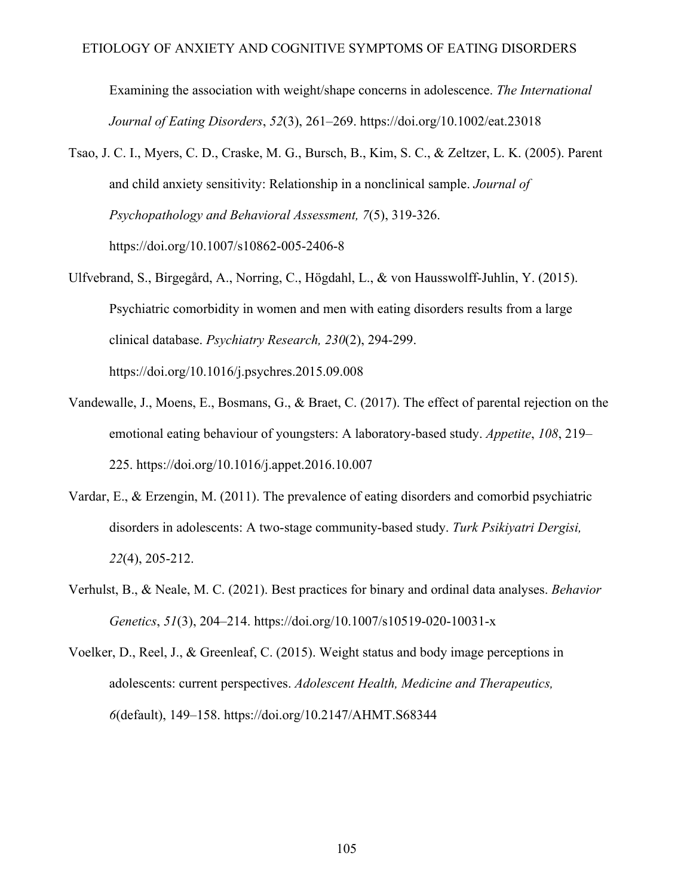Examining the association with weight/shape concerns in adolescence. *The International Journal of Eating Disorders*, *52*(3), 261–269. https://doi.org/10.1002/eat.23018

- Tsao, J. C. I., Myers, C. D., Craske, M. G., Bursch, B., Kim, S. C., & Zeltzer, L. K. (2005). Parent and child anxiety sensitivity: Relationship in a nonclinical sample. *Journal of Psychopathology and Behavioral Assessment, 7*(5), 319-326. https://doi.org/10.1007/s10862-005-2406-8
- Ulfvebrand, S., Birgegård, A., Norring, C., Högdahl, L., & von Hausswolff-Juhlin, Y. (2015). Psychiatric comorbidity in women and men with eating disorders results from a large clinical database. *Psychiatry Research, 230*(2), 294-299. https://doi.org/10.1016/j.psychres.2015.09.008
- Vandewalle, J., Moens, E., Bosmans, G., & Braet, C. (2017). The effect of parental rejection on the emotional eating behaviour of youngsters: A laboratory-based study. *Appetite*, *108*, 219– 225. https://doi.org/10.1016/j.appet.2016.10.007
- Vardar, E., & Erzengin, M. (2011). The prevalence of eating disorders and comorbid psychiatric disorders in adolescents: A two-stage community-based study. *Turk Psikiyatri Dergisi, 22*(4), 205-212.
- Verhulst, B., & Neale, M. C. (2021). Best practices for binary and ordinal data analyses. *Behavior Genetics*, *51*(3), 204–214. https://doi.org/10.1007/s10519-020-10031-x
- Voelker, D., Reel, J., & Greenleaf, C. (2015). Weight status and body image perceptions in adolescents: current perspectives. *Adolescent Health, Medicine and Therapeutics, 6*(default), 149–158. https://doi.org/10.2147/AHMT.S68344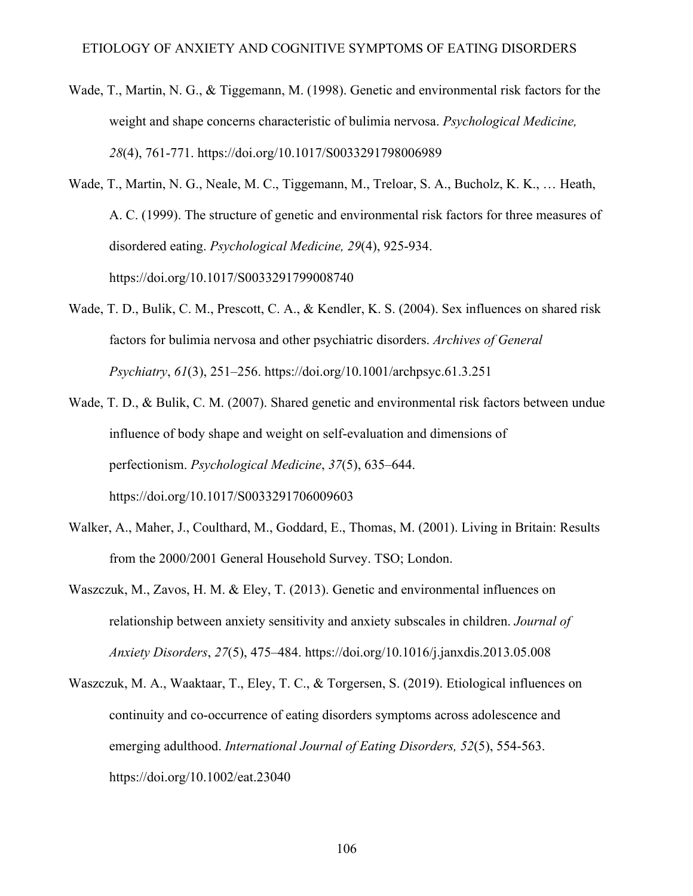- Wade, T., Martin, N. G., & Tiggemann, M. (1998). Genetic and environmental risk factors for the weight and shape concerns characteristic of bulimia nervosa. *Psychological Medicine, 28*(4), 761-771. https://doi.org/10.1017/S0033291798006989
- Wade, T., Martin, N. G., Neale, M. C., Tiggemann, M., Treloar, S. A., Bucholz, K. K., … Heath, A. C. (1999). The structure of genetic and environmental risk factors for three measures of disordered eating. *Psychological Medicine, 29*(4), 925-934. https://doi.org/10.1017/S0033291799008740
- Wade, T. D., Bulik, C. M., Prescott, C. A., & Kendler, K. S. (2004). Sex influences on shared risk factors for bulimia nervosa and other psychiatric disorders. *Archives of General Psychiatry*, *61*(3), 251–256. https://doi.org/10.1001/archpsyc.61.3.251
- Wade, T. D., & Bulik, C. M. (2007). Shared genetic and environmental risk factors between undue influence of body shape and weight on self-evaluation and dimensions of perfectionism. *Psychological Medicine*, *37*(5), 635–644. https://doi.org/10.1017/S0033291706009603
- Walker, A., Maher, J., Coulthard, M., Goddard, E., Thomas, M. (2001). Living in Britain: Results from the 2000/2001 General Household Survey. TSO; London.
- Waszczuk, M., Zavos, H. M. & Eley, T. (2013). Genetic and environmental influences on relationship between anxiety sensitivity and anxiety subscales in children. *Journal of Anxiety Disorders*, *27*(5), 475–484. https://doi.org/10.1016/j.janxdis.2013.05.008
- Waszczuk, M. A., Waaktaar, T., Eley, T. C., & Torgersen, S. (2019). Etiological influences on continuity and co-occurrence of eating disorders symptoms across adolescence and emerging adulthood. *International Journal of Eating Disorders, 52*(5), 554-563. https://doi.org/10.1002/eat.23040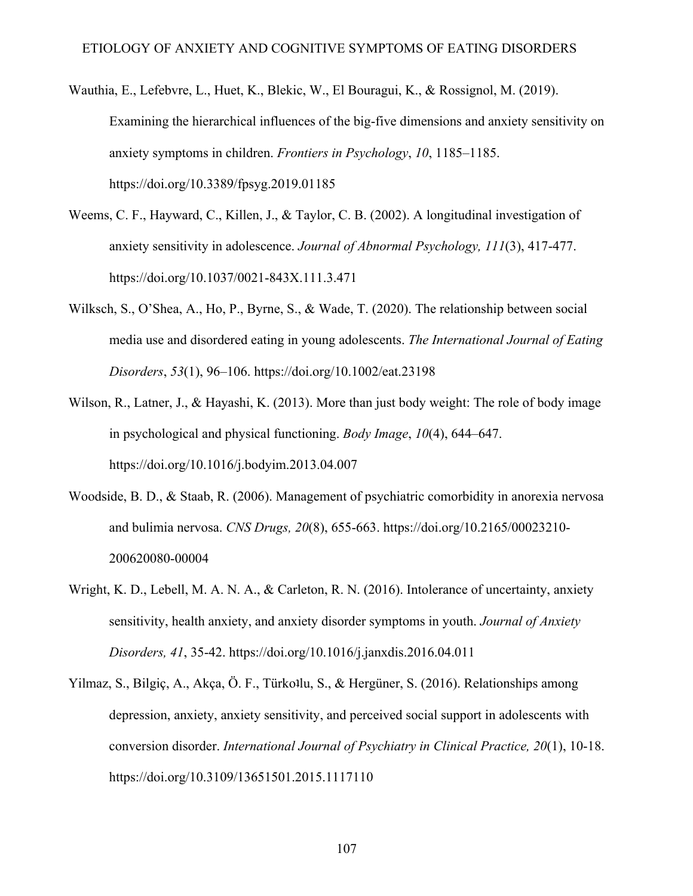- Wauthia, E., Lefebvre, L., Huet, K., Blekic, W., El Bouragui, K., & Rossignol, M. (2019). Examining the hierarchical influences of the big-five dimensions and anxiety sensitivity on anxiety symptoms in children. *Frontiers in Psychology*, *10*, 1185–1185. https://doi.org/10.3389/fpsyg.2019.01185
- Weems, C. F., Hayward, C., Killen, J., & Taylor, C. B. (2002). A longitudinal investigation of anxiety sensitivity in adolescence. *Journal of Abnormal Psychology, 111*(3), 417-477. https://doi.org/10.1037/0021-843X.111.3.471
- Wilksch, S., O'Shea, A., Ho, P., Byrne, S., & Wade, T. (2020). The relationship between social media use and disordered eating in young adolescents. *The International Journal of Eating Disorders*, *53*(1), 96–106. https://doi.org/10.1002/eat.23198
- Wilson, R., Latner, J., & Hayashi, K. (2013). More than just body weight: The role of body image in psychological and physical functioning. *Body Image*, *10*(4), 644–647. https://doi.org/10.1016/j.bodyim.2013.04.007
- Woodside, B. D., & Staab, R. (2006). Management of psychiatric comorbidity in anorexia nervosa and bulimia nervosa. *CNS Drugs, 20*(8), 655-663. https://doi.org/10.2165/00023210- 200620080-00004
- Wright, K. D., Lebell, M. A. N. A., & Carleton, R. N. (2016). Intolerance of uncertainty, anxiety sensitivity, health anxiety, and anxiety disorder symptoms in youth. *Journal of Anxiety Disorders, 41*, 35-42. https://doi.org/10.1016/j.janxdis.2016.04.011
- Yilmaz, S., Bilgiç, A., Akça, Ö. F., Türkollu, S., & Hergüner, S. (2016). Relationships among depression, anxiety, anxiety sensitivity, and perceived social support in adolescents with conversion disorder. *International Journal of Psychiatry in Clinical Practice, 20*(1), 10-18. https://doi.org/10.3109/13651501.2015.1117110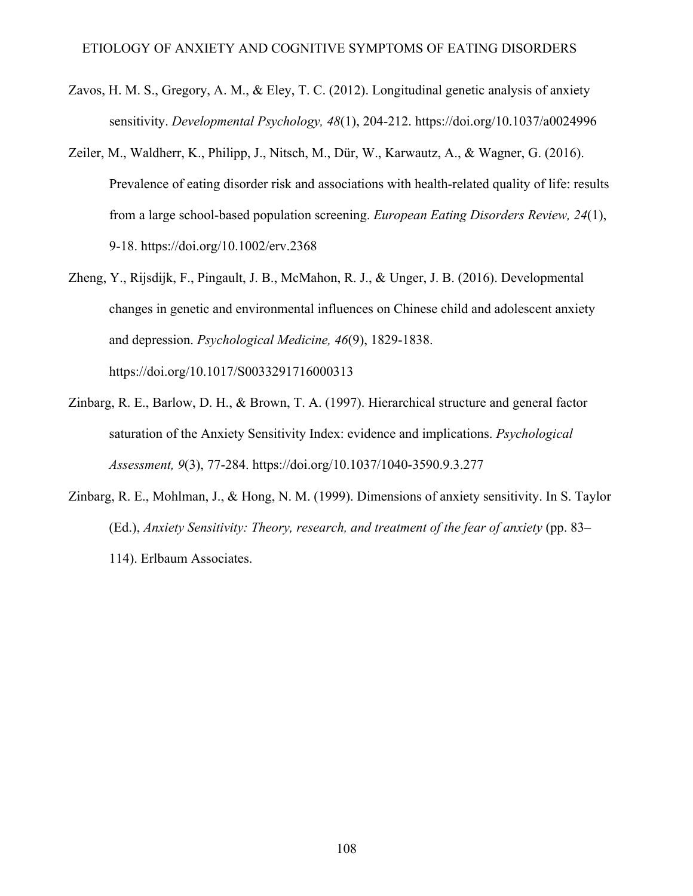- Zavos, H. M. S., Gregory, A. M., & Eley, T. C. (2012). Longitudinal genetic analysis of anxiety sensitivity. *Developmental Psychology, 48*(1), 204-212. https://doi.org/10.1037/a0024996
- Zeiler, M., Waldherr, K., Philipp, J., Nitsch, M., Dür, W., Karwautz, A., & Wagner, G. (2016). Prevalence of eating disorder risk and associations with health-related quality of life: results from a large school-based population screening. *European Eating Disorders Review, 24*(1), 9-18. https://doi.org/10.1002/erv.2368
- Zheng, Y., Rijsdijk, F., Pingault, J. B., McMahon, R. J., & Unger, J. B. (2016). Developmental changes in genetic and environmental influences on Chinese child and adolescent anxiety and depression. *Psychological Medicine, 46*(9), 1829-1838. https://doi.org/10.1017/S0033291716000313
- Zinbarg, R. E., Barlow, D. H., & Brown, T. A. (1997). Hierarchical structure and general factor saturation of the Anxiety Sensitivity Index: evidence and implications. *Psychological Assessment, 9*(3), 77-284. https://doi.org/10.1037/1040-3590.9.3.277
- Zinbarg, R. E., Mohlman, J., & Hong, N. M. (1999). Dimensions of anxiety sensitivity. In S. Taylor (Ed.), *Anxiety Sensitivity: Theory, research, and treatment of the fear of anxiety* (pp. 83– 114). Erlbaum Associates.